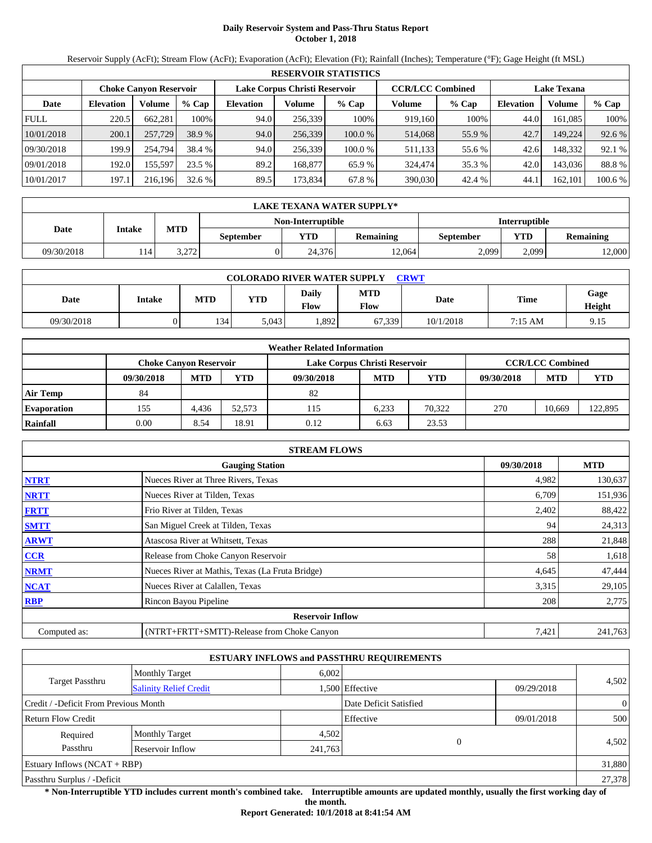# **Daily Reservoir System and Pass-Thru Status Report October 1, 2018**

Reservoir Supply (AcFt); Stream Flow (AcFt); Evaporation (AcFt); Elevation (Ft); Rainfall (Inches); Temperature (°F); Gage Height (ft MSL)

|             | <b>RESERVOIR STATISTICS</b> |                        |         |                  |                               |         |                         |         |                    |         |         |  |
|-------------|-----------------------------|------------------------|---------|------------------|-------------------------------|---------|-------------------------|---------|--------------------|---------|---------|--|
|             |                             | Choke Canvon Reservoir |         |                  | Lake Corpus Christi Reservoir |         | <b>CCR/LCC Combined</b> |         | <b>Lake Texana</b> |         |         |  |
| Date        | <b>Elevation</b>            | Volume                 | $%$ Cap | <b>Elevation</b> | Volume                        | $%$ Cap | Volume                  | $%$ Cap | <b>Elevation</b>   | Volume  | $%$ Cap |  |
| <b>FULL</b> | 220.5                       | 662.281                | 100%    | 94.0             | 256.339                       | 100%    | 919.160                 | 100%    | 44.0               | 161.085 | 100%    |  |
| 10/01/2018  | 200.1                       | 257,729                | 38.9 %  | 94.0             | 256,339                       | 100.0%  | 514,068                 | 55.9 %  | 42.7               | 149.224 | 92.6 %  |  |
| 09/30/2018  | 199.9                       | 254,794                | 38.4 %  | 94.0             | 256.339                       | 100.0 % | 511,133                 | 55.6 %  | 42.6               | 148.332 | 92.1 %  |  |
| 09/01/2018  | 192.0                       | 155.597                | 23.5 %  | 89.2             | 168,877                       | 65.9 %  | 324,474                 | 35.3 %  | 42.0               | 143.036 | 88.8%   |  |
| 10/01/2017  | 197.1                       | 216,196                | 32.6 %  | 89.5             | 173,834                       | 67.8 %  | 390,030                 | 42.4 %  | 44.                | 162,101 | 100.6 % |  |

|            | LAKE TEXANA WATER SUPPLY*-         |            |                  |        |                  |           |       |                  |  |  |  |
|------------|------------------------------------|------------|------------------|--------|------------------|-----------|-------|------------------|--|--|--|
|            | Non-Interruptible<br>Interruptible |            |                  |        |                  |           |       |                  |  |  |  |
| Date       | Intake                             | <b>MTD</b> | <b>September</b> | YTD    | <b>Remaining</b> | September | YTD   | <b>Remaining</b> |  |  |  |
| 09/30/2018 | 114                                | 3.272      |                  | 24.376 | 12.064           | 2,099     | 2.099 | 12,000           |  |  |  |

| <b>COLORADO RIVER WATER SUPPLY</b><br><b>CRWT</b> |        |            |            |                      |                    |           |         |                |  |  |
|---------------------------------------------------|--------|------------|------------|----------------------|--------------------|-----------|---------|----------------|--|--|
| Date                                              | Intake | <b>MTD</b> | <b>YTD</b> | Daily<br><b>Flow</b> | <b>MTD</b><br>Flow | Date      | Time    | Gage<br>Height |  |  |
| 09/30/2018                                        |        | 134        | 5.043      | .892                 | 67.339             | 10/1/2018 | 7:15 AM | 9.15           |  |  |

|                    |                               |            |        | <b>Weather Related Information</b> |            |            |            |                         |            |
|--------------------|-------------------------------|------------|--------|------------------------------------|------------|------------|------------|-------------------------|------------|
|                    | <b>Choke Canvon Reservoir</b> |            |        | Lake Corpus Christi Reservoir      |            |            |            | <b>CCR/LCC Combined</b> |            |
|                    | 09/30/2018                    | <b>MTD</b> | YTD    | 09/30/2018                         | <b>MTD</b> | <b>YTD</b> | 09/30/2018 | <b>MTD</b>              | <b>YTD</b> |
| <b>Air Temp</b>    | 84                            |            |        | 82                                 |            |            |            |                         |            |
| <b>Evaporation</b> | 155                           | 4.436      | 52.573 | 115                                | 6.233      | 70.322     | 270        | 10.669                  | 122,895    |
| Rainfall           | 0.00                          | 8.54       | 18.91  | 0.12                               | 6.63       | 23.53      |            |                         |            |

|              | <b>STREAM FLOWS</b>                             |            |            |
|--------------|-------------------------------------------------|------------|------------|
|              | <b>Gauging Station</b>                          | 09/30/2018 | <b>MTD</b> |
| <b>NTRT</b>  | Nueces River at Three Rivers, Texas             | 4,982      | 130,637    |
| <b>NRTT</b>  | Nueces River at Tilden, Texas                   | 6,709      | 151,936    |
| <b>FRTT</b>  | Frio River at Tilden, Texas                     | 2,402      | 88,422     |
| <b>SMTT</b>  | San Miguel Creek at Tilden, Texas               | 94         | 24,313     |
| <b>ARWT</b>  | Atascosa River at Whitsett, Texas               | 288        | 21,848     |
| <b>CCR</b>   | Release from Choke Canyon Reservoir             | 58         | 1,618      |
| <b>NRMT</b>  | Nueces River at Mathis, Texas (La Fruta Bridge) | 4,645      | 47,444     |
| <b>NCAT</b>  | Nueces River at Calallen, Texas                 | 3,315      | 29,105     |
| <b>RBP</b>   | Rincon Bayou Pipeline                           | 208        | 2,775      |
|              | <b>Reservoir Inflow</b>                         |            |            |
| Computed as: | (NTRT+FRTT+SMTT)-Release from Choke Canyon      | 7,421      | 241,763    |

|                                       |                               |         | <b>ESTUARY INFLOWS and PASSTHRU REQUIREMENTS</b> |            |                |
|---------------------------------------|-------------------------------|---------|--------------------------------------------------|------------|----------------|
|                                       | <b>Monthly Target</b>         | 6.002   |                                                  |            |                |
| <b>Target Passthru</b>                | <b>Salinity Relief Credit</b> |         | 1,500 Effective                                  | 09/29/2018 | 4.502          |
| Credit / -Deficit From Previous Month |                               |         | Date Deficit Satisfied                           |            | $\overline{0}$ |
| <b>Return Flow Credit</b>             |                               |         | Effective                                        | 09/01/2018 | 500            |
| Required                              | <b>Monthly Target</b>         | 4,502   |                                                  |            |                |
| Passthru                              | Reservoir Inflow              | 241,763 | $\Omega$                                         |            | 4,502          |
| Estuary Inflows $(NCAT + RBP)$        |                               |         |                                                  |            | 31,880         |
| Passthru Surplus / -Deficit           |                               |         |                                                  |            | 27,378         |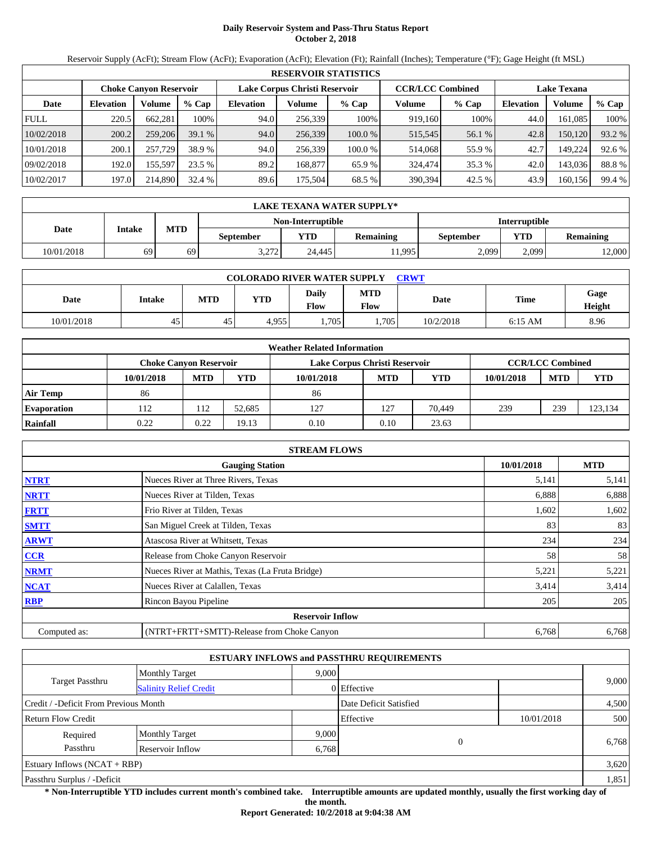# **Daily Reservoir System and Pass-Thru Status Report October 2, 2018**

Reservoir Supply (AcFt); Stream Flow (AcFt); Evaporation (AcFt); Elevation (Ft); Rainfall (Inches); Temperature (°F); Gage Height (ft MSL)

|             | <b>RESERVOIR STATISTICS</b> |                               |         |                               |         |         |                         |         |                    |         |        |  |
|-------------|-----------------------------|-------------------------------|---------|-------------------------------|---------|---------|-------------------------|---------|--------------------|---------|--------|--|
|             |                             | <b>Choke Canyon Reservoir</b> |         | Lake Corpus Christi Reservoir |         |         | <b>CCR/LCC Combined</b> |         | <b>Lake Texana</b> |         |        |  |
| Date        | <b>Elevation</b>            | Volume                        | $%$ Cap | <b>Elevation</b>              | Volume  | $%$ Cap | Volume                  | $%$ Cap | <b>Elevation</b>   | Volume  | % Cap  |  |
| <b>FULL</b> | 220.5                       | 662,281                       | 100%    | 94.0                          | 256,339 | 100%    | 919,160                 | 100%    | 44.0               | 161.085 | 100%   |  |
| 10/02/2018  | 200.2                       | 259,206                       | 39.1%   | 94.0                          | 256,339 | 100.0 % | 515,545                 | 56.1 %  | 42.8               | 150,120 | 93.2 % |  |
| 10/01/2018  | 200.1                       | 257,729                       | 38.9 %  | 94.0                          | 256.339 | 100.0 % | 514,068                 | 55.9%   | 42.7               | 149.224 | 92.6 % |  |
| 09/02/2018  | 192.0                       | 155,597                       | 23.5 %  | 89.2                          | 168,877 | 65.9%   | 324,474                 | 35.3 %  | 42.0               | 143,036 | 88.8%  |  |
| 10/02/2017  | 197.0                       | 214,890                       | 32.4%   | 89.6                          | 175,504 | 68.5 %  | 390,394                 | 42.5 %  | 43.9               | 160,156 | 99.4 % |  |

|            | LAKE TEXANA WATER SUPPLY* |            |                  |                   |                  |                      |       |                  |  |  |  |
|------------|---------------------------|------------|------------------|-------------------|------------------|----------------------|-------|------------------|--|--|--|
|            |                           |            |                  | Non-Interruptible |                  | <b>Interruptible</b> |       |                  |  |  |  |
| Date       | Intake                    | <b>MTD</b> | <b>September</b> | <b>VTD</b>        | <b>Remaining</b> | September            | YTD   | <b>Remaining</b> |  |  |  |
| 10/01/2018 | 69                        | 69         | 3,272            | 24.445            | 11,995           | 2.099                | 2.099 | 12,000           |  |  |  |

| <b>COLORADO RIVER WATER SUPPLY</b><br><b>CRWT</b> |        |            |            |                             |                    |           |             |                |  |  |
|---------------------------------------------------|--------|------------|------------|-----------------------------|--------------------|-----------|-------------|----------------|--|--|
| Date                                              | Intake | <b>MTD</b> | <b>YTD</b> | <b>Daily</b><br><b>Flow</b> | <b>MTD</b><br>Flow | Date      | <b>Time</b> | Gage<br>Height |  |  |
| 10/01/2018                                        | 45     | 45         | 4.955      | .705                        | .705               | 10/2/2018 | $6:15$ AM   | 8.96           |  |  |

|                    |                        |            |        | <b>Weather Related Information</b> |            |        |            |                         |            |
|--------------------|------------------------|------------|--------|------------------------------------|------------|--------|------------|-------------------------|------------|
|                    | Choke Canvon Reservoir |            |        | Lake Corpus Christi Reservoir      |            |        |            | <b>CCR/LCC Combined</b> |            |
|                    | 10/01/2018             | <b>MTD</b> | YTD    | 10/01/2018                         | <b>MTD</b> | YTD    | 10/01/2018 | <b>MTD</b>              | <b>YTD</b> |
| <b>Air Temp</b>    | 86                     |            |        | 86                                 |            |        |            |                         |            |
| <b>Evaporation</b> | 112                    | 112        | 52.685 | 127                                | 127        | 70.449 | 239        | 239                     | 123,134    |
| Rainfall           | 0.22                   | 0.22       | 19.13  | 0.10                               | 0.10       | 23.63  |            |                         |            |

|              | <b>STREAM FLOWS</b>                             |            |            |
|--------------|-------------------------------------------------|------------|------------|
|              | <b>Gauging Station</b>                          | 10/01/2018 | <b>MTD</b> |
| <b>NTRT</b>  | Nueces River at Three Rivers, Texas             | 5,141      | 5,141      |
| <b>NRTT</b>  | Nueces River at Tilden, Texas                   | 6,888      | 6,888      |
| <b>FRTT</b>  | Frio River at Tilden, Texas                     | 1,602      | 1,602      |
| <b>SMTT</b>  | San Miguel Creek at Tilden, Texas               | 83         | 83         |
| <b>ARWT</b>  | Atascosa River at Whitsett, Texas               | 234        | 234        |
| <b>CCR</b>   | Release from Choke Canyon Reservoir             | 58         | 58         |
| <b>NRMT</b>  | Nueces River at Mathis, Texas (La Fruta Bridge) | 5,221      | 5,221      |
| <b>NCAT</b>  | Nueces River at Calallen, Texas                 | 3,414      | 3,414      |
| <b>RBP</b>   | Rincon Bayou Pipeline                           | 205        | 205        |
|              | <b>Reservoir Inflow</b>                         |            |            |
| Computed as: | (NTRT+FRTT+SMTT)-Release from Choke Canyon      | 6,768      | 6,768      |

|                                                  |                       |       | <b>ESTUARY INFLOWS and PASSTHRU REQUIREMENTS</b> |            |       |
|--------------------------------------------------|-----------------------|-------|--------------------------------------------------|------------|-------|
|                                                  | <b>Monthly Target</b> | 9.000 |                                                  |            |       |
| Target Passthru<br><b>Salinity Relief Credit</b> |                       |       | 0 Effective                                      |            | 9,000 |
| Credit / -Deficit From Previous Month            |                       |       | Date Deficit Satisfied                           |            | 4,500 |
| <b>Return Flow Credit</b>                        |                       |       | Effective                                        | 10/01/2018 | 500   |
| Required                                         | <b>Monthly Target</b> | 9,000 |                                                  |            |       |
| Passthru                                         | Reservoir Inflow      | 6,768 | $\Omega$                                         |            | 6,768 |
| Estuary Inflows $(NCAT + RBP)$                   |                       |       |                                                  |            | 3,620 |
| Passthru Surplus / -Deficit                      |                       |       |                                                  |            | 1,851 |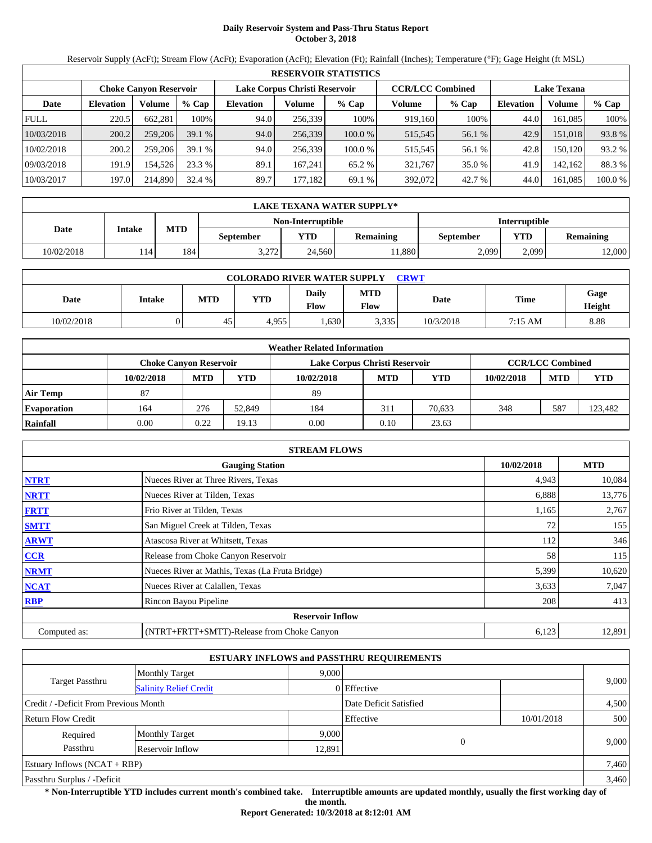# **Daily Reservoir System and Pass-Thru Status Report October 3, 2018**

Reservoir Supply (AcFt); Stream Flow (AcFt); Evaporation (AcFt); Elevation (Ft); Rainfall (Inches); Temperature (°F); Gage Height (ft MSL)

|             | <b>RESERVOIR STATISTICS</b> |                               |         |                  |                               |         |                         |         |                    |         |        |  |  |
|-------------|-----------------------------|-------------------------------|---------|------------------|-------------------------------|---------|-------------------------|---------|--------------------|---------|--------|--|--|
|             |                             | <b>Choke Canvon Reservoir</b> |         |                  | Lake Corpus Christi Reservoir |         | <b>CCR/LCC Combined</b> |         | <b>Lake Texana</b> |         |        |  |  |
| Date        | <b>Elevation</b>            | Volume                        | $%$ Cap | <b>Elevation</b> | Volume                        | $%$ Cap | Volume                  | $%$ Cap | <b>Elevation</b>   | Volume  | % Cap  |  |  |
| <b>FULL</b> | 220.5                       | 662.281                       | 100%    | 94.0             | 256.339                       | 100%    | 919.160                 | 100%    | 44.0               | 161.085 | 100%   |  |  |
| 10/03/2018  | 200.2                       | 259,206                       | 39.1%   | 94.0             | 256,339                       | 100.0 % | 515,545                 | 56.1 %  | 42.9               | 151.018 | 93.8 % |  |  |
| 10/02/2018  | 200.2                       | 259,206                       | 39.1%   | 94.0             | 256.339                       | 100.0%  | 515.545                 | 56.1 %  | 42.8               | 150,120 | 93.2 % |  |  |
| 09/03/2018  | 191.9                       | 154.526                       | 23.3 %  | 89.1             | 167.241                       | 65.2 %  | 321.767                 | 35.0 %  | 41.9               | 142.162 | 88.3 % |  |  |
| 10/03/2017  | 197.0                       | 214,890                       | 32.4 %  | 89.7             | 177.1821                      | 69.1 %  | 392,072                 | 42.7 %  | 44.0               | 161,085 | 100.0% |  |  |

|            | LAKE TEXANA WATER SUPPLY* |            |           |                   |                  |                      |       |                  |  |  |  |
|------------|---------------------------|------------|-----------|-------------------|------------------|----------------------|-------|------------------|--|--|--|
|            | Intake                    |            |           | Non-Interruptible |                  | <b>Interruptible</b> |       |                  |  |  |  |
| Date       |                           | <b>MTD</b> | September | <b>YTD</b>        | <b>Remaining</b> | September            | YTD   | <b>Remaining</b> |  |  |  |
| 10/02/2018 | 114                       | 184        | 3.272     | 24.560            | .880             | 2.099                | 2.099 | 12,000           |  |  |  |

| <b>COLORADO RIVER WATER SUPPLY</b><br><b>CRWT</b> |        |     |            |                      |                    |           |             |                |  |  |
|---------------------------------------------------|--------|-----|------------|----------------------|--------------------|-----------|-------------|----------------|--|--|
| Date                                              | Intake | MTD | <b>YTD</b> | <b>Daily</b><br>Flow | <b>MTD</b><br>Flow | Date      | <b>Time</b> | Gage<br>Height |  |  |
| 10/02/2018                                        |        | 45  | 4,955      | .630                 | 3,335              | 10/3/2018 | 7:15 AM     | 8.88           |  |  |

|                    |                        |            |        | <b>Weather Related Information</b> |                         |        |            |            |         |
|--------------------|------------------------|------------|--------|------------------------------------|-------------------------|--------|------------|------------|---------|
|                    | Choke Canvon Reservoir |            |        | Lake Corpus Christi Reservoir      | <b>CCR/LCC Combined</b> |        |            |            |         |
|                    | 10/02/2018             | <b>MTD</b> | YTD    | 10/02/2018                         | <b>MTD</b>              | YTD    | 10/02/2018 | <b>MTD</b> | YTD     |
| <b>Air Temp</b>    | 87                     |            |        | 89                                 |                         |        |            |            |         |
| <b>Evaporation</b> | 164                    | 276        | 52,849 | 184                                | 311                     | 70.633 | 348        | 587        | 123,482 |
| Rainfall           | 0.00                   | 0.22       | 19.13  | 0.00                               | 0.10                    | 23.63  |            |            |         |

|              | <b>STREAM FLOWS</b>                             |            |        |
|--------------|-------------------------------------------------|------------|--------|
|              | 10/02/2018                                      | <b>MTD</b> |        |
| <b>NTRT</b>  | Nueces River at Three Rivers, Texas             | 4,943      | 10,084 |
| <b>NRTT</b>  | Nueces River at Tilden, Texas                   | 6,888      | 13,776 |
| <b>FRTT</b>  | Frio River at Tilden, Texas                     | 1,165      | 2,767  |
| <b>SMTT</b>  | San Miguel Creek at Tilden, Texas               | 72         | 155    |
| <b>ARWT</b>  | Atascosa River at Whitsett, Texas               | 112        | 346    |
| <b>CCR</b>   | Release from Choke Canyon Reservoir             | 58         | 115    |
| <b>NRMT</b>  | Nueces River at Mathis, Texas (La Fruta Bridge) | 5,399      | 10,620 |
| <b>NCAT</b>  | Nueces River at Calallen, Texas                 | 3,633      | 7,047  |
| <b>RBP</b>   | Rincon Bayou Pipeline                           | 208        | 413    |
|              | <b>Reservoir Inflow</b>                         |            |        |
| Computed as: | (NTRT+FRTT+SMTT)-Release from Choke Canyon      | 6,123      | 12,891 |

|                                       |                               |                        | <b>ESTUARY INFLOWS and PASSTHRU REQUIREMENTS</b> |            |       |  |
|---------------------------------------|-------------------------------|------------------------|--------------------------------------------------|------------|-------|--|
|                                       | <b>Monthly Target</b>         | 9.000                  |                                                  |            |       |  |
| Target Passthru                       | <b>Salinity Relief Credit</b> |                        | 0 Effective                                      |            | 9,000 |  |
| Credit / -Deficit From Previous Month |                               | Date Deficit Satisfied |                                                  | 4,500      |       |  |
| <b>Return Flow Credit</b>             |                               |                        | Effective                                        | 10/01/2018 | 500   |  |
| Required                              | <b>Monthly Target</b>         | 9,000                  |                                                  |            |       |  |
| Passthru                              | Reservoir Inflow              | 12,891                 | $\theta$                                         |            | 9,000 |  |
| Estuary Inflows $(NCAT + RBP)$        |                               |                        |                                                  |            | 7,460 |  |
| Passthru Surplus / -Deficit           |                               |                        |                                                  |            | 3,460 |  |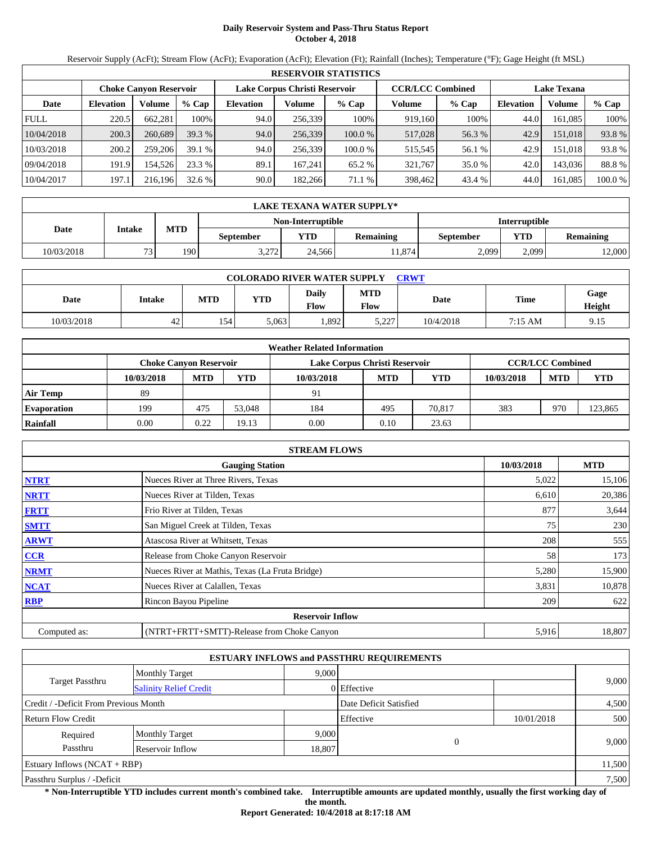# **Daily Reservoir System and Pass-Thru Status Report October 4, 2018**

Reservoir Supply (AcFt); Stream Flow (AcFt); Evaporation (AcFt); Elevation (Ft); Rainfall (Inches); Temperature (°F); Gage Height (ft MSL)

|             | <b>RESERVOIR STATISTICS</b> |                               |         |                  |                               |           |                         |         |                    |          |         |  |  |
|-------------|-----------------------------|-------------------------------|---------|------------------|-------------------------------|-----------|-------------------------|---------|--------------------|----------|---------|--|--|
|             |                             | <b>Choke Canvon Reservoir</b> |         |                  | Lake Corpus Christi Reservoir |           | <b>CCR/LCC Combined</b> |         | <b>Lake Texana</b> |          |         |  |  |
| Date        | <b>Elevation</b>            | Volume                        | $%$ Cap | <b>Elevation</b> | Volume                        | $%$ Cap   | Volume                  | $%$ Cap | <b>Elevation</b>   | Volume   | $%$ Cap |  |  |
| <b>FULL</b> | 220.5                       | 662.281                       | 100%    | 94.0             | 256,339                       | 100%      | 919,160                 | 100%    | 44.0               | 161.085  | 100%    |  |  |
| 10/04/2018  | 200.3                       | 260,689                       | 39.3%   | 94.0             | 256,339                       | $100.0\%$ | 517,028                 | 56.3 %  | 42.9               | 151,018  | 93.8 %  |  |  |
| 10/03/2018  | 200.2                       | 259,206                       | 39.1%   | 94.0             | 256.339                       | 100.0%    | 515.545                 | 56.1 %  | 42.9               | 151.0181 | 93.8 %  |  |  |
| 09/04/2018  | 191.9                       | 154.526                       | 23.3 %  | 89.1             | 167.241                       | 65.2 %    | 321.767                 | 35.0 %  | 42.0               | 143,036  | 88.8%   |  |  |
| 10/04/2017  | 197.1                       | 216,196                       | 32.6%   | 90.0             | 182.266                       | 71.1 %    | 398,462                 | 43.4 %  | 44.0               | 161,085  | 100.0 % |  |  |

|            | LAKE TEXANA WATER SUPPLY* |            |           |                   |                  |                      |       |                  |  |  |  |
|------------|---------------------------|------------|-----------|-------------------|------------------|----------------------|-------|------------------|--|--|--|
|            |                           |            |           | Non-Interruptible |                  | <b>Interruptible</b> |       |                  |  |  |  |
| Date       | Intake                    | <b>MTD</b> | September | <b>YTD</b>        | <b>Remaining</b> | September            | YTD   | <b>Remaining</b> |  |  |  |
| 10/03/2018 | $\mathbf{a}$              | 190        | 3.272     | 24.566            | .1,874           | 2.099                | 2.099 | 12,000           |  |  |  |

| <b>COLORADO RIVER WATER SUPPLY</b><br><b>CRWT</b> |        |     |       |               |                        |           |             |                |  |  |
|---------------------------------------------------|--------|-----|-------|---------------|------------------------|-----------|-------------|----------------|--|--|
| Date                                              | Intake | MTD | YTD   | Daily<br>Flow | <b>MTD</b><br>Flow     | Date      | <b>Time</b> | Gage<br>Height |  |  |
| 10/03/2018                                        | 42     | 154 | 5,063 | .892          | 707 ה<br>. ، ، ، ، ، ، | 10/4/2018 | 7:15 AM     | 9.15           |  |  |

|                    | <b>Weather Related Information</b> |            |        |                               |                         |            |            |            |            |  |  |  |
|--------------------|------------------------------------|------------|--------|-------------------------------|-------------------------|------------|------------|------------|------------|--|--|--|
|                    | Choke Canvon Reservoir             |            |        | Lake Corpus Christi Reservoir | <b>CCR/LCC Combined</b> |            |            |            |            |  |  |  |
|                    | 10/03/2018                         | <b>MTD</b> | YTD    | 10/03/2018                    | <b>MTD</b>              | <b>YTD</b> | 10/03/2018 | <b>MTD</b> | <b>YTD</b> |  |  |  |
| <b>Air Temp</b>    | 89                                 |            |        | 91                            |                         |            |            |            |            |  |  |  |
| <b>Evaporation</b> | 199                                | 475        | 53,048 | 184                           | 495                     | 70.817     | 383        | 970        | 123,865    |  |  |  |
| Rainfall           | 0.00                               | 0.22       | 19.13  | 0.00                          | 0.10                    | 23.63      |            |            |            |  |  |  |

|              | <b>STREAM FLOWS</b>                             |       |        |  |  |  |  |  |
|--------------|-------------------------------------------------|-------|--------|--|--|--|--|--|
|              | <b>Gauging Station</b>                          |       |        |  |  |  |  |  |
| <b>NTRT</b>  | Nueces River at Three Rivers, Texas             | 5,022 | 15,106 |  |  |  |  |  |
| <b>NRTT</b>  | Nueces River at Tilden, Texas                   | 6,610 | 20,386 |  |  |  |  |  |
| <b>FRTT</b>  | Frio River at Tilden, Texas                     | 877   | 3,644  |  |  |  |  |  |
| <b>SMTT</b>  | San Miguel Creek at Tilden, Texas               | 75    | 230    |  |  |  |  |  |
| <b>ARWT</b>  | Atascosa River at Whitsett, Texas               | 208   | 555    |  |  |  |  |  |
| <b>CCR</b>   | Release from Choke Canyon Reservoir             | 58    | 173    |  |  |  |  |  |
| <b>NRMT</b>  | Nueces River at Mathis, Texas (La Fruta Bridge) | 5,280 | 15,900 |  |  |  |  |  |
| <b>NCAT</b>  | Nueces River at Calallen, Texas                 | 3,831 | 10,878 |  |  |  |  |  |
| <b>RBP</b>   | Rincon Bayou Pipeline                           | 209   | 622    |  |  |  |  |  |
|              | <b>Reservoir Inflow</b>                         |       |        |  |  |  |  |  |
| Computed as: | (NTRT+FRTT+SMTT)-Release from Choke Canyon      | 5,916 | 18,807 |  |  |  |  |  |

|                                        |                               |       | <b>ESTUARY INFLOWS and PASSTHRU REQUIREMENTS</b> |            |        |  |
|----------------------------------------|-------------------------------|-------|--------------------------------------------------|------------|--------|--|
|                                        | <b>Monthly Target</b>         | 9,000 |                                                  |            |        |  |
| Target Passthru                        | <b>Salinity Relief Credit</b> |       | 0 Effective                                      |            | 9,000  |  |
| Credit / -Deficit From Previous Month  |                               |       | Date Deficit Satisfied                           |            | 4,500  |  |
| <b>Return Flow Credit</b>              |                               |       | Effective                                        | 10/01/2018 | 500    |  |
| Required                               | <b>Monthly Target</b>         | 9,000 |                                                  |            |        |  |
| Passthru<br>Reservoir Inflow<br>18,807 |                               |       | $\Omega$                                         |            | 9,000  |  |
| Estuary Inflows $(NCAT + RBP)$         |                               |       |                                                  |            | 11,500 |  |
| Passthru Surplus / -Deficit            |                               |       |                                                  |            | 7,500  |  |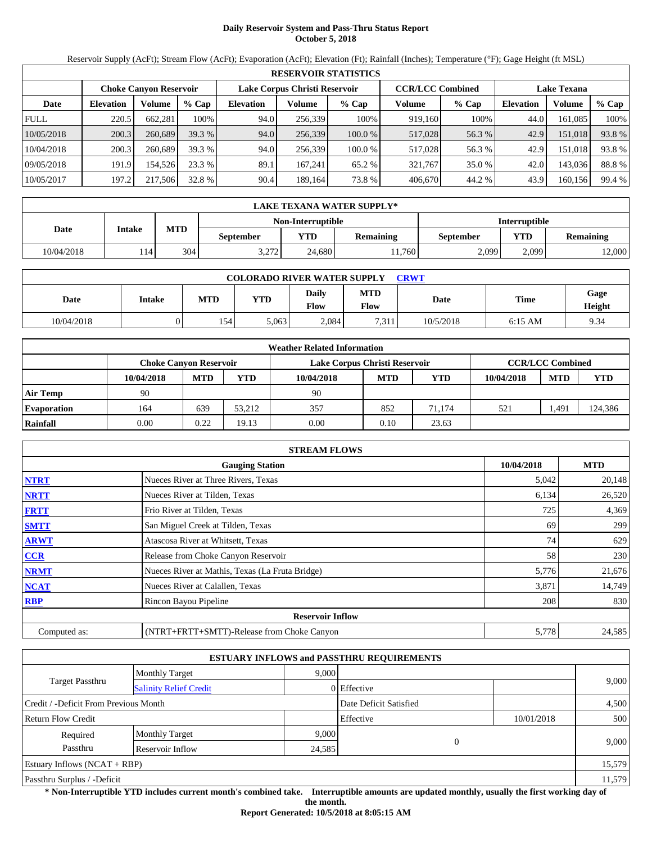# **Daily Reservoir System and Pass-Thru Status Report October 5, 2018**

Reservoir Supply (AcFt); Stream Flow (AcFt); Evaporation (AcFt); Elevation (Ft); Rainfall (Inches); Temperature (°F); Gage Height (ft MSL)

|             | <b>RESERVOIR STATISTICS</b> |                               |         |                               |         |         |                         |         |                    |         |        |  |
|-------------|-----------------------------|-------------------------------|---------|-------------------------------|---------|---------|-------------------------|---------|--------------------|---------|--------|--|
|             |                             | <b>Choke Canyon Reservoir</b> |         | Lake Corpus Christi Reservoir |         |         | <b>CCR/LCC Combined</b> |         | <b>Lake Texana</b> |         |        |  |
| Date        | <b>Elevation</b>            | Volume                        | $%$ Cap | <b>Elevation</b>              | Volume  | $%$ Cap | Volume                  | $%$ Cap | <b>Elevation</b>   | Volume  | % Cap  |  |
| <b>FULL</b> | 220.5                       | 662,281                       | 100%    | 94.0                          | 256,339 | 100%    | 919,160                 | 100%    | 44.0               | 161.085 | 100%   |  |
| 10/05/2018  | 200.3                       | 260,689                       | 39.3%   | 94.0                          | 256,339 | 100.0 % | 517,028                 | 56.3 %  | 42.9               | 151,018 | 93.8 % |  |
| 10/04/2018  | 200.3                       | 260,689                       | 39.3 %  | 94.0                          | 256.339 | 100.0 % | 517,028                 | 56.3 %  | 42.9               | 151,018 | 93.8 % |  |
| 09/05/2018  | 191.9                       | 154.526                       | 23.3 %  | 89.1                          | 167,241 | 65.2 %  | 321,767                 | 35.0 %  | 42.0               | 143,036 | 88.8%  |  |
| 10/05/2017  | 197.2                       | 217.506                       | 32.8 %  | 90.4                          | 189.164 | 73.8%   | 406,670                 | 44.2 %  | 43.9               | 160,156 | 99.4 % |  |

|            | LAKE TEXANA WATER SUPPLY* |            |                      |            |                  |           |       |                  |  |  |  |
|------------|---------------------------|------------|----------------------|------------|------------------|-----------|-------|------------------|--|--|--|
|            |                           |            | <b>Interruptible</b> |            |                  |           |       |                  |  |  |  |
| Date       | Intake                    | <b>MTD</b> | <b>September</b>     | <b>YTD</b> | <b>Remaining</b> | September | YTD   | <b>Remaining</b> |  |  |  |
| 10/04/2018 |                           | 304        | 3.272                | 24.680     | 1.760            | 2.099     | 2.099 | 12,000           |  |  |  |

| <b>COLORADO RIVER WATER SUPPLY</b><br>CRWT |        |     |       |               |                    |           |             |                |  |  |
|--------------------------------------------|--------|-----|-------|---------------|--------------------|-----------|-------------|----------------|--|--|
| Date                                       | Intake | MTD | YTD   | Daily<br>Flow | <b>MTD</b><br>Flow | Date      | <b>Time</b> | Gage<br>Height |  |  |
| 10/04/2018                                 |        | 154 | 5,063 | 2.084         | 7,311              | 10/5/2018 | $6:15$ AM   | 9.34           |  |  |

|                    |                        |            |        | <b>Weather Related Information</b> |            |            |            |                         |            |
|--------------------|------------------------|------------|--------|------------------------------------|------------|------------|------------|-------------------------|------------|
|                    | Choke Canvon Reservoir |            |        | Lake Corpus Christi Reservoir      |            |            |            | <b>CCR/LCC Combined</b> |            |
|                    | 10/04/2018             | <b>MTD</b> | YTD    | 10/04/2018                         | <b>MTD</b> | <b>YTD</b> | 10/04/2018 | <b>MTD</b>              | <b>YTD</b> |
| <b>Air Temp</b>    | 90                     |            |        | 90                                 |            |            |            |                         |            |
| <b>Evaporation</b> | 164                    | 639        | 53.212 | 357                                | 852        | 71.174     | 521        | 491. ا                  | 124,386    |
| Rainfall           | 0.00                   | 0.22       | 19.13  | 0.00                               | 0.10       | 23.63      |            |                         |            |

|              | <b>STREAM FLOWS</b>                             |            |            |
|--------------|-------------------------------------------------|------------|------------|
|              | <b>Gauging Station</b>                          | 10/04/2018 | <b>MTD</b> |
| <b>NTRT</b>  | Nueces River at Three Rivers, Texas             | 5,042      | 20,148     |
| <b>NRTT</b>  | Nueces River at Tilden, Texas                   | 6,134      | 26,520     |
| <b>FRTT</b>  | Frio River at Tilden, Texas                     | 725        | 4,369      |
| <b>SMTT</b>  | San Miguel Creek at Tilden, Texas               | 69         | 299        |
| <b>ARWT</b>  | Atascosa River at Whitsett, Texas               | 74         | 629        |
| <b>CCR</b>   | Release from Choke Canyon Reservoir             | 58         | 230        |
| <b>NRMT</b>  | Nueces River at Mathis, Texas (La Fruta Bridge) | 5,776      | 21,676     |
| <b>NCAT</b>  | Nueces River at Calallen, Texas                 | 3,871      | 14,749     |
| <b>RBP</b>   | Rincon Bayou Pipeline                           | 208        | 830        |
|              | <b>Reservoir Inflow</b>                         |            |            |
| Computed as: | (NTRT+FRTT+SMTT)-Release from Choke Canyon      | 5,778      | 24,585     |

|                                       |                               |                        | <b>ESTUARY INFLOWS and PASSTHRU REQUIREMENTS</b> |            |        |  |
|---------------------------------------|-------------------------------|------------------------|--------------------------------------------------|------------|--------|--|
|                                       | <b>Monthly Target</b>         | 9,000                  |                                                  |            |        |  |
| Target Passthru                       | <b>Salinity Relief Credit</b> |                        | 0 Effective                                      |            | 9,000  |  |
| Credit / -Deficit From Previous Month |                               | Date Deficit Satisfied |                                                  | 4,500      |        |  |
| <b>Return Flow Credit</b>             |                               |                        | Effective                                        | 10/01/2018 | 500    |  |
| Required                              | <b>Monthly Target</b>         | 9,000                  |                                                  |            |        |  |
| Passthru                              | Reservoir Inflow              | 24,585                 | $\theta$                                         |            | 9,000  |  |
| Estuary Inflows $(NCAT + RBP)$        |                               |                        |                                                  |            | 15,579 |  |
| Passthru Surplus / -Deficit           |                               | 11,579                 |                                                  |            |        |  |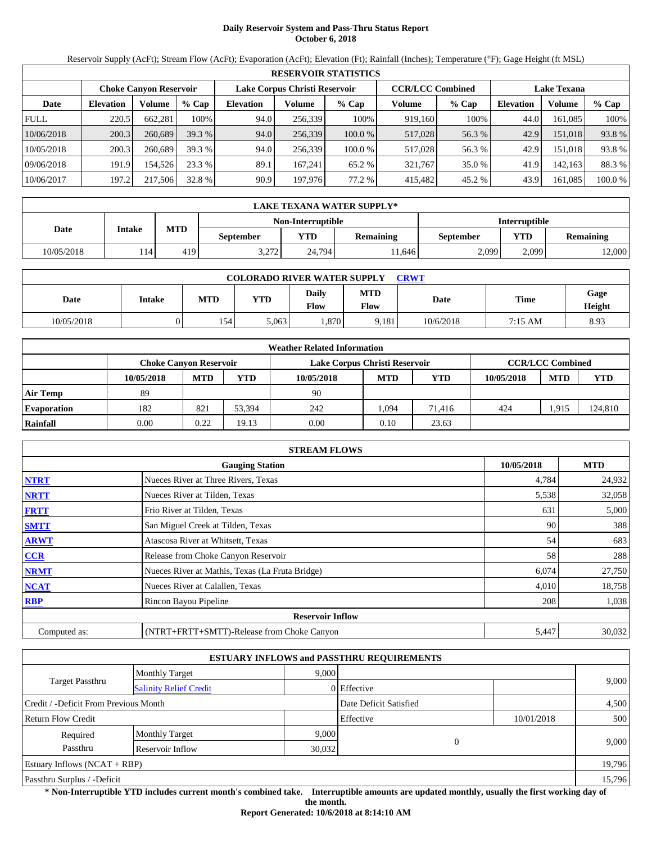# **Daily Reservoir System and Pass-Thru Status Report October 6, 2018**

Reservoir Supply (AcFt); Stream Flow (AcFt); Evaporation (AcFt); Elevation (Ft); Rainfall (Inches); Temperature (°F); Gage Height (ft MSL)

|             | <b>RESERVOIR STATISTICS</b> |                               |         |                  |                               |         |         |                         |                    |         |         |  |
|-------------|-----------------------------|-------------------------------|---------|------------------|-------------------------------|---------|---------|-------------------------|--------------------|---------|---------|--|
|             |                             | <b>Choke Canvon Reservoir</b> |         |                  | Lake Corpus Christi Reservoir |         |         | <b>CCR/LCC Combined</b> | <b>Lake Texana</b> |         |         |  |
| Date        | <b>Elevation</b>            | Volume                        | $%$ Cap | <b>Elevation</b> | Volume                        | $%$ Cap | Volume  | $%$ Cap                 | <b>Elevation</b>   | Volume  | % Cap   |  |
| <b>FULL</b> | 220.5                       | 662.281                       | 100%    | 94.0             | 256,339                       | 100%    | 919.160 | 100%                    | 44.0               | 161.085 | 100%    |  |
| 10/06/2018  | 200.3                       | 260,689                       | 39.3 %  | 94.0             | 256,339                       | 100.0 % | 517,028 | 56.3 %                  | 42.9               | 151.018 | 93.8%   |  |
| 10/05/2018  | 200.3                       | 260,689                       | 39.3 %  | 94.0             | 256,339                       | 100.0 % | 517,028 | 56.3 %                  | 42.9               | 151.018 | 93.8%   |  |
| 09/06/2018  | 191.9                       | 154.526                       | 23.3 %  | 89.1             | 167.241                       | 65.2 %  | 321.767 | 35.0 %                  | 41.9               | 142.163 | 88.3 %  |  |
| 10/06/2017  | 197.2                       | 217,506                       | 32.8 %  | 90.9             | 197,976                       | 77.2 %  | 415,482 | 45.2 %                  | 43.9               | 161.085 | 100.0 % |  |

|            | LAKE TEXANA WATER SUPPLY* |                      |                  |            |                  |           |       |                  |  |  |  |
|------------|---------------------------|----------------------|------------------|------------|------------------|-----------|-------|------------------|--|--|--|
|            |                           | <b>Interruptible</b> |                  |            |                  |           |       |                  |  |  |  |
| Date       | Intake                    | <b>MTD</b>           | <b>September</b> | <b>YTD</b> | <b>Remaining</b> | September | YTD   | <b>Remaining</b> |  |  |  |
| 10/05/2018 | l 14                      | 419                  | 3.272            | 24,794     | 1.646            | 2.099     | 2.099 | 12,000           |  |  |  |

| <b>COLORADO RIVER WATER SUPPLY</b><br>CRWT |        |            |            |                      |                    |           |             |                |  |  |
|--------------------------------------------|--------|------------|------------|----------------------|--------------------|-----------|-------------|----------------|--|--|
| Date                                       | Intake | <b>MTD</b> | <b>YTD</b> | Daily<br><b>Flow</b> | <b>MTD</b><br>Flow | Date      | <b>Time</b> | Gage<br>Height |  |  |
| 10/05/2018                                 |        | 154        | 5,063      | .870                 | 9,181              | 10/6/2018 | 7:15 AM     | 8.93           |  |  |

|                    |                               |            |        | <b>Weather Related Information</b> |            |        |            |                         |            |
|--------------------|-------------------------------|------------|--------|------------------------------------|------------|--------|------------|-------------------------|------------|
|                    | <b>Choke Canvon Reservoir</b> |            |        | Lake Corpus Christi Reservoir      |            |        |            | <b>CCR/LCC Combined</b> |            |
|                    | 10/05/2018                    | <b>MTD</b> | YTD    | 10/05/2018                         | <b>MTD</b> | YTD    | 10/05/2018 | <b>MTD</b>              | <b>YTD</b> |
| <b>Air Temp</b>    | 89                            |            |        | 90                                 |            |        |            |                         |            |
| <b>Evaporation</b> | 182                           | 821        | 53.394 | 242                                | .094       | 71.416 | 424        | .915                    | 124,810    |
| Rainfall           | 0.00                          | 0.22       | 19.13  | 0.00                               | 0.10       | 23.63  |            |                         |            |

|              | <b>STREAM FLOWS</b>                             |            |            |
|--------------|-------------------------------------------------|------------|------------|
|              | <b>Gauging Station</b>                          | 10/05/2018 | <b>MTD</b> |
| <b>NTRT</b>  | Nueces River at Three Rivers, Texas             | 4,784      | 24,932     |
| <b>NRTT</b>  | Nueces River at Tilden, Texas                   | 5,538      | 32,058     |
| <b>FRTT</b>  | Frio River at Tilden, Texas                     | 631        | 5,000      |
| <b>SMTT</b>  | San Miguel Creek at Tilden, Texas               | 90         | 388        |
| <b>ARWT</b>  | Atascosa River at Whitsett, Texas               | 54         | 683        |
| <b>CCR</b>   | Release from Choke Canyon Reservoir             | 58         | 288        |
| <b>NRMT</b>  | Nueces River at Mathis, Texas (La Fruta Bridge) | 6,074      | 27,750     |
| <b>NCAT</b>  | Nueces River at Calallen, Texas                 | 4,010      | 18,758     |
| <b>RBP</b>   | Rincon Bayou Pipeline                           | 208        | 1,038      |
|              | <b>Reservoir Inflow</b>                         |            |            |
| Computed as: | (NTRT+FRTT+SMTT)-Release from Choke Canyon      | 5,447      | 30,032     |

|                                       |                               |        | <b>ESTUARY INFLOWS and PASSTHRU REQUIREMENTS</b> |            |        |  |
|---------------------------------------|-------------------------------|--------|--------------------------------------------------|------------|--------|--|
|                                       | <b>Monthly Target</b>         | 9,000  |                                                  |            |        |  |
| Target Passthru                       | <b>Salinity Relief Credit</b> |        | 0 Effective                                      |            | 9,000  |  |
| Credit / -Deficit From Previous Month |                               |        | Date Deficit Satisfied                           |            | 4,500  |  |
| <b>Return Flow Credit</b>             |                               |        | Effective                                        | 10/01/2018 | 500    |  |
| Required                              | <b>Monthly Target</b>         | 9,000  |                                                  |            |        |  |
| Passthru                              | Reservoir Inflow              | 30,032 | $\Omega$                                         |            | 9,000  |  |
| Estuary Inflows $(NCAT + RBP)$        |                               |        |                                                  |            | 19,796 |  |
| Passthru Surplus / -Deficit           |                               |        |                                                  |            |        |  |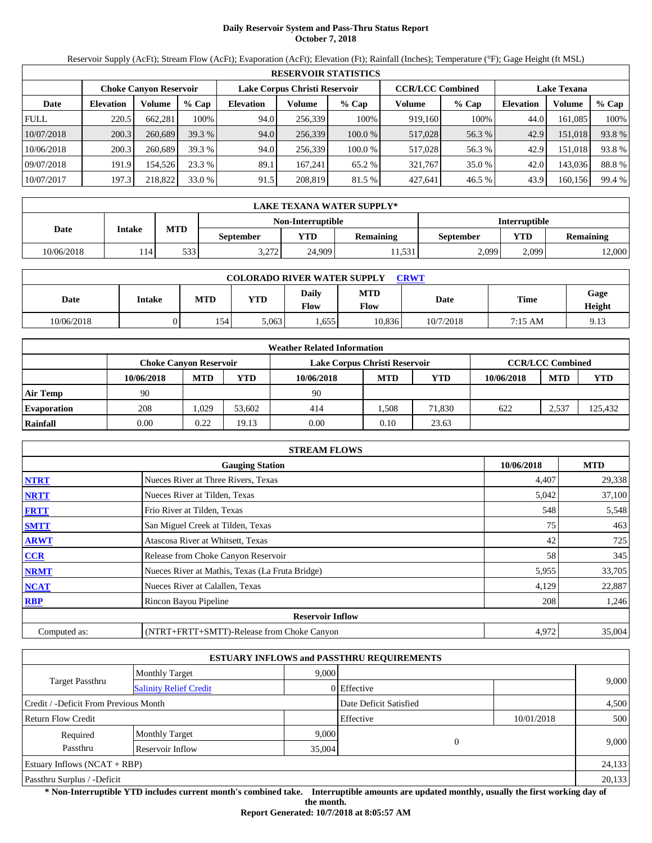# **Daily Reservoir System and Pass-Thru Status Report October 7, 2018**

Reservoir Supply (AcFt); Stream Flow (AcFt); Evaporation (AcFt); Elevation (Ft); Rainfall (Inches); Temperature (°F); Gage Height (ft MSL)

|             | <b>RESERVOIR STATISTICS</b> |                               |         |                               |         |         |                         |         |                    |         |        |  |
|-------------|-----------------------------|-------------------------------|---------|-------------------------------|---------|---------|-------------------------|---------|--------------------|---------|--------|--|
|             |                             | <b>Choke Canyon Reservoir</b> |         | Lake Corpus Christi Reservoir |         |         | <b>CCR/LCC Combined</b> |         | <b>Lake Texana</b> |         |        |  |
| Date        | <b>Elevation</b>            | Volume                        | $%$ Cap | <b>Elevation</b>              | Volume  | $%$ Cap | Volume                  | $%$ Cap | <b>Elevation</b>   | Volume  | % Cap  |  |
| <b>FULL</b> | 220.5                       | 662,281                       | 100%    | 94.0                          | 256,339 | 100%    | 919,160                 | 100%    | 44.0               | 161.085 | 100%   |  |
| 10/07/2018  | 200.3                       | 260,689                       | 39.3%   | 94.0                          | 256,339 | 100.0 % | 517,028                 | 56.3 %  | 42.9               | 151,018 | 93.8 % |  |
| 10/06/2018  | 200.3                       | 260,689                       | 39.3 %  | 94.0                          | 256.339 | 100.0 % | 517,028                 | 56.3 %  | 42.9               | 151,018 | 93.8 % |  |
| 09/07/2018  | 191.9                       | 154.526                       | 23.3 %  | 89.1                          | 167.241 | 65.2 %  | 321,767                 | 35.0 %  | 42.0               | 143,036 | 88.8%  |  |
| 10/07/2017  | 197.3                       | 218,822                       | 33.0 %  | 91.5                          | 208,819 | 81.5 %  | 427,641                 | 46.5 %  | 43.9               | 160,156 | 99.4 % |  |

|            | LAKE TEXANA WATER SUPPLY* |            |           |                   |                  |                      |       |                  |  |  |  |
|------------|---------------------------|------------|-----------|-------------------|------------------|----------------------|-------|------------------|--|--|--|
|            | Intake                    |            |           | Non-Interruptible |                  | <b>Interruptible</b> |       |                  |  |  |  |
| Date       |                           | <b>MTD</b> | September | YTD               | <b>Remaining</b> | September            | YTD   | <b>Remaining</b> |  |  |  |
| 10/06/2018 | 14                        | 533        | 3.272     | 24,909            | 11.531           | 2.099                | 2.099 | 12,000           |  |  |  |

| <b>COLORADO RIVER WATER SUPPLY</b><br>CRWT |        |            |            |                      |                    |           |         |                |  |  |
|--------------------------------------------|--------|------------|------------|----------------------|--------------------|-----------|---------|----------------|--|--|
| Date                                       | Intake | <b>MTD</b> | <b>YTD</b> | Daily<br><b>Flow</b> | <b>MTD</b><br>Flow | Date      | Time    | Gage<br>Height |  |  |
| 10/06/2018                                 |        | 154        | 5,063      | .655                 | 10.836             | 10/7/2018 | 7:15 AM | 9.13           |  |  |

|                    | <b>Weather Related Information</b> |            |        |                               |                         |            |            |            |            |  |  |
|--------------------|------------------------------------|------------|--------|-------------------------------|-------------------------|------------|------------|------------|------------|--|--|
|                    | Choke Canvon Reservoir             |            |        | Lake Corpus Christi Reservoir | <b>CCR/LCC Combined</b> |            |            |            |            |  |  |
|                    | 10/06/2018                         | <b>MTD</b> | YTD    | 10/06/2018                    | <b>MTD</b>              | <b>YTD</b> | 10/06/2018 | <b>MTD</b> | <b>YTD</b> |  |  |
| <b>Air Temp</b>    | 90                                 |            |        | 90                            |                         |            |            |            |            |  |  |
| <b>Evaporation</b> | 208                                | .029       | 53,602 | 414                           | .508                    | 71.830     | 622        | 2,537      | 125,432    |  |  |
| Rainfall           | 0.00                               | 0.22       | 19.13  | 0.00                          | 0.10                    | 23.63      |            |            |            |  |  |

|              | <b>STREAM FLOWS</b>                             |            |            |
|--------------|-------------------------------------------------|------------|------------|
|              | <b>Gauging Station</b>                          | 10/06/2018 | <b>MTD</b> |
| <b>NTRT</b>  | Nueces River at Three Rivers, Texas             | 4,407      | 29,338     |
| <b>NRTT</b>  | Nueces River at Tilden, Texas                   | 5,042      | 37,100     |
| <b>FRTT</b>  | Frio River at Tilden, Texas                     | 548        | 5,548      |
| <b>SMTT</b>  | San Miguel Creek at Tilden, Texas               | 75         | 463        |
| <b>ARWT</b>  | Atascosa River at Whitsett, Texas               | 42         | 725        |
| <b>CCR</b>   | Release from Choke Canyon Reservoir             | 58         | 345        |
| <b>NRMT</b>  | Nueces River at Mathis, Texas (La Fruta Bridge) | 5,955      | 33,705     |
| <b>NCAT</b>  | Nueces River at Calallen, Texas                 | 4,129      | 22,887     |
| <b>RBP</b>   | Rincon Bayou Pipeline                           | 208        | 1,246      |
|              | <b>Reservoir Inflow</b>                         |            |            |
| Computed as: | (NTRT+FRTT+SMTT)-Release from Choke Canyon      | 4,972      | 35,004     |

|                                       |                               |       | <b>ESTUARY INFLOWS and PASSTHRU REQUIREMENTS</b> |            |       |  |
|---------------------------------------|-------------------------------|-------|--------------------------------------------------|------------|-------|--|
|                                       | <b>Monthly Target</b>         | 9,000 |                                                  |            |       |  |
| Target Passthru                       | <b>Salinity Relief Credit</b> |       | 0 Effective                                      |            | 9,000 |  |
| Credit / -Deficit From Previous Month |                               |       | Date Deficit Satisfied                           |            | 4,500 |  |
| <b>Return Flow Credit</b>             |                               |       | Effective                                        | 10/01/2018 | 500   |  |
| Required                              | <b>Monthly Target</b>         | 9,000 |                                                  |            |       |  |
| Passthru<br>Reservoir Inflow          |                               |       | $\Omega$<br>35,004                               |            | 9,000 |  |
| Estuary Inflows $(NCAT + RBP)$        |                               |       |                                                  | 24,133     |       |  |
| Passthru Surplus / -Deficit           |                               |       |                                                  |            |       |  |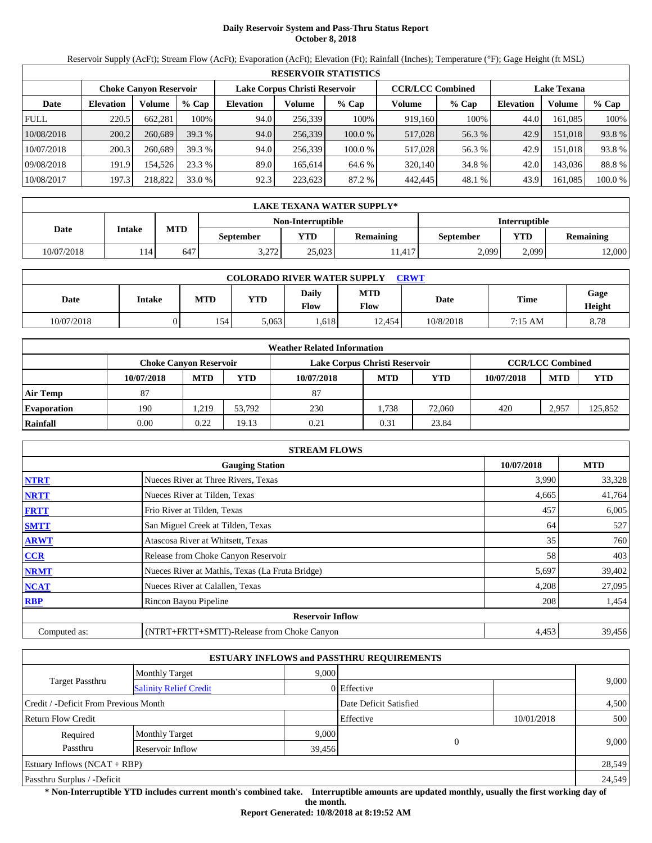# **Daily Reservoir System and Pass-Thru Status Report October 8, 2018**

Reservoir Supply (AcFt); Stream Flow (AcFt); Evaporation (AcFt); Elevation (Ft); Rainfall (Inches); Temperature (°F); Gage Height (ft MSL)

|             | <b>RESERVOIR STATISTICS</b> |                               |         |                               |         |         |                         |         |                    |          |        |  |  |
|-------------|-----------------------------|-------------------------------|---------|-------------------------------|---------|---------|-------------------------|---------|--------------------|----------|--------|--|--|
|             |                             | <b>Choke Canvon Reservoir</b> |         | Lake Corpus Christi Reservoir |         |         | <b>CCR/LCC Combined</b> |         | <b>Lake Texana</b> |          |        |  |  |
| Date        | <b>Elevation</b>            | Volume                        | $%$ Cap | <b>Elevation</b>              | Volume  | $%$ Cap | Volume                  | $%$ Cap | <b>Elevation</b>   | Volume   | % Cap  |  |  |
| <b>FULL</b> | 220.5                       | 662.281                       | 100%    | 94.0                          | 256.339 | 100%    | 919.160                 | 100%    | 44.0               | 161.085  | 100%   |  |  |
| 10/08/2018  | 200.2                       | 260,689                       | 39.3%   | 94.0                          | 256,339 | 100.0%  | 517,028                 | 56.3 %  | 42.9               | 151.018  | 93.8 % |  |  |
| 10/07/2018  | 200.3                       | 260,689                       | 39.3 %  | 94.0                          | 256.339 | 100.0%  | 517,028                 | 56.3 %  | 42.9               | 151.0181 | 93.8 % |  |  |
| 09/08/2018  | 191.9                       | 154.526                       | 23.3 %  | 89.0                          | 165,614 | 64.6 %  | 320,140                 | 34.8 %  | 42.0               | 143,036  | 88.8%  |  |  |
| 10/08/2017  | 197.3                       | 218,822                       | 33.0 %  | 92.3                          | 223.623 | 87.2 %  | 442,445                 | 48.1 %  | 43.9               | 161,085  | 100.0% |  |  |

|            | LAKE TEXANA WATER SUPPLY* |            |           |                   |                  |                      |       |                  |  |  |
|------------|---------------------------|------------|-----------|-------------------|------------------|----------------------|-------|------------------|--|--|
|            | Intake                    |            |           | Non-Interruptible |                  | <b>Interruptible</b> |       |                  |  |  |
| Date       |                           | <b>MTD</b> | September | <b>YTD</b>        | <b>Remaining</b> | September            | YTD   | <b>Remaining</b> |  |  |
| 10/07/2018 | 114                       | 647        | 3.272     | 25.023            | 11.417           | 2.099                | 2.099 | 12,000           |  |  |

| <b>COLORADO RIVER WATER SUPPLY</b><br><b>CRWT</b> |        |            |            |                      |                    |           |         |                |  |  |
|---------------------------------------------------|--------|------------|------------|----------------------|--------------------|-----------|---------|----------------|--|--|
| Date                                              | Intake | <b>MTD</b> | <b>YTD</b> | Daily<br><b>Flow</b> | <b>MTD</b><br>Flow | Date      | Time    | Gage<br>Height |  |  |
| 10/07/2018                                        |        | 154        | 5,063      | .618                 | 12.454             | 10/8/2018 | 7:15 AM | 8.78           |  |  |

|                    | <b>Weather Related Information</b> |            |        |                               |                         |            |            |            |            |  |  |
|--------------------|------------------------------------|------------|--------|-------------------------------|-------------------------|------------|------------|------------|------------|--|--|
|                    | Choke Canvon Reservoir             |            |        | Lake Corpus Christi Reservoir | <b>CCR/LCC Combined</b> |            |            |            |            |  |  |
|                    | 10/07/2018                         | <b>MTD</b> | YTD    | 10/07/2018                    | <b>MTD</b>              | <b>YTD</b> | 10/07/2018 | <b>MTD</b> | <b>YTD</b> |  |  |
| <b>Air Temp</b>    | 87                                 |            |        | 87                            |                         |            |            |            |            |  |  |
| <b>Evaporation</b> | 190                                | .219       | 53.792 | 230                           | .738                    | 72,060     | 420        | 2,957      | 125,852    |  |  |
| Rainfall           | 0.00                               | 0.22       | 19.13  | 0.21                          | 0.31                    | 23.84      |            |            |            |  |  |

|              | <b>STREAM FLOWS</b>                             |            |            |
|--------------|-------------------------------------------------|------------|------------|
|              | <b>Gauging Station</b>                          | 10/07/2018 | <b>MTD</b> |
| <b>NTRT</b>  | Nueces River at Three Rivers, Texas             | 3,990      | 33,328     |
| <b>NRTT</b>  | Nueces River at Tilden, Texas                   | 4,665      | 41,764     |
| <b>FRTT</b>  | Frio River at Tilden, Texas                     | 457        | 6,005      |
| <b>SMTT</b>  | San Miguel Creek at Tilden, Texas               | 64         | 527        |
| <b>ARWT</b>  | Atascosa River at Whitsett, Texas               | 35         | 760        |
| CCR          | Release from Choke Canyon Reservoir             | 58         | 403        |
| <b>NRMT</b>  | Nueces River at Mathis, Texas (La Fruta Bridge) | 5,697      | 39,402     |
| <b>NCAT</b>  | Nueces River at Calallen, Texas                 | 4,208      | 27,095     |
| <b>RBP</b>   | Rincon Bayou Pipeline                           | 208        | 1,454      |
|              | <b>Reservoir Inflow</b>                         |            |            |
| Computed as: | (NTRT+FRTT+SMTT)-Release from Choke Canyon      | 4,453      | 39,456     |

|                                       |                               |       | <b>ESTUARY INFLOWS and PASSTHRU REQUIREMENTS</b> |            |        |  |
|---------------------------------------|-------------------------------|-------|--------------------------------------------------|------------|--------|--|
|                                       | <b>Monthly Target</b>         | 9,000 |                                                  |            |        |  |
| Target Passthru                       | <b>Salinity Relief Credit</b> |       | 0 Effective                                      |            | 9,000  |  |
| Credit / -Deficit From Previous Month |                               |       | Date Deficit Satisfied                           |            | 4,500  |  |
| <b>Return Flow Credit</b>             |                               |       | Effective                                        | 10/01/2018 | 500    |  |
| Required                              | <b>Monthly Target</b>         | 9,000 |                                                  |            |        |  |
| Passthru                              | Reservoir Inflow<br>39,456    |       |                                                  | $\theta$   | 9,000  |  |
| Estuary Inflows $(NCAT + RBP)$        |                               |       |                                                  |            | 28,549 |  |
| Passthru Surplus / -Deficit           |                               |       |                                                  |            | 24,549 |  |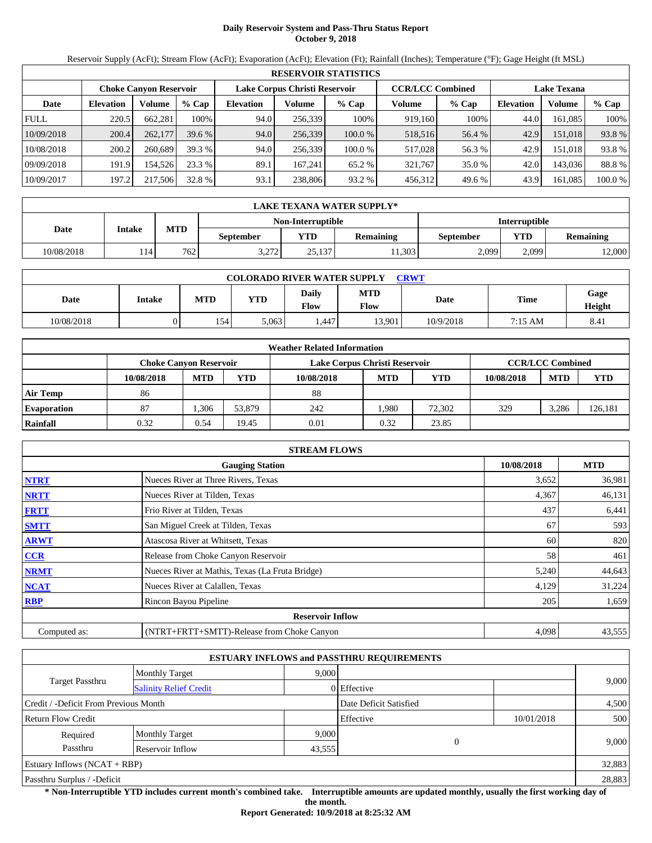# **Daily Reservoir System and Pass-Thru Status Report October 9, 2018**

Reservoir Supply (AcFt); Stream Flow (AcFt); Evaporation (AcFt); Elevation (Ft); Rainfall (Inches); Temperature (°F); Gage Height (ft MSL)

|             | <b>RESERVOIR STATISTICS</b> |                               |         |                               |                         |         |                    |         |                  |         |         |  |
|-------------|-----------------------------|-------------------------------|---------|-------------------------------|-------------------------|---------|--------------------|---------|------------------|---------|---------|--|
|             |                             | <b>Choke Canvon Reservoir</b> |         | Lake Corpus Christi Reservoir | <b>CCR/LCC Combined</b> |         | <b>Lake Texana</b> |         |                  |         |         |  |
| Date        | <b>Elevation</b>            | Volume                        | $%$ Cap | <b>Elevation</b>              | Volume                  | $%$ Cap | Volume             | $%$ Cap | <b>Elevation</b> | Volume  | % Cap   |  |
| <b>FULL</b> | 220.5                       | 662.281                       | 100%    | 94.0                          | 256,339                 | 100%    | 919.160            | 100%    | 44.0             | 161.085 | 100%    |  |
| 10/09/2018  | 200.4                       | 262,177                       | 39.6%   | 94.0                          | 256,339                 | 100.0 % | 518,516            | 56.4 %  | 42.9             | 151.018 | 93.8%   |  |
| 10/08/2018  | 200.2                       | 260,689                       | 39.3 %  | 94.0                          | 256,339                 | 100.0 % | 517,028            | 56.3 %  | 42.9             | 151.018 | 93.8%   |  |
| 09/09/2018  | 191.9                       | 154.526                       | 23.3 %  | 89.1                          | 167.241                 | 65.2 %  | 321.767            | 35.0 %  | 42.0             | 143.036 | 88.8%   |  |
| 10/09/2017  | 197.2                       | 217,506                       | 32.8 %  | 93.1                          | 238,806                 | 93.2 %  | 456.312            | 49.6 %  | 43.9             | 161.085 | 100.0 % |  |

|            | LAKE TEXANA WATER SUPPLY* |                                                 |       |                   |           |                      |                  |        |  |  |  |
|------------|---------------------------|-------------------------------------------------|-------|-------------------|-----------|----------------------|------------------|--------|--|--|--|
|            |                           |                                                 |       | Non-Interruptible |           | <b>Interruptible</b> |                  |        |  |  |  |
| Date       |                           | <b>MTD</b><br>Intake<br><b>YTD</b><br>September |       | <b>Remaining</b>  | September | YTD                  | <b>Remaining</b> |        |  |  |  |
| 10/08/2018 | 114                       | 762                                             | 3.272 | 25.137            | 1,303     | 2.099                | 2.099            | 12,000 |  |  |  |

| <b>COLORADO RIVER WATER SUPPLY</b><br>CRWT |        |            |            |                      |                    |           |         |                |  |  |
|--------------------------------------------|--------|------------|------------|----------------------|--------------------|-----------|---------|----------------|--|--|
| Date                                       | Intake | <b>MTD</b> | <b>YTD</b> | Daily<br><b>Flow</b> | <b>MTD</b><br>Flow | Date      | Time    | Gage<br>Height |  |  |
| 10/08/2018                                 |        | 154        | 5,063      | .447                 | 13.901             | 10/9/2018 | 7:15 AM | 8.41           |  |  |

|                    | <b>Weather Related Information</b> |                                                                                    |        |            |            |            |            |            |            |  |  |
|--------------------|------------------------------------|------------------------------------------------------------------------------------|--------|------------|------------|------------|------------|------------|------------|--|--|
|                    |                                    | <b>CCR/LCC Combined</b><br>Lake Corpus Christi Reservoir<br>Choke Canvon Reservoir |        |            |            |            |            |            |            |  |  |
|                    | 10/08/2018                         | <b>MTD</b>                                                                         | YTD    | 10/08/2018 | <b>MTD</b> | <b>YTD</b> | 10/08/2018 | <b>MTD</b> | <b>YTD</b> |  |  |
| <b>Air Temp</b>    | 86                                 |                                                                                    |        | 88         |            |            |            |            |            |  |  |
| <b>Evaporation</b> | 87                                 | .306                                                                               | 53,879 | 242        | .980       | 72,302     | 329        | 3,286      | 126,181    |  |  |
| Rainfall           | 0.32                               | 0.54                                                                               | 19.45  | 0.01       | 0.32       | 23.85      |            |            |            |  |  |

|              | <b>STREAM FLOWS</b>                             |            |            |
|--------------|-------------------------------------------------|------------|------------|
|              | <b>Gauging Station</b>                          | 10/08/2018 | <b>MTD</b> |
| <b>NTRT</b>  | Nueces River at Three Rivers, Texas             | 3,652      | 36,981     |
| <b>NRTT</b>  | Nueces River at Tilden, Texas                   | 4,367      | 46,131     |
| <b>FRTT</b>  | Frio River at Tilden, Texas                     | 437        | 6,441      |
| <b>SMTT</b>  | San Miguel Creek at Tilden, Texas               | 67         | 593        |
| <b>ARWT</b>  | Atascosa River at Whitsett, Texas               | 60         | 820        |
| <b>CCR</b>   | Release from Choke Canyon Reservoir             | 58         | 461        |
| <b>NRMT</b>  | Nueces River at Mathis, Texas (La Fruta Bridge) | 5,240      | 44,643     |
| <b>NCAT</b>  | Nueces River at Calallen, Texas                 | 4,129      | 31,224     |
| <b>RBP</b>   | Rincon Bayou Pipeline                           | 205        | 1,659      |
|              | <b>Reservoir Inflow</b>                         |            |            |
| Computed as: | (NTRT+FRTT+SMTT)-Release from Choke Canyon      | 4,098      | 43,555     |

|                                       |                               |        | <b>ESTUARY INFLOWS and PASSTHRU REQUIREMENTS</b> |          |            |        |
|---------------------------------------|-------------------------------|--------|--------------------------------------------------|----------|------------|--------|
|                                       | <b>Monthly Target</b>         | 9.000  |                                                  |          |            |        |
| Target Passthru                       | <b>Salinity Relief Credit</b> |        | 0 Effective                                      |          | 9,000      |        |
| Credit / -Deficit From Previous Month |                               |        | Date Deficit Satisfied                           |          |            | 4,500  |
| <b>Return Flow Credit</b>             |                               |        | Effective                                        |          | 10/01/2018 | 500    |
| Required                              | <b>Monthly Target</b>         | 9,000  |                                                  |          |            |        |
| Passthru                              | Reservoir Inflow              | 43,555 |                                                  | $\theta$ |            | 9,000  |
| Estuary Inflows $(NCAT + RBP)$        |                               |        |                                                  |          |            | 32,883 |
| Passthru Surplus / -Deficit           |                               |        |                                                  |          |            | 28,883 |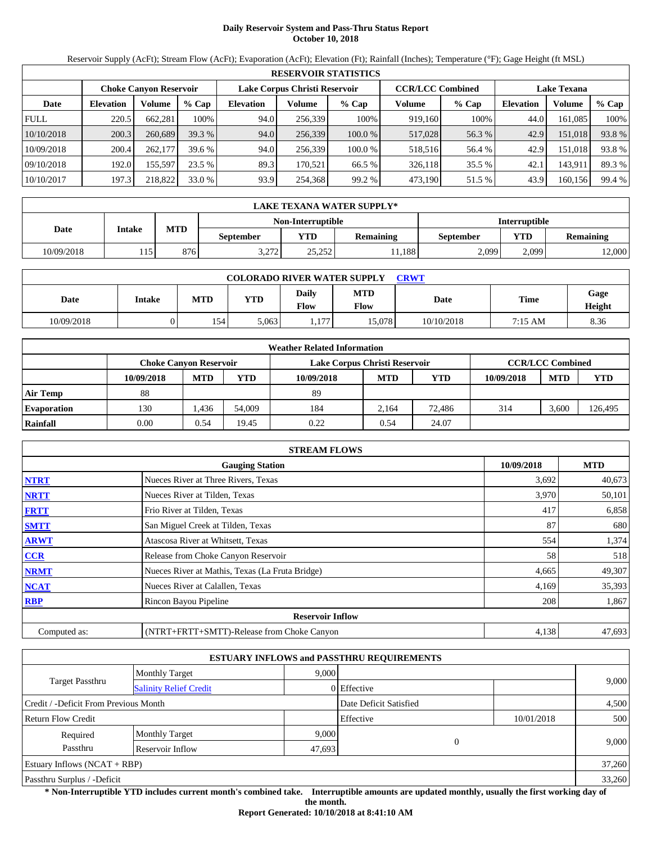# **Daily Reservoir System and Pass-Thru Status Report October 10, 2018**

Reservoir Supply (AcFt); Stream Flow (AcFt); Evaporation (AcFt); Elevation (Ft); Rainfall (Inches); Temperature (°F); Gage Height (ft MSL)

|             | <b>RESERVOIR STATISTICS</b> |                               |         |                               |         |         |                         |         |                    |         |        |  |
|-------------|-----------------------------|-------------------------------|---------|-------------------------------|---------|---------|-------------------------|---------|--------------------|---------|--------|--|
|             |                             | <b>Choke Canyon Reservoir</b> |         | Lake Corpus Christi Reservoir |         |         | <b>CCR/LCC Combined</b> |         | <b>Lake Texana</b> |         |        |  |
| Date        | <b>Elevation</b>            | Volume                        | $%$ Cap | <b>Elevation</b>              | Volume  | $%$ Cap | Volume                  | $%$ Cap | <b>Elevation</b>   | Volume  | % Cap  |  |
| <b>FULL</b> | 220.5                       | 662,281                       | 100%    | 94.0                          | 256,339 | 100%    | 919.160                 | 100%    | 44.0               | 161,085 | 100%   |  |
| 10/10/2018  | 200.3                       | 260,689                       | 39.3 %  | 94.0                          | 256,339 | 100.0 % | 517,028                 | 56.3 %  | 42.9               | 151,018 | 93.8%  |  |
| 10/09/2018  | 200.4                       | 262,177                       | 39.6%   | 94.0                          | 256,339 | 100.0 % | 518,516                 | 56.4 %  | 42.9               | 151,018 | 93.8%  |  |
| 09/10/2018  | 192.0                       | 155,597                       | 23.5 %  | 89.3                          | 170,521 | 66.5 %  | 326,118                 | 35.5 %  | 42.1               | 143,911 | 89.3 % |  |
| 10/10/2017  | 197.3                       | 218,822                       | 33.0 %  | 93.9                          | 254,368 | 99.2 %  | 473,190                 | 51.5 %  | 43.9               | 160,156 | 99.4 % |  |

|            | LAKE TEXANA WATER SUPPLY* |            |                  |                                             |        |                      |       |                  |  |  |  |
|------------|---------------------------|------------|------------------|---------------------------------------------|--------|----------------------|-------|------------------|--|--|--|
|            |                           |            |                  | Non-Interruptible                           |        | <b>Interruptible</b> |       |                  |  |  |  |
| Date       | Intake                    | <b>MTD</b> | <b>September</b> | <b>VTD</b><br><b>Remaining</b><br>September |        |                      | YTD   | <b>Remaining</b> |  |  |  |
| 10/09/2018 | 115                       | 876        | 3 772<br>3.212   | 2525<br>ے بے دے                             | .1.188 | 2,099                | 2.099 | 12,000           |  |  |  |

| <b>COLORADO RIVER WATER SUPPLY</b><br>CRWT |               |            |            |               |                           |             |         |                |  |  |
|--------------------------------------------|---------------|------------|------------|---------------|---------------------------|-------------|---------|----------------|--|--|
| Date                                       | <b>Intake</b> | <b>MTD</b> | <b>YTD</b> | Daily<br>Flow | <b>MTD</b><br><b>Flow</b> | <b>Date</b> | Time    | Gage<br>Height |  |  |
| 10/09/2018                                 |               | 154        | 5,063      | 177<br>.      | 15.078                    | 10/10/2018  | 7:15 AM | 8.36           |  |  |

| <b>Weather Related Information</b> |                                                                                    |            |        |            |            |        |            |            |         |  |
|------------------------------------|------------------------------------------------------------------------------------|------------|--------|------------|------------|--------|------------|------------|---------|--|
|                                    | <b>CCR/LCC Combined</b><br>Lake Corpus Christi Reservoir<br>Choke Canvon Reservoir |            |        |            |            |        |            |            |         |  |
|                                    | 10/09/2018                                                                         | <b>MTD</b> | YTD    | 10/09/2018 | <b>MTD</b> | YTD    | 10/09/2018 | <b>MTD</b> | YTD     |  |
| <b>Air Temp</b>                    | 88                                                                                 |            |        | 89         |            |        |            |            |         |  |
| <b>Evaporation</b>                 | 130                                                                                | .436       | 54,009 | 184        | 2.164      | 72.486 | 314        | 3,600      | 126,495 |  |
| Rainfall                           | 0.00                                                                               | 0.54       | 19.45  | 0.22       | 0.54       | 24.07  |            |            |         |  |

|              | <b>STREAM FLOWS</b>                             |            |            |
|--------------|-------------------------------------------------|------------|------------|
|              | <b>Gauging Station</b>                          | 10/09/2018 | <b>MTD</b> |
| <b>NTRT</b>  | Nueces River at Three Rivers, Texas             | 3,692      | 40,673     |
| <b>NRTT</b>  | Nueces River at Tilden, Texas                   | 3,970      | 50,101     |
| <b>FRTT</b>  | Frio River at Tilden, Texas                     | 417        | 6,858      |
| <b>SMTT</b>  | San Miguel Creek at Tilden, Texas               | 87         | 680        |
| <b>ARWT</b>  | Atascosa River at Whitsett, Texas               | 554        | 1,374      |
| <b>CCR</b>   | Release from Choke Canyon Reservoir             | 58         | 518        |
| <b>NRMT</b>  | Nueces River at Mathis, Texas (La Fruta Bridge) | 4,665      | 49,307     |
| <b>NCAT</b>  | Nueces River at Calallen, Texas                 | 4,169      | 35,393     |
| <b>RBP</b>   | Rincon Bayou Pipeline                           | 208        | 1,867      |
|              | <b>Reservoir Inflow</b>                         |            |            |
| Computed as: | (NTRT+FRTT+SMTT)-Release from Choke Canyon      | 4,138      | 47,693     |

|                                       |                               |             | <b>ESTUARY INFLOWS and PASSTHRU REQUIREMENTS</b> |       |            |        |
|---------------------------------------|-------------------------------|-------------|--------------------------------------------------|-------|------------|--------|
|                                       | <b>Monthly Target</b>         | 9,000       |                                                  |       |            |        |
| Target Passthru                       | <b>Salinity Relief Credit</b> | 0 Effective |                                                  | 9,000 |            |        |
| Credit / -Deficit From Previous Month |                               |             | Date Deficit Satisfied                           |       |            | 4,500  |
| <b>Return Flow Credit</b>             |                               |             | Effective                                        |       | 10/01/2018 | 500    |
| Required                              | <b>Monthly Target</b>         | 9,000       |                                                  |       |            |        |
| Passthru                              | Reservoir Inflow              | 47,693      | $\Omega$                                         |       | 9,000      |        |
| Estuary Inflows $(NCAT + RBP)$        |                               |             |                                                  |       |            | 37,260 |
| Passthru Surplus / -Deficit           |                               |             |                                                  |       |            | 33,260 |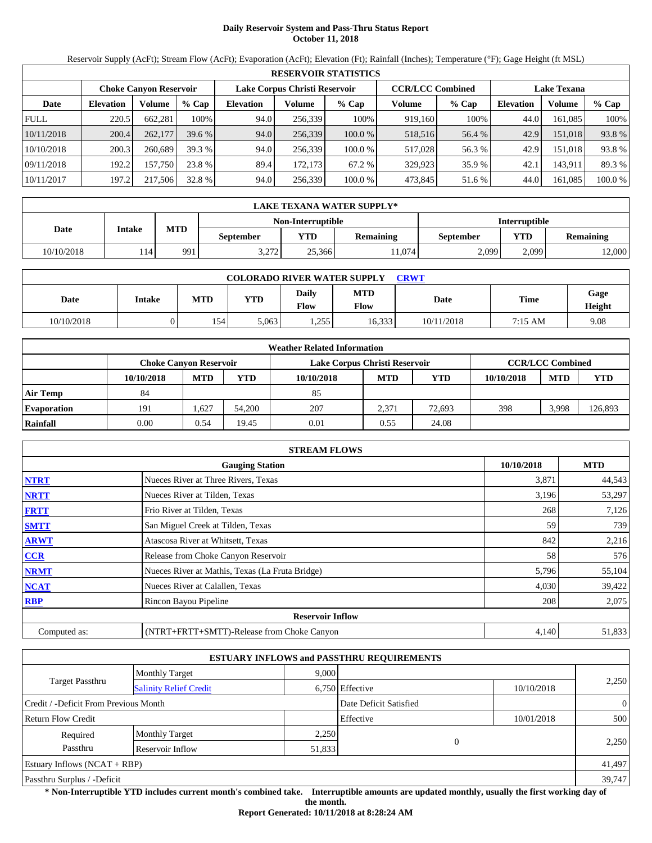# **Daily Reservoir System and Pass-Thru Status Report October 11, 2018**

Reservoir Supply (AcFt); Stream Flow (AcFt); Evaporation (AcFt); Elevation (Ft); Rainfall (Inches); Temperature (°F); Gage Height (ft MSL)

|             | <b>RESERVOIR STATISTICS</b> |                        |          |           |                               |         |                         |         |                    |          |         |  |  |
|-------------|-----------------------------|------------------------|----------|-----------|-------------------------------|---------|-------------------------|---------|--------------------|----------|---------|--|--|
|             |                             | Choke Canvon Reservoir |          |           | Lake Corpus Christi Reservoir |         | <b>CCR/LCC Combined</b> |         | <b>Lake Texana</b> |          |         |  |  |
| Date        | <b>Elevation</b>            | Volume                 | $%$ Cap  | Elevation | Volume                        | $%$ Cap | Volume                  | $%$ Cap | <b>Elevation</b>   | Volume   | $%$ Cap |  |  |
| <b>FULL</b> | 220.5                       | 662.281                | 100%     | 94.0      | 256.339                       | 100%    | 919.160                 | 100%    | 44.0               | 161.085  | 100%    |  |  |
| 10/11/2018  | 200.4                       | 262,177                | $39.6\%$ | 94.0      | 256,339                       | 100.0%  | 518,516                 | 56.4 %  | 42.9               | 151.018  | 93.8 %  |  |  |
| 10/10/2018  | 200.3                       | 260,689                | 39.3 %   | 94.0      | 256.339                       | 100.0 % | 517,028                 | 56.3 %  | 42.9               | 151.0181 | 93.8 %  |  |  |
| 09/11/2018  | 192.2                       | 157.750                | 23.8 %   | 89.4      | 172,173                       | 67.2 %  | 329.923                 | 35.9 %  | 42.                | 143.911  | 89.3 %  |  |  |
| 10/11/2017  | 197.2                       | 217,506                | 32.8 %   | 94.0      | 256,339                       | 100.0 % | 473,845                 | 51.6 %  | 44.0               | 161,085  | 100.0 % |  |  |

|            | LAKE TEXANA WATER SUPPLY* |            |                  |                   |                  |                      |                         |        |  |  |  |
|------------|---------------------------|------------|------------------|-------------------|------------------|----------------------|-------------------------|--------|--|--|--|
|            |                           |            |                  | Non-Interruptible |                  | <b>Interruptible</b> |                         |        |  |  |  |
| Date       | Intake                    | <b>MTD</b> | <b>September</b> | <b>YTD</b>        | <b>Remaining</b> | September            | YTD<br><b>Remaining</b> |        |  |  |  |
| 10/10/2018 |                           | 991        | 3.272            | 25.366            | 1.074            | 2.099                | 2.099                   | 12,000 |  |  |  |

| <b>COLORADO RIVER WATER SUPPLY</b><br>CRWT |               |            |            |               |                           |            |         |                       |  |  |
|--------------------------------------------|---------------|------------|------------|---------------|---------------------------|------------|---------|-----------------------|--|--|
| Date                                       | <b>Intake</b> | <b>MTD</b> | <b>YTD</b> | Daily<br>Flow | <b>MTD</b><br><b>Flow</b> | Date       | Time    | Gage<br><b>Height</b> |  |  |
| 10/10/2018                                 |               | 154        | 5.063      | .255          | 16,333                    | 10/11/2018 | 7:15 AM | 9.08                  |  |  |

|                    | <b>Weather Related Information</b>                                                 |            |        |            |            |        |            |            |            |  |  |
|--------------------|------------------------------------------------------------------------------------|------------|--------|------------|------------|--------|------------|------------|------------|--|--|
|                    | <b>CCR/LCC Combined</b><br>Lake Corpus Christi Reservoir<br>Choke Canvon Reservoir |            |        |            |            |        |            |            |            |  |  |
|                    | 10/10/2018                                                                         | <b>MTD</b> | YTD    | 10/10/2018 | <b>MTD</b> | YTD    | 10/10/2018 | <b>MTD</b> | <b>YTD</b> |  |  |
| <b>Air Temp</b>    | 84                                                                                 |            |        | 85         |            |        |            |            |            |  |  |
| <b>Evaporation</b> | 191                                                                                | .627       | 54,200 | 207        | 2.371      | 72.693 | 398        | 3,998      | 126,893    |  |  |
| Rainfall           | 0.00                                                                               | 0.54       | 19.45  | 0.01       | 0.55       | 24.08  |            |            |            |  |  |

|              | <b>STREAM FLOWS</b>                             |            |            |
|--------------|-------------------------------------------------|------------|------------|
|              | <b>Gauging Station</b>                          | 10/10/2018 | <b>MTD</b> |
| <b>NTRT</b>  | Nueces River at Three Rivers, Texas             | 3,871      | 44,543     |
| <b>NRTT</b>  | Nueces River at Tilden, Texas                   | 3,196      | 53,297     |
| <b>FRTT</b>  | Frio River at Tilden, Texas                     | 268        | 7,126      |
| <b>SMTT</b>  | San Miguel Creek at Tilden, Texas               | 59         | 739        |
| <b>ARWT</b>  | Atascosa River at Whitsett, Texas               | 842        | 2,216      |
| <b>CCR</b>   | Release from Choke Canyon Reservoir             | 58         | 576        |
| <b>NRMT</b>  | Nueces River at Mathis, Texas (La Fruta Bridge) | 5,796      | 55,104     |
| <b>NCAT</b>  | Nueces River at Calallen, Texas                 | 4,030      | 39,422     |
| <b>RBP</b>   | Rincon Bayou Pipeline                           | 208        | 2,075      |
|              | <b>Reservoir Inflow</b>                         |            |            |
| Computed as: | (NTRT+FRTT+SMTT)-Release from Choke Canyon      | 4,140      | 51,833     |

|                                       |                               |        | <b>ESTUARY INFLOWS and PASSTHRU REQUIREMENTS</b> |              |                |
|---------------------------------------|-------------------------------|--------|--------------------------------------------------|--------------|----------------|
|                                       | <b>Monthly Target</b>         | 9,000  |                                                  |              |                |
| Target Passthru                       | <b>Salinity Relief Credit</b> |        | 6,750 Effective                                  | 10/10/2018   | 2,250          |
| Credit / -Deficit From Previous Month |                               |        | Date Deficit Satisfied                           |              | $\overline{0}$ |
| <b>Return Flow Credit</b>             |                               |        | Effective                                        | 10/01/2018   | 500            |
| Required                              | <b>Monthly Target</b>         | 2,250  |                                                  |              |                |
| Passthru                              | Reservoir Inflow              | 51,833 |                                                  | $\mathbf{0}$ | 2,250          |
| Estuary Inflows $(NCAT + RBP)$        |                               |        |                                                  |              | 41,497         |
| Passthru Surplus / -Deficit           |                               |        |                                                  |              | 39,747         |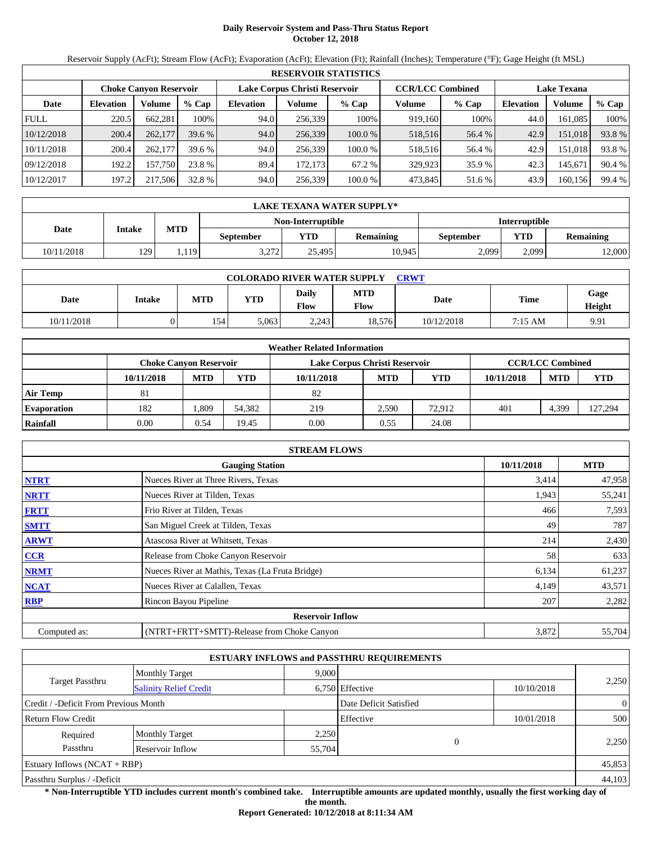# **Daily Reservoir System and Pass-Thru Status Report October 12, 2018**

Reservoir Supply (AcFt); Stream Flow (AcFt); Evaporation (AcFt); Elevation (Ft); Rainfall (Inches); Temperature (°F); Gage Height (ft MSL)

|             | <b>RESERVOIR STATISTICS</b> |                               |         |                               |         |         |                         |         |                    |         |        |  |  |
|-------------|-----------------------------|-------------------------------|---------|-------------------------------|---------|---------|-------------------------|---------|--------------------|---------|--------|--|--|
|             |                             | <b>Choke Canyon Reservoir</b> |         | Lake Corpus Christi Reservoir |         |         | <b>CCR/LCC Combined</b> |         | <b>Lake Texana</b> |         |        |  |  |
| Date        | <b>Elevation</b>            | Volume                        | $%$ Cap | <b>Elevation</b>              | Volume  | $%$ Cap | Volume                  | $%$ Cap | <b>Elevation</b>   | Volume  | % Cap  |  |  |
| <b>FULL</b> | 220.5                       | 662,281                       | 100%    | 94.0                          | 256,339 | 100%    | 919,160                 | 100%    | 44.0               | 161,085 | 100%   |  |  |
| 10/12/2018  | 200.4                       | 262,177                       | 39.6%   | 94.0                          | 256,339 | 100.0 % | 518,516                 | 56.4 %  | 42.9               | 151,018 | 93.8%  |  |  |
| 10/11/2018  | 200.4                       | 262,177                       | 39.6%   | 94.0                          | 256.339 | 100.0 % | 518,516                 | 56.4 %  | 42.9               | 151.018 | 93.8%  |  |  |
| 09/12/2018  | 192.2                       | 157.750                       | 23.8 %  | 89.4                          | 172,173 | 67.2 %  | 329,923                 | 35.9 %  | 42.3               | 145,671 | 90.4 % |  |  |
| 10/12/2017  | 197.2                       | 217,506                       | 32.8 %  | 94.0                          | 256,339 | 100.0 % | 473,845                 | 51.6 %  | 43.9               | 160,156 | 99.4 % |  |  |

|            | <b>LAKE TEXANA WATER SUPPLY*</b> |            |                  |                   |                  |                      |                  |        |  |  |  |
|------------|----------------------------------|------------|------------------|-------------------|------------------|----------------------|------------------|--------|--|--|--|
|            |                                  |            |                  | Non-Interruptible |                  | <b>Interruptible</b> |                  |        |  |  |  |
| Date       | Intake                           | <b>MTD</b> | <b>September</b> | <b>YTD</b>        | <b>Remaining</b> | <b>September</b>     | <b>Remaining</b> |        |  |  |  |
| 10/11/2018 | 129                              | 1.119      | 3 272<br>3.414   | 25.495            | 10,945           | 2,099                | 2.099            | 12,000 |  |  |  |

| <b>COLORADO RIVER WATER SUPPLY</b><br><b>CRWT</b> |        |            |            |               |                           |            |             |                |  |  |
|---------------------------------------------------|--------|------------|------------|---------------|---------------------------|------------|-------------|----------------|--|--|
| Date                                              | Intake | <b>MTD</b> | <b>YTD</b> | Daily<br>Flow | <b>MTD</b><br><b>Flow</b> | Date       | <b>Time</b> | Gage<br>Height |  |  |
| 10/11/2018                                        | v      | 154        | 5.063      | 2,243         | 18,576                    | 10/12/2018 | 7:15 AM     | 9.91           |  |  |

|                    | <b>Weather Related Information</b> |                                                                                    |        |            |            |        |            |            |         |  |  |
|--------------------|------------------------------------|------------------------------------------------------------------------------------|--------|------------|------------|--------|------------|------------|---------|--|--|
|                    |                                    | <b>CCR/LCC Combined</b><br>Lake Corpus Christi Reservoir<br>Choke Canvon Reservoir |        |            |            |        |            |            |         |  |  |
|                    | 10/11/2018                         | <b>MTD</b>                                                                         | YTD    | 10/11/2018 | <b>MTD</b> | YTD    | 10/11/2018 | <b>MTD</b> | YTD     |  |  |
| Air Temp           | 81                                 |                                                                                    |        | 82         |            |        |            |            |         |  |  |
| <b>Evaporation</b> | 182                                | .309                                                                               | 54.382 | 219        | 2.590      | 72.912 | 401        | 4,399      | 127,294 |  |  |
| Rainfall           | 0.00                               | 0.54                                                                               | 9.45   | 0.00       | 0.55       | 24.08  |            |            |         |  |  |

|              | <b>STREAM FLOWS</b>                             |            |            |
|--------------|-------------------------------------------------|------------|------------|
|              | <b>Gauging Station</b>                          | 10/11/2018 | <b>MTD</b> |
| <b>NTRT</b>  | Nueces River at Three Rivers, Texas             | 3,414      | 47,958     |
| <b>NRTT</b>  | Nueces River at Tilden, Texas                   | 1,943      | 55,241     |
| <b>FRTT</b>  | Frio River at Tilden, Texas                     | 466        | 7,593      |
| <b>SMTT</b>  | San Miguel Creek at Tilden, Texas               | 49         | 787        |
| <b>ARWT</b>  | Atascosa River at Whitsett, Texas               | 214        | 2,430      |
| CCR          | Release from Choke Canyon Reservoir             | 58         | 633        |
| <b>NRMT</b>  | Nueces River at Mathis, Texas (La Fruta Bridge) | 6,134      | 61,237     |
| <b>NCAT</b>  | Nueces River at Calallen, Texas                 | 4,149      | 43,571     |
| <b>RBP</b>   | Rincon Bayou Pipeline                           | 207        | 2,282      |
|              | <b>Reservoir Inflow</b>                         |            |            |
| Computed as: | (NTRT+FRTT+SMTT)-Release from Choke Canyon      | 3,872      | 55,704     |

|                                                  |                       |       | <b>ESTUARY INFLOWS and PASSTHRU REQUIREMENTS</b> |            |                |  |
|--------------------------------------------------|-----------------------|-------|--------------------------------------------------|------------|----------------|--|
|                                                  | <b>Monthly Target</b> | 9,000 |                                                  |            |                |  |
| Target Passthru<br><b>Salinity Relief Credit</b> |                       |       | 6,750 Effective                                  | 10/10/2018 | 2,250          |  |
| Credit / -Deficit From Previous Month            |                       |       | Date Deficit Satisfied                           |            | $\overline{0}$ |  |
| <b>Return Flow Credit</b>                        |                       |       | Effective                                        | 10/01/2018 | 500            |  |
| Required                                         | <b>Monthly Target</b> | 2,250 |                                                  |            |                |  |
| Passthru<br>Reservoir Inflow                     |                       |       | 55,704                                           | $\Omega$   | 2,250          |  |
| Estuary Inflows $(NCAT + RBP)$                   |                       |       |                                                  |            | 45,853         |  |
| Passthru Surplus / -Deficit                      |                       |       |                                                  |            | 44,103         |  |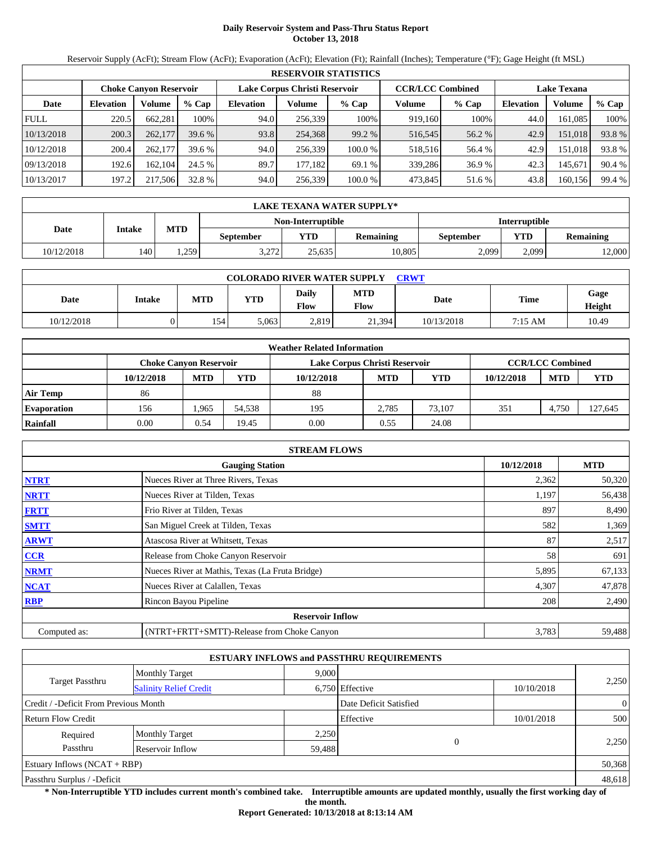# **Daily Reservoir System and Pass-Thru Status Report October 13, 2018**

Reservoir Supply (AcFt); Stream Flow (AcFt); Evaporation (AcFt); Elevation (Ft); Rainfall (Inches); Temperature (°F); Gage Height (ft MSL)

|             | <b>RESERVOIR STATISTICS</b> |                               |         |                               |         |         |                         |         |                    |         |        |  |  |
|-------------|-----------------------------|-------------------------------|---------|-------------------------------|---------|---------|-------------------------|---------|--------------------|---------|--------|--|--|
|             |                             | <b>Choke Canyon Reservoir</b> |         | Lake Corpus Christi Reservoir |         |         | <b>CCR/LCC Combined</b> |         | <b>Lake Texana</b> |         |        |  |  |
| Date        | <b>Elevation</b>            | Volume                        | $%$ Cap | <b>Elevation</b>              | Volume  | $%$ Cap | Volume                  | $%$ Cap | <b>Elevation</b>   | Volume  | % Cap  |  |  |
| <b>FULL</b> | 220.5                       | 662,281                       | 100%    | 94.0                          | 256,339 | 100%    | 919,160                 | 100%    | 44.0               | 161,085 | 100%   |  |  |
| 10/13/2018  | 200.3                       | 262,177                       | 39.6%   | 93.8                          | 254,368 | 99.2 %  | 516,545                 | 56.2 %  | 42.9               | 151,018 | 93.8%  |  |  |
| 10/12/2018  | 200.4                       | 262,177                       | 39.6%   | 94.0                          | 256.339 | 100.0 % | 518,516                 | 56.4 %  | 42.9               | 151.018 | 93.8%  |  |  |
| 09/13/2018  | 192.6                       | 162,104                       | 24.5 %  | 89.7                          | 177.182 | 69.1 %  | 339,286                 | 36.9 %  | 42.3               | 145,671 | 90.4 % |  |  |
| 10/13/2017  | 197.2                       | 217,506                       | 32.8 %  | 94.0                          | 256,339 | 100.0 % | 473,845                 | 51.6 %  | 43.8               | 160,156 | 99.4 % |  |  |

|            | LAKE TEXANA WATER SUPPLY* |            |                  |                                           |                  |           |       |                  |  |  |  |
|------------|---------------------------|------------|------------------|-------------------------------------------|------------------|-----------|-------|------------------|--|--|--|
|            |                           |            |                  | <b>Interruptible</b><br>Non-Interruptible |                  |           |       |                  |  |  |  |
| Date       | Intake                    | <b>MTD</b> | <b>September</b> | <b>YTD</b>                                | <b>Remaining</b> | September | YTD   | <b>Remaining</b> |  |  |  |
| 10/12/2018 | 140                       | .259       | 2272<br>ے رے ۔   | 25,635                                    | 10.805           | 2,099     | 2.099 | 12,000           |  |  |  |

| <b>COLORADO RIVER WATER SUPPLY</b><br>CRWT |               |            |            |               |                    |            |         |                |  |  |  |
|--------------------------------------------|---------------|------------|------------|---------------|--------------------|------------|---------|----------------|--|--|--|
| Date                                       | <b>Intake</b> | <b>MTD</b> | <b>YTD</b> | Daily<br>Flow | <b>MTD</b><br>Flow | Date       | Time    | Gage<br>Height |  |  |  |
| 10/12/2018                                 |               | 154        | 5.063      | 2,819         | 21,394             | 10/13/2018 | 7:15 AM | 10.49          |  |  |  |

|                    | <b>Weather Related Information</b> |            |        |                               |            |        |            |                         |         |  |  |
|--------------------|------------------------------------|------------|--------|-------------------------------|------------|--------|------------|-------------------------|---------|--|--|
|                    | Choke Canvon Reservoir             |            |        | Lake Corpus Christi Reservoir |            |        |            | <b>CCR/LCC Combined</b> |         |  |  |
|                    | 10/12/2018                         | <b>MTD</b> | YTD    | 10/12/2018                    | <b>MTD</b> | YTD    | 10/12/2018 | <b>MTD</b>              | YTD     |  |  |
| <b>Air Temp</b>    | 86                                 |            |        | 88                            |            |        |            |                         |         |  |  |
| <b>Evaporation</b> | 156                                | .965       | 54.538 | 195                           | 2.785      | 73.107 | 351        | 4.750                   | 127,645 |  |  |
| Rainfall           | 0.00                               | 0.54       | 19.45  | 0.00                          | 0.55       | 24.08  |            |                         |         |  |  |

|              | <b>STREAM FLOWS</b>                             |            |            |
|--------------|-------------------------------------------------|------------|------------|
|              | <b>Gauging Station</b>                          | 10/12/2018 | <b>MTD</b> |
| <b>NTRT</b>  | Nueces River at Three Rivers, Texas             | 2,362      | 50,320     |
| <b>NRTT</b>  | Nueces River at Tilden, Texas                   | 1,197      | 56,438     |
| <b>FRTT</b>  | Frio River at Tilden, Texas                     | 897        | 8,490      |
| <b>SMTT</b>  | San Miguel Creek at Tilden, Texas               | 582        | 1,369      |
| <b>ARWT</b>  | Atascosa River at Whitsett, Texas               | 87         | 2,517      |
| <b>CCR</b>   | Release from Choke Canyon Reservoir             | 58         | 691        |
| <b>NRMT</b>  | Nueces River at Mathis, Texas (La Fruta Bridge) | 5,895      | 67,133     |
| <b>NCAT</b>  | Nueces River at Calallen, Texas                 | 4,307      | 47,878     |
| <b>RBP</b>   | Rincon Bayou Pipeline                           | 208        | 2,490      |
|              | <b>Reservoir Inflow</b>                         |            |            |
| Computed as: | (NTRT+FRTT+SMTT)-Release from Choke Canyon      | 3,783      | 59,488     |

|                                       |                               |        | <b>ESTUARY INFLOWS and PASSTHRU REQUIREMENTS</b> |            |                |
|---------------------------------------|-------------------------------|--------|--------------------------------------------------|------------|----------------|
|                                       | <b>Monthly Target</b>         | 9.000  |                                                  |            |                |
| Target Passthru                       | <b>Salinity Relief Credit</b> |        | 6,750 Effective                                  | 10/10/2018 | 2,250          |
| Credit / -Deficit From Previous Month |                               |        | Date Deficit Satisfied                           |            | $\overline{0}$ |
| <b>Return Flow Credit</b>             |                               |        | Effective                                        | 10/01/2018 | 500            |
| Required                              | <b>Monthly Target</b>         | 2,250  |                                                  |            |                |
| Passthru                              | Reservoir Inflow              | 59,488 | $\Omega$                                         |            | 2,250          |
| Estuary Inflows $(NCAT + RBP)$        |                               |        |                                                  |            | 50,368         |
| Passthru Surplus / -Deficit           |                               |        |                                                  |            | 48,618         |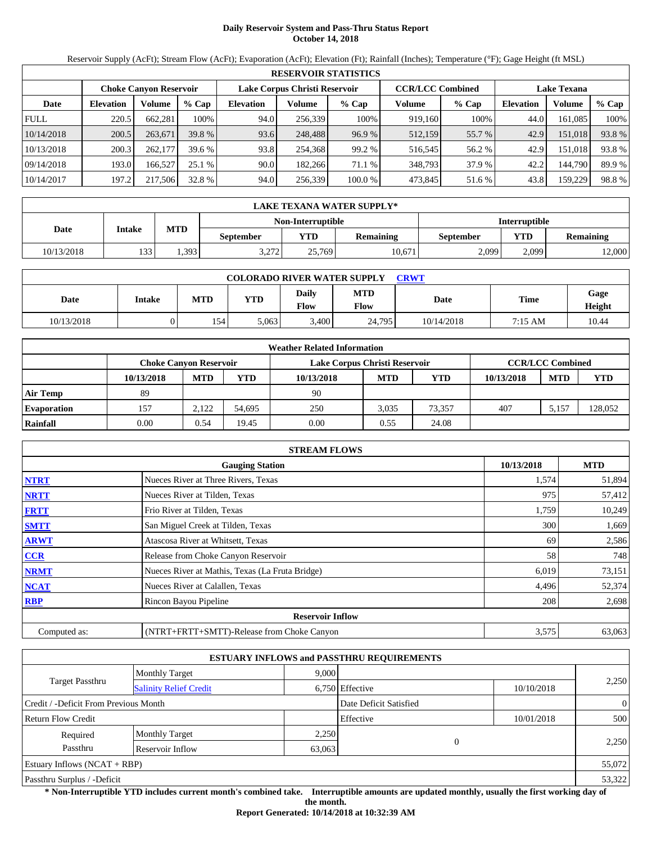# **Daily Reservoir System and Pass-Thru Status Report October 14, 2018**

Reservoir Supply (AcFt); Stream Flow (AcFt); Evaporation (AcFt); Elevation (Ft); Rainfall (Inches); Temperature (°F); Gage Height (ft MSL)

|             | <b>RESERVOIR STATISTICS</b> |                               |         |                               |         |         |                         |         |                    |         |        |  |  |
|-------------|-----------------------------|-------------------------------|---------|-------------------------------|---------|---------|-------------------------|---------|--------------------|---------|--------|--|--|
|             |                             | <b>Choke Canyon Reservoir</b> |         | Lake Corpus Christi Reservoir |         |         | <b>CCR/LCC Combined</b> |         | <b>Lake Texana</b> |         |        |  |  |
| Date        | <b>Elevation</b>            | Volume                        | $%$ Cap | <b>Elevation</b>              | Volume  | $%$ Cap | Volume                  | $%$ Cap | <b>Elevation</b>   | Volume  | % Cap  |  |  |
| <b>FULL</b> | 220.5                       | 662,281                       | 100%    | 94.0                          | 256,339 | 100%    | 919,160                 | 100%    | 44.0               | 161,085 | 100%   |  |  |
| 10/14/2018  | 200.5                       | 263,671                       | 39.8 %  | 93.6                          | 248,488 | 96.9%   | 512,159                 | 55.7 %  | 42.9               | 151,018 | 93.8%  |  |  |
| 10/13/2018  | 200.3                       | 262,177                       | 39.6%   | 93.8                          | 254.368 | 99.2 %  | 516,545                 | 56.2 %  | 42.9               | 151.018 | 93.8%  |  |  |
| 09/14/2018  | 193.0                       | 166.527                       | 25.1 %  | 90.0                          | 182.266 | 71.1 %  | 348,793                 | 37.9 %  | 42.2               | 144,790 | 89.9 % |  |  |
| 10/14/2017  | 197.2                       | 217,506                       | 32.8 %  | 94.0                          | 256,339 | 100.0 % | 473,845                 | 51.6 %  | 43.8               | 159.229 | 98.8%  |  |  |

|            | <b>LAKE TEXANA WATER SUPPLY*</b> |                                           |                  |            |                  |           |       |                  |  |  |  |
|------------|----------------------------------|-------------------------------------------|------------------|------------|------------------|-----------|-------|------------------|--|--|--|
|            |                                  | Non-Interruptible<br><b>Interruptible</b> |                  |            |                  |           |       |                  |  |  |  |
| Date       | Intake                           | <b>MTD</b>                                | <b>September</b> | <b>YTD</b> | <b>Remaining</b> | September | YTD   | <b>Remaining</b> |  |  |  |
| 10/13/2018 | 133<br>1 J                       | .393                                      | 3 272<br>3.414   | 25.769     | 10,671           | 2,099     | 2.099 | 12,000           |  |  |  |

| <b>COLORADO RIVER WATER SUPPLY</b><br><b>CRWT</b> |        |            |            |               |                           |            |             |                |  |  |  |
|---------------------------------------------------|--------|------------|------------|---------------|---------------------------|------------|-------------|----------------|--|--|--|
| Date                                              | Intake | <b>MTD</b> | <b>YTD</b> | Daily<br>Flow | <b>MTD</b><br><b>Flow</b> | Date       | <b>Time</b> | Gage<br>Height |  |  |  |
| 10/13/2018                                        | v      | 154        | 5.063      | 3,400         | 24,795                    | 10/14/2018 | 7:15 AM     | 10.44          |  |  |  |

|                    |                               |            |        | <b>Weather Related Information</b> |            |            |            |                         |            |
|--------------------|-------------------------------|------------|--------|------------------------------------|------------|------------|------------|-------------------------|------------|
|                    | <b>Choke Canvon Reservoir</b> |            |        | Lake Corpus Christi Reservoir      |            |            |            | <b>CCR/LCC Combined</b> |            |
|                    | 10/13/2018                    | <b>MTD</b> | YTD    | 10/13/2018                         | <b>MTD</b> | <b>YTD</b> | 10/13/2018 | <b>MTD</b>              | <b>YTD</b> |
| <b>Air Temp</b>    | 89                            |            |        | 90                                 |            |            |            |                         |            |
| <b>Evaporation</b> | 157                           | 2.122      | 54.695 | 250                                | 3.035      | 73.357     | 407        | 5.157                   | 128,052    |
| Rainfall           | 0.00                          | 0.54       | 19.45  | 0.00                               | 0.55       | 24.08      |            |                         |            |

|              | <b>STREAM FLOWS</b>                             |            |            |
|--------------|-------------------------------------------------|------------|------------|
|              | <b>Gauging Station</b>                          | 10/13/2018 | <b>MTD</b> |
| <b>NTRT</b>  | Nueces River at Three Rivers, Texas             | 1,574      | 51,894     |
| <b>NRTT</b>  | Nueces River at Tilden, Texas                   | 975        | 57,412     |
| <b>FRTT</b>  | Frio River at Tilden, Texas                     | 1,759      | 10,249     |
| <b>SMTT</b>  | San Miguel Creek at Tilden, Texas               | 300        | 1,669      |
| <b>ARWT</b>  | Atascosa River at Whitsett, Texas               | 69         | 2,586      |
| <b>CCR</b>   | Release from Choke Canyon Reservoir             | 58         | 748        |
| <b>NRMT</b>  | Nueces River at Mathis, Texas (La Fruta Bridge) | 6,019      | 73,151     |
| <b>NCAT</b>  | Nueces River at Calallen, Texas                 | 4,496      | 52,374     |
| <b>RBP</b>   | Rincon Bayou Pipeline                           | 208        | 2,698      |
|              | <b>Reservoir Inflow</b>                         |            |            |
| Computed as: | (NTRT+FRTT+SMTT)-Release from Choke Canyon      | 3,575      | 63,063     |

|                                       |                               |        | <b>ESTUARY INFLOWS and PASSTHRU REQUIREMENTS</b> |            |                |  |
|---------------------------------------|-------------------------------|--------|--------------------------------------------------|------------|----------------|--|
|                                       | <b>Monthly Target</b>         | 9,000  |                                                  |            |                |  |
| Target Passthru                       | <b>Salinity Relief Credit</b> |        | 6,750 Effective                                  | 10/10/2018 | 2,250          |  |
| Credit / -Deficit From Previous Month |                               |        | Date Deficit Satisfied                           |            | $\overline{0}$ |  |
| <b>Return Flow Credit</b>             |                               |        | Effective                                        | 10/01/2018 | 500            |  |
| Required                              | <b>Monthly Target</b>         | 2,250  |                                                  |            |                |  |
| Passthru                              | Reservoir Inflow              | 63,063 | $\Omega$                                         |            | 2,250          |  |
| Estuary Inflows $(NCAT + RBP)$        |                               |        |                                                  |            | 55,072         |  |
| Passthru Surplus / -Deficit           |                               |        |                                                  |            | 53,322         |  |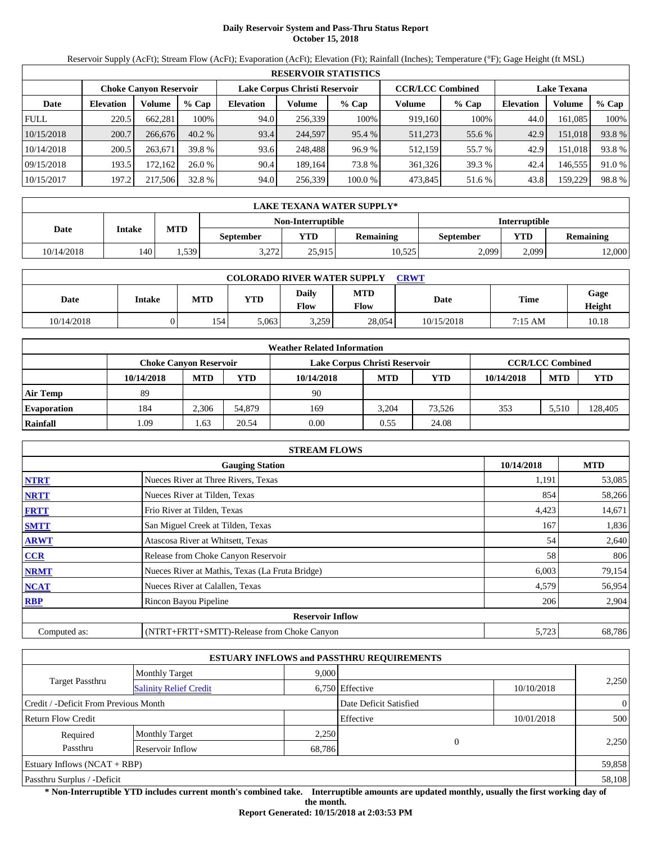# **Daily Reservoir System and Pass-Thru Status Report October 15, 2018**

Reservoir Supply (AcFt); Stream Flow (AcFt); Evaporation (AcFt); Elevation (Ft); Rainfall (Inches); Temperature (°F); Gage Height (ft MSL)

|             | <b>RESERVOIR STATISTICS</b>                                    |         |         |                  |         |                         |         |                    |           |         |        |  |
|-------------|----------------------------------------------------------------|---------|---------|------------------|---------|-------------------------|---------|--------------------|-----------|---------|--------|--|
|             | Lake Corpus Christi Reservoir<br><b>Choke Canyon Reservoir</b> |         |         |                  |         | <b>CCR/LCC Combined</b> |         | <b>Lake Texana</b> |           |         |        |  |
| Date        | <b>Elevation</b>                                               | Volume  | $%$ Cap | <b>Elevation</b> | Volume  | $%$ Cap                 | Volume  | $%$ Cap            | Elevation | Volume  | % Cap  |  |
| <b>FULL</b> | 220.5                                                          | 662,281 | 100%    | 94.0             | 256,339 | 100%                    | 919.160 | 100%               | 44.0      | 161.085 | 100%   |  |
| 10/15/2018  | 200.7                                                          | 266,676 | 40.2%   | 93.4             | 244.597 | 95.4 %                  | 511,273 | 55.6 %             | 42.9      | 151,018 | 93.8%  |  |
| 10/14/2018  | 200.5                                                          | 263.671 | 39.8 %  | 93.6             | 248.488 | 96.9%                   | 512,159 | 55.7 %             | 42.9      | 151.018 | 93.8%  |  |
| 09/15/2018  | 193.5                                                          | 172.162 | 26.0%   | 90.4             | 189.164 | 73.8 %                  | 361.326 | 39.3 %             | 42.4      | 146.555 | 91.0 % |  |
| 10/15/2017  | 197.2                                                          | 217,506 | 32.8 %  | 94.0             | 256,339 | 100.0 %                 | 473,845 | 51.6 %             | 43.8      | 159,229 | 98.8%  |  |

|            | LAKE TEXANA WATER SUPPLY* |            |                  |                   |                  |                      |            |                  |  |  |  |
|------------|---------------------------|------------|------------------|-------------------|------------------|----------------------|------------|------------------|--|--|--|
|            |                           |            |                  | Non-Interruptible |                  | <b>Interruptible</b> |            |                  |  |  |  |
| Date       | Intake                    | <b>MTD</b> | <b>September</b> | <b>YTD</b>        | <b>Remaining</b> | September            | <b>YTD</b> | <b>Remaining</b> |  |  |  |
| 10/14/2018 | 140                       | . . 539    | 2272<br>ے رے ۔   | 25.915            | 10.525           | 2,099                | 2.099      | 12,000           |  |  |  |

| <b>COLORADO RIVER WATER SUPPLY</b><br><b>CRWT</b> |               |            |            |               |                    |            |           |                       |  |  |  |
|---------------------------------------------------|---------------|------------|------------|---------------|--------------------|------------|-----------|-----------------------|--|--|--|
| Date                                              | <b>Intake</b> | <b>MTD</b> | <b>YTD</b> | Daily<br>Flow | <b>MTD</b><br>Flow | Date       | Time      | Gage<br><b>Height</b> |  |  |  |
| 10/14/2018                                        |               | 154        | 5.063      | 3,259         | 28,054             | 10/15/2018 | $7:15$ AM | 10.18                 |  |  |  |

|                    |                               |            |        | <b>Weather Related Information</b> |            |            |            |                         |         |
|--------------------|-------------------------------|------------|--------|------------------------------------|------------|------------|------------|-------------------------|---------|
|                    | <b>Choke Canvon Reservoir</b> |            |        | Lake Corpus Christi Reservoir      |            |            |            | <b>CCR/LCC Combined</b> |         |
|                    | 10/14/2018                    | <b>MTD</b> | YTD    | 10/14/2018                         | <b>MTD</b> | <b>YTD</b> | 10/14/2018 | <b>MTD</b>              | YTD     |
| <b>Air Temp</b>    | 89                            |            |        | 90                                 |            |            |            |                         |         |
| <b>Evaporation</b> | 184                           | 2.306      | 54.879 | 169                                | 3.204      | 73.526     | 353        | 5.510                   | 128,405 |
| Rainfall           | .09                           | l.63       | 20.54  | 0.00                               | 0.55       | 24.08      |            |                         |         |

|              | <b>STREAM FLOWS</b>                             |            |            |
|--------------|-------------------------------------------------|------------|------------|
|              | <b>Gauging Station</b>                          | 10/14/2018 | <b>MTD</b> |
| <b>NTRT</b>  | Nueces River at Three Rivers, Texas             | 1,191      | 53,085     |
| <b>NRTT</b>  | Nueces River at Tilden, Texas                   | 854        | 58,266     |
| <b>FRTT</b>  | Frio River at Tilden, Texas                     | 4,423      | 14,671     |
| <b>SMTT</b>  | San Miguel Creek at Tilden, Texas               | 167        | 1,836      |
| <b>ARWT</b>  | Atascosa River at Whitsett, Texas               | 54         | 2,640      |
| <b>CCR</b>   | Release from Choke Canyon Reservoir             | 58         | 806        |
| <b>NRMT</b>  | Nueces River at Mathis, Texas (La Fruta Bridge) | 6,003      | 79,154     |
| <b>NCAT</b>  | Nueces River at Calallen, Texas                 | 4,579      | 56,954     |
| <b>RBP</b>   | Rincon Bayou Pipeline                           | 206        | 2,904      |
|              | <b>Reservoir Inflow</b>                         |            |            |
| Computed as: | (NTRT+FRTT+SMTT)-Release from Choke Canyon      | 5,723      | 68,786     |

|                                       |                               |                 | <b>ESTUARY INFLOWS and PASSTHRU REQUIREMENTS</b> |            |                |  |
|---------------------------------------|-------------------------------|-----------------|--------------------------------------------------|------------|----------------|--|
|                                       | <b>Monthly Target</b>         | 9.000           |                                                  |            |                |  |
| Target Passthru                       | <b>Salinity Relief Credit</b> | 6,750 Effective |                                                  | 10/10/2018 | 2,250          |  |
| Credit / -Deficit From Previous Month |                               |                 | Date Deficit Satisfied                           |            | $\overline{0}$ |  |
| <b>Return Flow Credit</b>             |                               |                 | Effective                                        | 10/01/2018 | 500            |  |
| Required                              | <b>Monthly Target</b>         | 2,250           |                                                  |            |                |  |
| Passthru                              | Reservoir Inflow              | 68,786          |                                                  | $\Omega$   | 2,250          |  |
| Estuary Inflows $(NCAT + RBP)$        |                               |                 |                                                  |            | 59,858         |  |
| Passthru Surplus / -Deficit           |                               |                 |                                                  |            | 58,108         |  |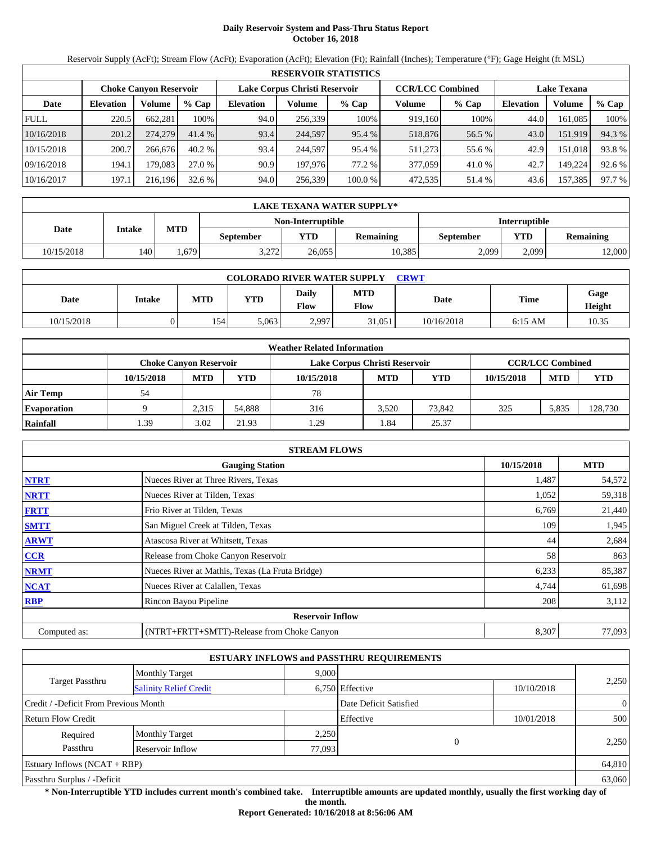# **Daily Reservoir System and Pass-Thru Status Report October 16, 2018**

Reservoir Supply (AcFt); Stream Flow (AcFt); Evaporation (AcFt); Elevation (Ft); Rainfall (Inches); Temperature (°F); Gage Height (ft MSL)

|             | <b>RESERVOIR STATISTICS</b>   |         |         |                               |         |         |                         |        |                    |         |        |  |
|-------------|-------------------------------|---------|---------|-------------------------------|---------|---------|-------------------------|--------|--------------------|---------|--------|--|
|             | <b>Choke Canyon Reservoir</b> |         |         | Lake Corpus Christi Reservoir |         |         | <b>CCR/LCC Combined</b> |        | <b>Lake Texana</b> |         |        |  |
| Date        | <b>Elevation</b>              | Volume  | $%$ Cap | <b>Elevation</b>              | Volume  | $%$ Cap | Volume                  | % Cap  | <b>Elevation</b>   | Volume  | % Cap  |  |
| <b>FULL</b> | 220.5                         | 662,281 | 100%    | 94.0                          | 256.339 | 100%    | 919,160                 | 100%   | 44.0               | 161,085 | 100%   |  |
| 10/16/2018  | 201.2                         | 274,279 | 41.4 %  | 93.4                          | 244.597 | 95.4 %  | 518,876                 | 56.5 % | 43.0               | 151.919 | 94.3 % |  |
| 10/15/2018  | 200.7                         | 266,676 | 40.2%   | 93.4                          | 244.597 | 95.4 %  | 511.273                 | 55.6 % | 42.9               | 151.018 | 93.8%  |  |
| 09/16/2018  | 194.1                         | 179.083 | 27.0 %  | 90.9                          | 197,976 | 77.2 %  | 377,059                 | 41.0 % | 42.7               | 149.224 | 92.6 % |  |
| 10/16/2017  | 197.1                         | 216.196 | 32.6%   | 94.0                          | 256,339 | 100.0 % | 472,535                 | 51.4 % | 43.6               | 157,385 | 97.7 % |  |

|            | LAKE TEXANA WATER SUPPLY* |            |                          |                   |                  |                  |                      |                  |  |  |  |
|------------|---------------------------|------------|--------------------------|-------------------|------------------|------------------|----------------------|------------------|--|--|--|
|            |                           |            |                          | Non-Interruptible |                  |                  | <b>Interruptible</b> |                  |  |  |  |
| Date       | Intake                    | <b>MTD</b> | September                | <b>VTD</b>        | <b>Remaining</b> | <b>September</b> | <b>YTD</b>           | <b>Remaining</b> |  |  |  |
| 10/15/2018 | 140                       | .679       | $\sqrt{2721}$<br>J.Z I Z | 26,055            | 10,385           | 2.099            | 2.099                | 12,000           |  |  |  |

| <b>COLORADO RIVER WATER SUPPLY</b><br><b>CRWT</b> |        |            |            |               |                           |            |             |                |  |  |  |
|---------------------------------------------------|--------|------------|------------|---------------|---------------------------|------------|-------------|----------------|--|--|--|
| Date                                              | Intake | <b>MTD</b> | <b>YTD</b> | Daily<br>Flow | <b>MTD</b><br><b>Flow</b> | Date       | <b>Time</b> | Gage<br>Height |  |  |  |
| 10/15/2018                                        | v      | 154        | 5.063      | 2,997         | 31,051                    | 10/16/2018 | $6:15$ AM   | 10.35          |  |  |  |

|                    |            |                               |        | <b>Weather Related Information</b> |            |            |            |                         |            |
|--------------------|------------|-------------------------------|--------|------------------------------------|------------|------------|------------|-------------------------|------------|
|                    |            | <b>Choke Canvon Reservoir</b> |        | Lake Corpus Christi Reservoir      |            |            |            | <b>CCR/LCC Combined</b> |            |
|                    | 10/15/2018 | <b>MTD</b>                    | YTD    | 10/15/2018                         | <b>MTD</b> | <b>YTD</b> | 10/15/2018 | <b>MTD</b>              | <b>YTD</b> |
| <b>Air Temp</b>    | 54         |                               |        | 78                                 |            |            |            |                         |            |
| <b>Evaporation</b> |            | 2.315                         | 54.888 | 316                                | 3.520      | 73.842     | 325        | 5.835                   | 128,730    |
| Rainfall           | .39        | 3.02                          | 21.93  | 1.29                               | 1.84       | 25.37      |            |                         |            |

|              | <b>STREAM FLOWS</b>                             |            |            |
|--------------|-------------------------------------------------|------------|------------|
|              | <b>Gauging Station</b>                          | 10/15/2018 | <b>MTD</b> |
| <b>NTRT</b>  | Nueces River at Three Rivers, Texas             | 1,487      | 54,572     |
| <b>NRTT</b>  | Nueces River at Tilden, Texas                   | 1,052      | 59,318     |
| <b>FRTT</b>  | Frio River at Tilden, Texas                     | 6,769      | 21,440     |
| <b>SMTT</b>  | San Miguel Creek at Tilden, Texas               | 109        | 1,945      |
| <b>ARWT</b>  | Atascosa River at Whitsett, Texas               | 44         | 2,684      |
| <b>CCR</b>   | Release from Choke Canyon Reservoir             | 58         | 863        |
| <b>NRMT</b>  | Nueces River at Mathis, Texas (La Fruta Bridge) | 6,233      | 85,387     |
| <b>NCAT</b>  | Nueces River at Calallen, Texas                 | 4,744      | 61,698     |
| <b>RBP</b>   | Rincon Bayou Pipeline                           | 208        | 3,112      |
|              | <b>Reservoir Inflow</b>                         |            |            |
| Computed as: | (NTRT+FRTT+SMTT)-Release from Choke Canyon      | 8,307      | 77,093     |

|                                       |                               |        | <b>ESTUARY INFLOWS and PASSTHRU REQUIREMENTS</b> |            |                |  |
|---------------------------------------|-------------------------------|--------|--------------------------------------------------|------------|----------------|--|
|                                       | <b>Monthly Target</b>         | 9.000  |                                                  |            |                |  |
| <b>Target Passthru</b>                | <b>Salinity Relief Credit</b> |        | 6,750 Effective                                  | 10/10/2018 | 2,250          |  |
| Credit / -Deficit From Previous Month |                               |        | Date Deficit Satisfied                           |            | $\overline{0}$ |  |
| <b>Return Flow Credit</b>             |                               |        | Effective                                        | 10/01/2018 | 500            |  |
| Required                              | <b>Monthly Target</b>         | 2,250  |                                                  |            |                |  |
| Passthru                              | Reservoir Inflow              | 77,093 | $\Omega$                                         |            | 2,250          |  |
| Estuary Inflows $(NCAT + RBP)$        |                               |        |                                                  |            | 64,810         |  |
| Passthru Surplus / -Deficit           |                               |        |                                                  |            | 63,060         |  |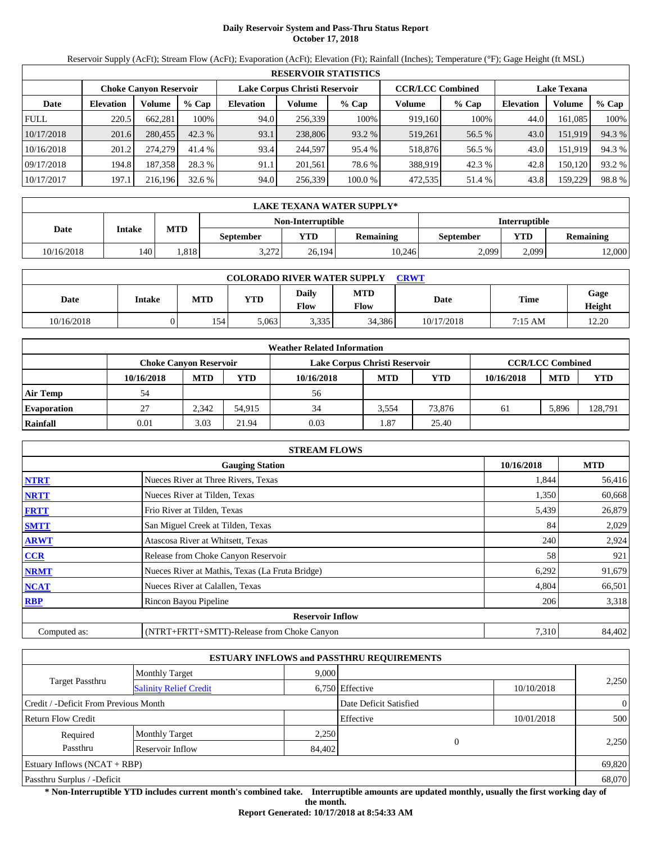# **Daily Reservoir System and Pass-Thru Status Report October 17, 2018**

Reservoir Supply (AcFt); Stream Flow (AcFt); Evaporation (AcFt); Elevation (Ft); Rainfall (Inches); Temperature (°F); Gage Height (ft MSL)

|             | <b>RESERVOIR STATISTICS</b> |                               |         |                               |         |         |                         |         |                    |         |        |  |  |
|-------------|-----------------------------|-------------------------------|---------|-------------------------------|---------|---------|-------------------------|---------|--------------------|---------|--------|--|--|
|             |                             | <b>Choke Canyon Reservoir</b> |         | Lake Corpus Christi Reservoir |         |         | <b>CCR/LCC Combined</b> |         | <b>Lake Texana</b> |         |        |  |  |
| Date        | <b>Elevation</b>            | Volume                        | $%$ Cap | <b>Elevation</b>              | Volume  | $%$ Cap | Volume                  | $%$ Cap | <b>Elevation</b>   | Volume  | % Cap  |  |  |
| <b>FULL</b> | 220.5                       | 662,281                       | 100%    | 94.0                          | 256,339 | 100%    | 919.160                 | 100%    | 44.0               | 161,085 | 100%   |  |  |
| 10/17/2018  | 201.6                       | 280,455                       | 42.3%   | 93.1                          | 238,806 | 93.2 %  | 519,261                 | 56.5 %  | 43.0               | 151,919 | 94.3 % |  |  |
| 10/16/2018  | 201.2                       | 274,279                       | 41.4 %  | 93.4                          | 244,597 | 95.4 %  | 518,876                 | 56.5 %  | 43.0               | 151.919 | 94.3 % |  |  |
| 09/17/2018  | 194.8                       | 187.358                       | 28.3 %  | 91.1                          | 201.561 | 78.6 %  | 388,919                 | 42.3 %  | 42.8               | 150.120 | 93.2 % |  |  |
| 10/17/2017  | 197.1                       | 216.196                       | 32.6 %  | 94.0                          | 256,339 | 100.0 % | 472,535                 | 51.4 %  | 43.8               | 159,229 | 98.8%  |  |  |

|            | LAKE TEXANA WATER SUPPLY* |            |                 |                   |                      |           |       |                  |  |  |  |
|------------|---------------------------|------------|-----------------|-------------------|----------------------|-----------|-------|------------------|--|--|--|
|            |                           |            |                 | Non-Interruptible | <b>Interruptible</b> |           |       |                  |  |  |  |
| Date       | Intake                    | <b>MTD</b> | September       | <b>YTD</b>        | <b>Remaining</b>     | September | YTD   | <b>Remaining</b> |  |  |  |
| 10/16/2018 | 140                       | .818       | 3.272<br>ے رے ۔ | 26.194            | 10,246               | 2,099     | 2.099 | 12,000           |  |  |  |

| <b>COLORADO RIVER WATER SUPPLY</b><br>CRWT |        |            |            |               |                    |            |         |                |  |  |  |
|--------------------------------------------|--------|------------|------------|---------------|--------------------|------------|---------|----------------|--|--|--|
| Date                                       | Intake | <b>MTD</b> | <b>YTD</b> | Daily<br>Flow | <b>MTD</b><br>Flow | Date       | Time    | Gage<br>Height |  |  |  |
| 10/16/2018                                 |        | 154        | 5.063      | 3,335         | 34,386             | 10/17/2018 | 7:15 AM | 12.20          |  |  |  |

|                    | <b>Weather Related Information</b> |            |        |                               |            |            |            |                         |            |  |  |  |
|--------------------|------------------------------------|------------|--------|-------------------------------|------------|------------|------------|-------------------------|------------|--|--|--|
|                    | Choke Canvon Reservoir             |            |        | Lake Corpus Christi Reservoir |            |            |            | <b>CCR/LCC Combined</b> |            |  |  |  |
|                    | 10/16/2018                         | <b>MTD</b> | YTD    | 10/16/2018                    | <b>MTD</b> | <b>YTD</b> | 10/16/2018 | <b>MTD</b>              | <b>YTD</b> |  |  |  |
| <b>Air Temp</b>    | 54                                 |            |        | 56                            |            |            |            |                         |            |  |  |  |
| <b>Evaporation</b> | 27                                 | 2.342      | 54.915 | 34                            | 3.554      | 73,876     | 61         | 5,896                   | 128,791    |  |  |  |
| Rainfall           | 0.01                               | 3.03       | 21.94  | 0.03                          | . 87       | 25.40      |            |                         |            |  |  |  |

|              | <b>STREAM FLOWS</b>                             |            |            |
|--------------|-------------------------------------------------|------------|------------|
|              | <b>Gauging Station</b>                          | 10/16/2018 | <b>MTD</b> |
| <b>NTRT</b>  | Nueces River at Three Rivers, Texas             | 1,844      | 56,416     |
| <b>NRTT</b>  | Nueces River at Tilden, Texas                   | 1,350      | 60,668     |
| <b>FRTT</b>  | Frio River at Tilden, Texas                     | 5,439      | 26,879     |
| <b>SMTT</b>  | San Miguel Creek at Tilden, Texas               | 84         | 2,029      |
| <b>ARWT</b>  | Atascosa River at Whitsett, Texas               | 240        | 2,924      |
| CCR          | Release from Choke Canyon Reservoir             | 58         | 921        |
| <b>NRMT</b>  | Nueces River at Mathis, Texas (La Fruta Bridge) | 6,292      | 91,679     |
| <b>NCAT</b>  | Nueces River at Calallen, Texas                 | 4,804      | 66,501     |
| <b>RBP</b>   | Rincon Bayou Pipeline                           | 206        | 3,318      |
|              | <b>Reservoir Inflow</b>                         |            |            |
| Computed as: | (NTRT+FRTT+SMTT)-Release from Choke Canyon      | 7,310      | 84,402     |

|                                       |                               |        | <b>ESTUARY INFLOWS and PASSTHRU REQUIREMENTS</b> |            |                |  |  |
|---------------------------------------|-------------------------------|--------|--------------------------------------------------|------------|----------------|--|--|
|                                       | <b>Monthly Target</b>         | 9,000  |                                                  |            | 2,250          |  |  |
| <b>Target Passthru</b>                | <b>Salinity Relief Credit</b> |        | 6,750 Effective<br>10/10/2018                    |            |                |  |  |
| Credit / -Deficit From Previous Month |                               |        | Date Deficit Satisfied                           |            | $\overline{0}$ |  |  |
| <b>Return Flow Credit</b>             |                               |        | Effective                                        | 10/01/2018 | 500            |  |  |
| Required                              | <b>Monthly Target</b>         | 2,250  |                                                  |            |                |  |  |
| Passthru                              | Reservoir Inflow              | 84,402 | $\Omega$                                         |            | 2,250          |  |  |
| Estuary Inflows $(NCAT + RBP)$        |                               |        |                                                  |            | 69,820         |  |  |
| Passthru Surplus / -Deficit           |                               |        |                                                  |            | 68,070         |  |  |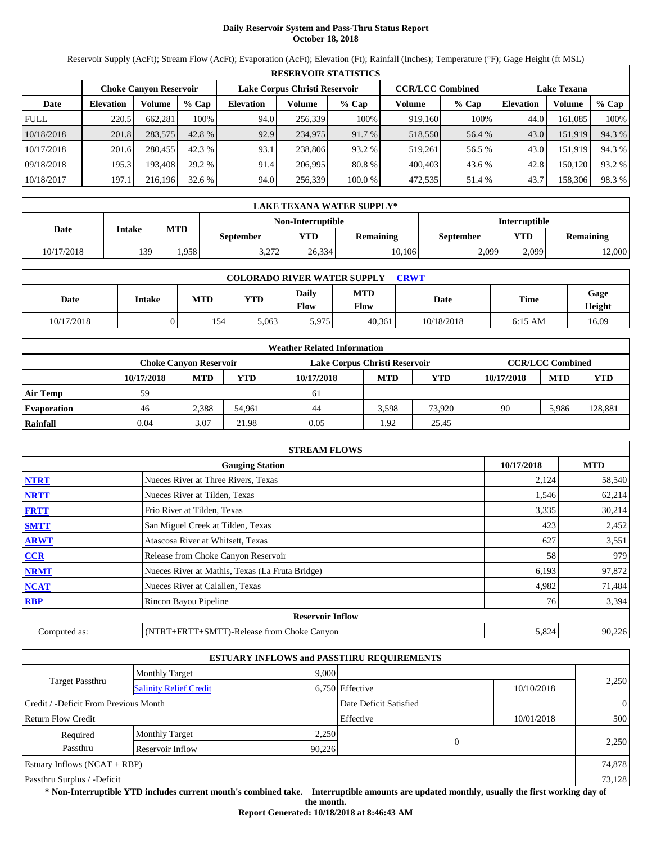# **Daily Reservoir System and Pass-Thru Status Report October 18, 2018**

Reservoir Supply (AcFt); Stream Flow (AcFt); Evaporation (AcFt); Elevation (Ft); Rainfall (Inches); Temperature (°F); Gage Height (ft MSL)

|             | <b>RESERVOIR STATISTICS</b> |                               |         |                               |         |         |                         |         |                    |         |        |  |  |
|-------------|-----------------------------|-------------------------------|---------|-------------------------------|---------|---------|-------------------------|---------|--------------------|---------|--------|--|--|
|             |                             | <b>Choke Canyon Reservoir</b> |         | Lake Corpus Christi Reservoir |         |         | <b>CCR/LCC Combined</b> |         | <b>Lake Texana</b> |         |        |  |  |
| Date        | <b>Elevation</b>            | Volume                        | $%$ Cap | <b>Elevation</b>              | Volume  | $%$ Cap | Volume                  | $%$ Cap | Elevation          | Volume  | % Cap  |  |  |
| <b>FULL</b> | 220.5                       | 662,281                       | 100%    | 94.0                          | 256,339 | 100%    | 919.160                 | 100%    | 44.0               | 161.085 | 100%   |  |  |
| 10/18/2018  | 201.8                       | 283,575                       | 42.8 %  | 92.9                          | 234,975 | 91.7 %  | 518,550                 | 56.4 %  | 43.0               | 151.919 | 94.3 % |  |  |
| 10/17/2018  | 201.6                       | 280,455                       | 42.3%   | 93.1                          | 238,806 | 93.2 %  | 519.261                 | 56.5 %  | 43.0               | 151.919 | 94.3 % |  |  |
| 09/18/2018  | 195.3                       | 193.408                       | 29.2 %  | 91.4                          | 206.995 | 80.8%   | 400,403                 | 43.6 %  | 42.8               | 150.120 | 93.2 % |  |  |
| 10/18/2017  | 197.1                       | 216.196                       | 32.6%   | 94.0                          | 256,339 | 100.0 % | 472,535                 | 51.4 %  | 43.7               | 158,306 | 98.3 % |  |  |

|            | LAKE TEXANA WATER SUPPLY* |                                           |                  |        |                  |           |       |                  |  |  |  |
|------------|---------------------------|-------------------------------------------|------------------|--------|------------------|-----------|-------|------------------|--|--|--|
|            |                           | Non-Interruptible<br><b>Interruptible</b> |                  |        |                  |           |       |                  |  |  |  |
| Date       | Intake                    | <b>MTD</b>                                | <b>September</b> | YTD    | <b>Remaining</b> | September | YTD   | <b>Remaining</b> |  |  |  |
| 10/17/2018 | 139                       | . 958                                     | 3.272            | 26.334 | 10.1061          | 2,099     | 2,099 | 12,000           |  |  |  |

| <b>COLORADO RIVER WATER SUPPLY</b><br><b>CRWT</b> |        |            |            |               |                    |            |           |                |  |  |  |
|---------------------------------------------------|--------|------------|------------|---------------|--------------------|------------|-----------|----------------|--|--|--|
| Date                                              | Intake | <b>MTD</b> | <b>YTD</b> | Daily<br>Flow | <b>MTD</b><br>Flow | Date       | Time      | Gage<br>Height |  |  |  |
| 10/17/2018                                        |        | 154        | 5.063      | 5,975         | 40,361             | 10/18/2018 | $6:15$ AM | 16.09          |  |  |  |

|                    | <b>Weather Related Information</b> |            |        |                               |            |            |            |                         |            |  |  |  |
|--------------------|------------------------------------|------------|--------|-------------------------------|------------|------------|------------|-------------------------|------------|--|--|--|
|                    | Choke Canvon Reservoir             |            |        | Lake Corpus Christi Reservoir |            |            |            | <b>CCR/LCC Combined</b> |            |  |  |  |
|                    | 10/17/2018                         | <b>MTD</b> | YTD    | 10/17/2018                    | <b>MTD</b> | <b>YTD</b> | 10/17/2018 | <b>MTD</b>              | <b>YTD</b> |  |  |  |
| <b>Air Temp</b>    | 59                                 |            |        | 61                            |            |            |            |                         |            |  |  |  |
| <b>Evaporation</b> | 46                                 | 2.388      | 54.961 | 44                            | 3.598      | 73.920     | 90         | 5,986                   | 128,881    |  |  |  |
| Rainfall           | 0.04                               | 3.07       | 21.98  | 0.05                          | .92        | 25.45      |            |                         |            |  |  |  |

|              | <b>STREAM FLOWS</b>                             |            |            |
|--------------|-------------------------------------------------|------------|------------|
|              | <b>Gauging Station</b>                          | 10/17/2018 | <b>MTD</b> |
| <b>NTRT</b>  | Nueces River at Three Rivers, Texas             | 2,124      | 58,540     |
| <b>NRTT</b>  | Nueces River at Tilden, Texas                   | 1,546      | 62,214     |
| <b>FRTT</b>  | Frio River at Tilden, Texas                     | 3,335      | 30,214     |
| <b>SMTT</b>  | San Miguel Creek at Tilden, Texas               | 423        | 2,452      |
| <b>ARWT</b>  | Atascosa River at Whitsett, Texas               | 627        | 3,551      |
| <b>CCR</b>   | Release from Choke Canyon Reservoir             | 58         | 979        |
| <b>NRMT</b>  | Nueces River at Mathis, Texas (La Fruta Bridge) | 6,193      | 97,872     |
| <b>NCAT</b>  | Nueces River at Calallen, Texas                 | 4,982      | 71,484     |
| <b>RBP</b>   | Rincon Bayou Pipeline                           | 76         | 3,394      |
|              | <b>Reservoir Inflow</b>                         |            |            |
| Computed as: | (NTRT+FRTT+SMTT)-Release from Choke Canyon      | 5,824      | 90,226     |

|                                                         |                       |        | <b>ESTUARY INFLOWS and PASSTHRU REQUIREMENTS</b> |            |                |
|---------------------------------------------------------|-----------------------|--------|--------------------------------------------------|------------|----------------|
|                                                         | <b>Monthly Target</b> | 9,000  |                                                  |            |                |
| <b>Target Passthru</b><br><b>Salinity Relief Credit</b> |                       |        | 6,750 Effective                                  | 10/10/2018 | 2,250          |
| Credit / -Deficit From Previous Month                   |                       |        | Date Deficit Satisfied                           |            | $\overline{0}$ |
| <b>Return Flow Credit</b>                               |                       |        | Effective                                        | 10/01/2018 | 500            |
| Required                                                | <b>Monthly Target</b> | 2,250  |                                                  |            |                |
| Passthru                                                | Reservoir Inflow      | 90,226 | $\Omega$                                         |            | 2,250          |
| Estuary Inflows $(NCAT + RBP)$                          |                       |        |                                                  |            | 74,878         |
| Passthru Surplus / -Deficit                             |                       |        |                                                  |            | 73,128         |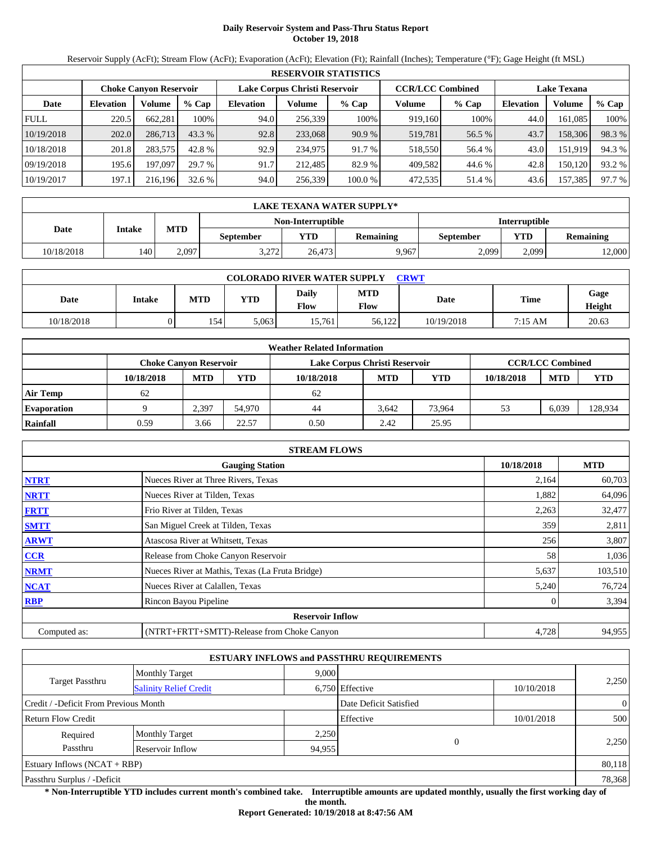# **Daily Reservoir System and Pass-Thru Status Report October 19, 2018**

Reservoir Supply (AcFt); Stream Flow (AcFt); Evaporation (AcFt); Elevation (Ft); Rainfall (Inches); Temperature (°F); Gage Height (ft MSL)

|             | <b>RESERVOIR STATISTICS</b> |                               |         |                               |         |         |                         |         |                    |         |        |  |
|-------------|-----------------------------|-------------------------------|---------|-------------------------------|---------|---------|-------------------------|---------|--------------------|---------|--------|--|
|             |                             | <b>Choke Canyon Reservoir</b> |         | Lake Corpus Christi Reservoir |         |         | <b>CCR/LCC Combined</b> |         | <b>Lake Texana</b> |         |        |  |
| Date        | <b>Elevation</b>            | Volume                        | $%$ Cap | <b>Elevation</b>              | Volume  | $%$ Cap | Volume                  | $%$ Cap | <b>Elevation</b>   | Volume  | % Cap  |  |
| <b>FULL</b> | 220.5                       | 662.281                       | 100%    | 94.0                          | 256,339 | 100%    | 919,160                 | 100%    | 44.0               | 161.085 | 100%   |  |
| 10/19/2018  | 202.0                       | 286,713                       | 43.3%   | 92.8                          | 233,068 | 90.9%   | 519,781                 | 56.5 %  | 43.7               | 158,306 | 98.3%  |  |
| 10/18/2018  | 201.8                       | 283,575                       | 42.8 %  | 92.9                          | 234,975 | 91.7 %  | 518,550                 | 56.4 %  | 43.0               | 151,919 | 94.3 % |  |
| 09/19/2018  | 195.6                       | 197.097                       | 29.7 %  | 91.7                          | 212.485 | 82.9 %  | 409,582                 | 44.6 %  | 42.8               | 150,120 | 93.2 % |  |
| 10/19/2017  | 197.1                       | 216,196                       | 32.6 %  | 94.0                          | 256,339 | 100.0 % | 472,535                 | 51.4 %  | 43.6               | 157,385 | 97.7 % |  |

|            | LAKE TEXANA WATER SUPPLY* |            |                  |                   |                                                    |                      |       |                  |  |  |  |
|------------|---------------------------|------------|------------------|-------------------|----------------------------------------------------|----------------------|-------|------------------|--|--|--|
|            |                           |            |                  | Non-Interruptible |                                                    | <b>Interruptible</b> |       |                  |  |  |  |
| Date       | Intake                    | <b>MTD</b> | <b>September</b> | VTD-              | <b>YTD</b><br><b>Remaining</b><br><b>September</b> |                      |       | <b>Remaining</b> |  |  |  |
| 10/18/2018 | 140                       | 2.097      | 3.272            | 26,473            | 9,967                                              | 2,099                | 2.099 | 12,000           |  |  |  |

| <b>COLORADO RIVER WATER SUPPLY</b><br>CRWT |        |            |            |               |                    |            |         |                |  |  |
|--------------------------------------------|--------|------------|------------|---------------|--------------------|------------|---------|----------------|--|--|
| Date                                       | Intake | <b>MTD</b> | <b>YTD</b> | Daily<br>Flow | <b>MTD</b><br>Flow | Date       | Time    | Gage<br>Height |  |  |
| 10/18/2018                                 |        | 154 I      | 5.063      | 15.761        | 56.122             | 10/19/2018 | 7:15 AM | 20.63          |  |  |

|                    | <b>Weather Related Information</b> |            |        |                               |                         |            |            |            |            |  |  |  |
|--------------------|------------------------------------|------------|--------|-------------------------------|-------------------------|------------|------------|------------|------------|--|--|--|
|                    | <b>Choke Canvon Reservoir</b>      |            |        | Lake Corpus Christi Reservoir | <b>CCR/LCC Combined</b> |            |            |            |            |  |  |  |
|                    | 10/18/2018                         | <b>MTD</b> | YTD    | 10/18/2018                    | <b>MTD</b>              | <b>YTD</b> | 10/18/2018 | <b>MTD</b> | <b>YTD</b> |  |  |  |
| <b>Air Temp</b>    | 62                                 |            |        | 62                            |                         |            |            |            |            |  |  |  |
| <b>Evaporation</b> |                                    | 2,397      | 54.970 | 44                            | 3.642                   | 73,964     | 53         | 6,039      | 128,934    |  |  |  |
| Rainfall           | 0.59                               | 3.66       | 22.57  | 0.50                          | 2.42                    | 25.95      |            |            |            |  |  |  |

|              | <b>STREAM FLOWS</b>                             |            |            |
|--------------|-------------------------------------------------|------------|------------|
|              | <b>Gauging Station</b>                          | 10/18/2018 | <b>MTD</b> |
| <b>NTRT</b>  | Nueces River at Three Rivers, Texas             | 2,164      | 60,703     |
| <b>NRTT</b>  | Nueces River at Tilden, Texas                   | 1,882      | 64,096     |
| <b>FRTT</b>  | Frio River at Tilden, Texas                     | 2,263      | 32,477     |
| <b>SMTT</b>  | San Miguel Creek at Tilden, Texas               | 359        | 2,811      |
| <b>ARWT</b>  | Atascosa River at Whitsett, Texas               | 256        | 3,807      |
| <b>CCR</b>   | Release from Choke Canyon Reservoir             | 58         | 1,036      |
| <b>NRMT</b>  | Nueces River at Mathis, Texas (La Fruta Bridge) | 5,637      | 103,510    |
| <b>NCAT</b>  | Nueces River at Calallen, Texas                 | 5,240      | 76,724     |
| <b>RBP</b>   | Rincon Bayou Pipeline                           |            | 3,394      |
|              | <b>Reservoir Inflow</b>                         |            |            |
| Computed as: | (NTRT+FRTT+SMTT)-Release from Choke Canyon      | 4,728      | 94,955     |

|                                       |                               |        | <b>ESTUARY INFLOWS and PASSTHRU REQUIREMENTS</b> |              |                |
|---------------------------------------|-------------------------------|--------|--------------------------------------------------|--------------|----------------|
|                                       | <b>Monthly Target</b>         | 9,000  |                                                  |              |                |
| <b>Target Passthru</b>                | <b>Salinity Relief Credit</b> |        | 6,750 Effective                                  | 10/10/2018   | 2,250          |
| Credit / -Deficit From Previous Month |                               |        | Date Deficit Satisfied                           |              | $\overline{0}$ |
| <b>Return Flow Credit</b>             |                               |        | Effective                                        | 10/01/2018   | 500            |
| Required                              | <b>Monthly Target</b>         | 2,250  |                                                  |              |                |
| Passthru                              | Reservoir Inflow              | 94,955 |                                                  | $\mathbf{0}$ | 2,250          |
| Estuary Inflows $(NCAT + RBP)$        |                               |        |                                                  |              | 80,118         |
| Passthru Surplus / -Deficit           |                               |        |                                                  |              | 78,368         |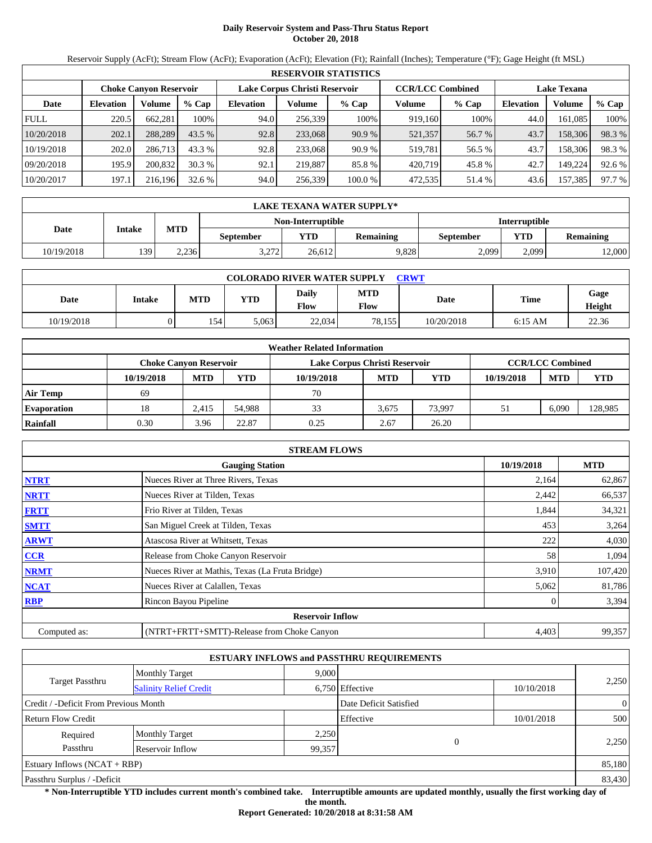# **Daily Reservoir System and Pass-Thru Status Report October 20, 2018**

Reservoir Supply (AcFt); Stream Flow (AcFt); Evaporation (AcFt); Elevation (Ft); Rainfall (Inches); Temperature (°F); Gage Height (ft MSL)

|             | <b>RESERVOIR STATISTICS</b> |                               |         |                               |         |         |                         |         |                    |         |        |  |  |
|-------------|-----------------------------|-------------------------------|---------|-------------------------------|---------|---------|-------------------------|---------|--------------------|---------|--------|--|--|
|             |                             | <b>Choke Canyon Reservoir</b> |         | Lake Corpus Christi Reservoir |         |         | <b>CCR/LCC Combined</b> |         | <b>Lake Texana</b> |         |        |  |  |
| Date        | <b>Elevation</b>            | Volume                        | $%$ Cap | <b>Elevation</b>              | Volume  | $%$ Cap | Volume                  | $%$ Cap | <b>Elevation</b>   | Volume  | % Cap  |  |  |
| <b>FULL</b> | 220.5                       | 662.281                       | 100%    | 94.0                          | 256,339 | 100%    | 919,160                 | 100%    | 44.0               | 161.085 | 100%   |  |  |
| 10/20/2018  | 202.1                       | 288,289                       | 43.5 %  | 92.8                          | 233,068 | 90.9%   | 521,357                 | 56.7 %  | 43.7               | 158,306 | 98.3%  |  |  |
| 10/19/2018  | 202.0                       | 286,713                       | 43.3 %  | 92.8                          | 233,068 | 90.9 %  | 519,781                 | 56.5 %  | 43.7               | 158,306 | 98.3%  |  |  |
| 09/20/2018  | 195.9                       | 200,832                       | 30.3%   | 92.1                          | 219,887 | 85.8 %  | 420,719                 | 45.8%   | 42.7               | 149.224 | 92.6 % |  |  |
| 10/20/2017  | 197.1                       | 216,196                       | 32.6 %  | 94.0                          | 256,339 | 100.0 % | 472,535                 | 51.4 %  | 43.6               | 157,385 | 97.7 % |  |  |

|            | LAKE TEXANA WATER SUPPLY* |                                        |       |                   |                  |                      |            |                  |  |  |  |
|------------|---------------------------|----------------------------------------|-------|-------------------|------------------|----------------------|------------|------------------|--|--|--|
|            |                           |                                        |       | Non-Interruptible |                  | <b>Interruptible</b> |            |                  |  |  |  |
| Date       | Intake                    | <b>MTD</b><br>VTD-<br><b>September</b> |       |                   | <b>Remaining</b> | <b>September</b>     | <b>YTD</b> | <b>Remaining</b> |  |  |  |
| 10/19/2018 | 139                       | 2.236                                  | 3.272 | 26.612            | 9,828            | 2,099                | 2.099      | 12,000           |  |  |  |

| <b>COLORADO RIVER WATER SUPPLY</b><br>CRWT |        |            |            |               |                    |             |           |                |  |  |
|--------------------------------------------|--------|------------|------------|---------------|--------------------|-------------|-----------|----------------|--|--|
| Date                                       | Intake | <b>MTD</b> | <b>YTD</b> | Daily<br>Flow | <b>MTD</b><br>Flow | <b>Date</b> | Time      | Gage<br>Height |  |  |
| 10/19/2018                                 |        | 154        | 5,063      | 22,034        | 78.155             | 10/20/2018  | $6:15$ AM | 22.36          |  |  |

|                    | <b>Weather Related Information</b> |            |        |                               |                         |            |            |            |            |  |  |
|--------------------|------------------------------------|------------|--------|-------------------------------|-------------------------|------------|------------|------------|------------|--|--|
|                    | Choke Canvon Reservoir             |            |        | Lake Corpus Christi Reservoir | <b>CCR/LCC Combined</b> |            |            |            |            |  |  |
|                    | 10/19/2018                         | <b>MTD</b> | YTD    | 10/19/2018                    | <b>MTD</b>              | <b>YTD</b> | 10/19/2018 | <b>MTD</b> | <b>YTD</b> |  |  |
| <b>Air Temp</b>    | 69                                 |            |        | 70                            |                         |            |            |            |            |  |  |
| <b>Evaporation</b> | 18                                 | 2.415      | 54.988 | 33                            | 3.675                   | 73.997     | 51         | 6.090      | 128,985    |  |  |
| Rainfall           | 0.30                               | 3.96       | 22.87  | 0.25                          | 2.67                    | 26.20      |            |            |            |  |  |

|              | <b>STREAM FLOWS</b>                             |            |            |
|--------------|-------------------------------------------------|------------|------------|
|              | <b>Gauging Station</b>                          | 10/19/2018 | <b>MTD</b> |
| <b>NTRT</b>  | Nueces River at Three Rivers, Texas             | 2,164      | 62,867     |
| <b>NRTT</b>  | Nueces River at Tilden, Texas                   | 2,442      | 66,537     |
| <b>FRTT</b>  | Frio River at Tilden, Texas                     | 1,844      | 34,321     |
| <b>SMTT</b>  | San Miguel Creek at Tilden, Texas               | 453        | 3,264      |
| <b>ARWT</b>  | Atascosa River at Whitsett, Texas               | 222        | 4,030      |
| <b>CCR</b>   | Release from Choke Canyon Reservoir             | 58         | 1,094      |
| <b>NRMT</b>  | Nueces River at Mathis, Texas (La Fruta Bridge) | 3,910      | 107,420    |
| <b>NCAT</b>  | Nueces River at Calallen, Texas                 | 5,062      | 81,786     |
| <b>RBP</b>   | Rincon Bayou Pipeline                           |            | 3,394      |
|              | <b>Reservoir Inflow</b>                         |            |            |
| Computed as: | (NTRT+FRTT+SMTT)-Release from Choke Canyon      | 4,403      | 99,357     |

|                                       |                               |        | <b>ESTUARY INFLOWS and PASSTHRU REQUIREMENTS</b> |            |                |  |
|---------------------------------------|-------------------------------|--------|--------------------------------------------------|------------|----------------|--|
|                                       | <b>Monthly Target</b>         | 9.000  |                                                  |            |                |  |
| <b>Target Passthru</b>                | <b>Salinity Relief Credit</b> |        | 6,750 Effective                                  | 10/10/2018 | 2,250          |  |
| Credit / -Deficit From Previous Month |                               |        | Date Deficit Satisfied                           |            | $\overline{0}$ |  |
| <b>Return Flow Credit</b>             |                               |        | Effective                                        | 10/01/2018 | 500            |  |
| Required                              | <b>Monthly Target</b>         | 2,250  |                                                  |            |                |  |
| Passthru                              | Reservoir Inflow              | 99,357 |                                                  | $\Omega$   | 2,250          |  |
| Estuary Inflows $(NCAT + RBP)$        |                               |        |                                                  |            | 85,180         |  |
| Passthru Surplus / -Deficit           |                               |        |                                                  |            | 83,430         |  |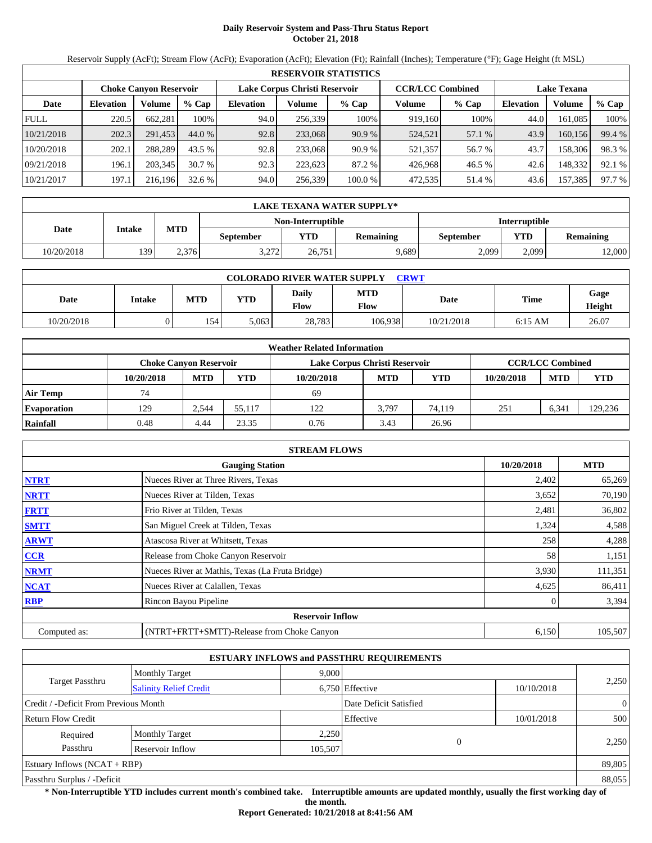# **Daily Reservoir System and Pass-Thru Status Report October 21, 2018**

Reservoir Supply (AcFt); Stream Flow (AcFt); Evaporation (AcFt); Elevation (Ft); Rainfall (Inches); Temperature (°F); Gage Height (ft MSL)

|             |                               |         |         |                  |                               | <b>RESERVOIR STATISTICS</b> |         |                         |                    |         |        |
|-------------|-------------------------------|---------|---------|------------------|-------------------------------|-----------------------------|---------|-------------------------|--------------------|---------|--------|
|             | <b>Choke Canyon Reservoir</b> |         |         |                  | Lake Corpus Christi Reservoir |                             |         | <b>CCR/LCC Combined</b> | <b>Lake Texana</b> |         |        |
| Date        | <b>Elevation</b>              | Volume  | $%$ Cap | <b>Elevation</b> | Volume                        | $%$ Cap                     | Volume  | % Cap                   | <b>Elevation</b>   | Volume  | % Cap  |
| <b>FULL</b> | 220.5                         | 662,281 | 100%    | 94.0             | 256.339                       | 100%                        | 919,160 | 100%                    | 44.0               | 161,085 | 100%   |
| 10/21/2018  | 202.3                         | 291.453 | 44.0 %  | 92.8             | 233,068                       | 90.9 %                      | 524,521 | 57.1 %                  | 43.9               | 160,156 | 99.4 % |
| 10/20/2018  | 202.1                         | 288.289 | 43.5 %  | 92.8             | 233,068                       | 90.9 %                      | 521,357 | 56.7 %                  | 43.7               | 158,306 | 98.3 % |
| 09/21/2018  | 196.1                         | 203.345 | 30.7 %  | 92.3             | 223.623                       | 87.2 %                      | 426.968 | 46.5 %                  | 42.6               | 148.332 | 92.1 % |
| 10/21/2017  | 197.1                         | 216.196 | 32.6%   | 94.0             | 256,339                       | 100.0 %                     | 472,535 | 51.4 %                  | 43.6               | 157,385 | 97.7 % |

|            | LAKE TEXANA WATER SUPPLY* |            |                  |                   |                  |                      |            |                  |  |  |
|------------|---------------------------|------------|------------------|-------------------|------------------|----------------------|------------|------------------|--|--|
|            |                           | <b>MTD</b> |                  | Non-Interruptible |                  | <b>Interruptible</b> |            |                  |  |  |
| Date       | Intake                    |            | <b>September</b> | <b>YTD</b>        | <b>Remaining</b> | September            | <b>YTD</b> | <b>Remaining</b> |  |  |
| 10/20/2018 | 139                       | 2.376      | 3.272<br>ے رے ۔  | 26.751            | 9,689            | 2,099                | 2.099      | 12,000           |  |  |

| <b>COLORADO RIVER WATER SUPPLY</b><br><b>CRWT</b> |               |            |            |               |                    |            |             |                |  |  |
|---------------------------------------------------|---------------|------------|------------|---------------|--------------------|------------|-------------|----------------|--|--|
| Date                                              | <b>Intake</b> | <b>MTD</b> | <b>YTD</b> | Daily<br>Flow | <b>MTD</b><br>Flow | Date       | <b>Time</b> | Gage<br>Height |  |  |
| 10/20/2018                                        | )             | 154        | 5,063      | 28.783        | 106.938            | 10/21/2018 | $6:15$ AM   | 26.07          |  |  |

|                    |                               |            |        | <b>Weather Related Information</b> |            |        |            |                         |         |
|--------------------|-------------------------------|------------|--------|------------------------------------|------------|--------|------------|-------------------------|---------|
|                    | <b>Choke Canvon Reservoir</b> |            |        | Lake Corpus Christi Reservoir      |            |        |            | <b>CCR/LCC Combined</b> |         |
|                    | 10/20/2018                    | <b>MTD</b> | YTD    | 10/20/2018                         | <b>MTD</b> | YTD    | 10/20/2018 | <b>MTD</b>              | YTD     |
| <b>Air Temp</b>    | 74                            |            |        | 69                                 |            |        |            |                         |         |
| <b>Evaporation</b> | 129                           | 2.544      | 55.117 | 122                                | 3.797      | 74.119 | 251        | 6.341                   | 129,236 |
| Rainfall           | 0.48                          | 4.44       | 23.35  | 0.76                               | 3.43       | 26.96  |            |                         |         |

|              | <b>STREAM FLOWS</b>                             |            |            |
|--------------|-------------------------------------------------|------------|------------|
|              | <b>Gauging Station</b>                          | 10/20/2018 | <b>MTD</b> |
| <b>NTRT</b>  | Nueces River at Three Rivers, Texas             | 2,402      | 65,269     |
| <b>NRTT</b>  | Nueces River at Tilden, Texas                   | 3,652      | 70,190     |
| <b>FRTT</b>  | Frio River at Tilden, Texas                     | 2,481      | 36,802     |
| <b>SMTT</b>  | San Miguel Creek at Tilden, Texas               | 1,324      | 4,588      |
| <b>ARWT</b>  | Atascosa River at Whitsett, Texas               | 258        | 4,288      |
| CCR          | Release from Choke Canyon Reservoir             | 58         | 1,151      |
| <b>NRMT</b>  | Nueces River at Mathis, Texas (La Fruta Bridge) | 3,930      | 111,351    |
| <b>NCAT</b>  | Nueces River at Calallen, Texas                 | 4,625      | 86,411     |
| <b>RBP</b>   | Rincon Bayou Pipeline                           |            | 3,394      |
|              | <b>Reservoir Inflow</b>                         |            |            |
| Computed as: | (NTRT+FRTT+SMTT)-Release from Choke Canyon      | 6,150      | 105,507    |

|                                       |                               |         | <b>ESTUARY INFLOWS and PASSTHRU REQUIREMENTS</b> |            |                |
|---------------------------------------|-------------------------------|---------|--------------------------------------------------|------------|----------------|
|                                       | <b>Monthly Target</b>         | 9.000   |                                                  |            |                |
| <b>Target Passthru</b>                | <b>Salinity Relief Credit</b> |         | 6,750 Effective                                  | 10/10/2018 | 2,250          |
| Credit / -Deficit From Previous Month |                               |         | Date Deficit Satisfied                           |            | $\overline{0}$ |
| <b>Return Flow Credit</b>             |                               |         | Effective                                        | 10/01/2018 | 500            |
| Required                              | <b>Monthly Target</b>         | 2,250   |                                                  |            |                |
| Passthru                              | Reservoir Inflow              | 105,507 | $\theta$                                         |            | 2,250          |
| Estuary Inflows $(NCAT + RBP)$        |                               |         |                                                  |            | 89,805         |
| Passthru Surplus / -Deficit           |                               |         |                                                  |            | 88,055         |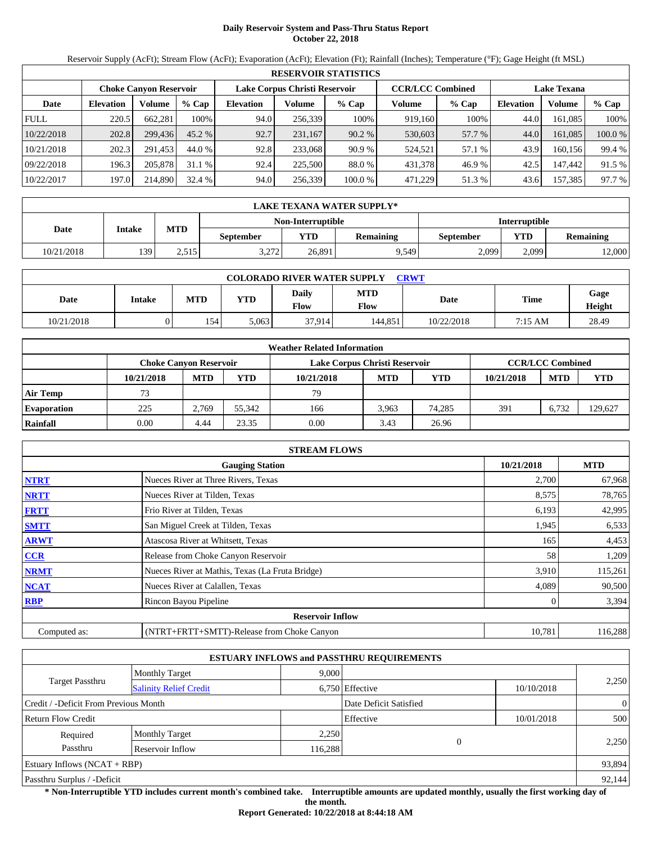# **Daily Reservoir System and Pass-Thru Status Report October 22, 2018**

Reservoir Supply (AcFt); Stream Flow (AcFt); Evaporation (AcFt); Elevation (Ft); Rainfall (Inches); Temperature (°F); Gage Height (ft MSL)

|             |                  |                               |          |                  |                               | <b>RESERVOIR STATISTICS</b> |                         |        |                    |          |         |
|-------------|------------------|-------------------------------|----------|------------------|-------------------------------|-----------------------------|-------------------------|--------|--------------------|----------|---------|
|             |                  | <b>Choke Canvon Reservoir</b> |          |                  | Lake Corpus Christi Reservoir |                             | <b>CCR/LCC Combined</b> |        | <b>Lake Texana</b> |          |         |
| Date        | <b>Elevation</b> | Volume                        | $%$ Cap  | <b>Elevation</b> | Volume                        | $%$ Cap                     | Volume                  | % Cap  | <b>Elevation</b>   | Volume   | $%$ Cap |
| <b>FULL</b> | 220.5            | 662.281                       | 100%     | 94.0             | 256,339                       | 100%                        | 919,160                 | 100%   | 44.0               | 161.085  | 100%    |
| 10/22/2018  | 202.8            | 299.436                       | $45.2\%$ | 92.7             | 231.167                       | 90.2%                       | 530,603                 | 57.7 % | 44.0               | 161.085  | 100.0 % |
| 10/21/2018  | 202.3            | 291.453                       | 44.0 %   | 92.8             | 233,068                       | 90.9%                       | 524.521                 | 57.1 % | 43.9               | 160.1561 | 99.4 %  |
| 09/22/2018  | 196.3            | 205,878                       | 31.1 %   | 92.4             | 225,500                       | 88.0 %                      | 431,378                 | 46.9 % | 42.5               | 147.442  | 91.5 %  |
| 10/22/2017  | 197.0            | 214,890                       | 32.4%    | 94.0             | 256,339                       | 100.0%                      | 471,229                 | 51.3 % | 43.6               | 157,385  | 97.7 %  |

|            | LAKE TEXANA WATER SUPPLY* |            |                  |                   |                  |                      |       |                  |  |  |  |
|------------|---------------------------|------------|------------------|-------------------|------------------|----------------------|-------|------------------|--|--|--|
|            |                           |            |                  | Non-Interruptible |                  | <b>Interruptible</b> |       |                  |  |  |  |
| Date       | Intake                    | <b>MTD</b> | <b>September</b> | YTD               | <b>Remaining</b> | September            | YTD   | <b>Remaining</b> |  |  |  |
| 10/21/2018 | 139                       | 2.515      | 2.272<br>3.21Z   | 26.891            | 9.549            | 2,099                | 2,099 | 12,000           |  |  |  |

| <b>COLORADO RIVER WATER SUPPLY</b><br><b>CRWT</b> |               |            |       |               |                    |            |             |                |  |  |
|---------------------------------------------------|---------------|------------|-------|---------------|--------------------|------------|-------------|----------------|--|--|
| Date                                              | <b>Intake</b> | <b>MTD</b> | YTD   | Daily<br>Flow | <b>MTD</b><br>Flow | Date       | <b>Time</b> | Gage<br>Height |  |  |
| 10/21/2018                                        | )             | 154        | 5.063 | 37.914        | 144.851            | 10/22/2018 | 7:15 AM     | 28.49          |  |  |

|                    |                        |            |        | <b>Weather Related Information</b> |            |            |            |                         |            |
|--------------------|------------------------|------------|--------|------------------------------------|------------|------------|------------|-------------------------|------------|
|                    | Choke Canvon Reservoir |            |        | Lake Corpus Christi Reservoir      |            |            |            | <b>CCR/LCC Combined</b> |            |
|                    | 10/21/2018             | <b>MTD</b> | YTD    | 10/21/2018                         | <b>MTD</b> | <b>YTD</b> | 10/21/2018 | <b>MTD</b>              | <b>YTD</b> |
| <b>Air Temp</b>    | 73                     |            |        | 79                                 |            |            |            |                         |            |
| <b>Evaporation</b> | 225                    | 2.769      | 55.342 | 166                                | 3.963      | 74.285     | 391        | 6.732                   | 129,627    |
| Rainfall           | 0.00                   | 4.44       | 23.35  | 0.00                               | 3.43       | 26.96      |            |                         |            |

|              | <b>STREAM FLOWS</b>                             |            |            |
|--------------|-------------------------------------------------|------------|------------|
|              | <b>Gauging Station</b>                          | 10/21/2018 | <b>MTD</b> |
| <b>NTRT</b>  | Nueces River at Three Rivers, Texas             | 2,700      | 67,968     |
| <b>NRTT</b>  | Nueces River at Tilden, Texas                   | 8,575      | 78,765     |
| <b>FRTT</b>  | Frio River at Tilden, Texas                     | 6,193      | 42,995     |
| <b>SMTT</b>  | San Miguel Creek at Tilden, Texas               | 1,945      | 6,533      |
| <b>ARWT</b>  | Atascosa River at Whitsett, Texas               | 165        | 4,453      |
| CCR          | Release from Choke Canyon Reservoir             | 58         | 1,209      |
| <b>NRMT</b>  | Nueces River at Mathis, Texas (La Fruta Bridge) | 3,910      | 115,261    |
| <b>NCAT</b>  | Nueces River at Calallen, Texas                 | 4,089      | 90,500     |
| <b>RBP</b>   | Rincon Bayou Pipeline                           |            | 3,394      |
|              | <b>Reservoir Inflow</b>                         |            |            |
| Computed as: | (NTRT+FRTT+SMTT)-Release from Choke Canyon      | 10,781     | 116,288    |

|                                       |                               |         | <b>ESTUARY INFLOWS and PASSTHRU REQUIREMENTS</b> |            |                |
|---------------------------------------|-------------------------------|---------|--------------------------------------------------|------------|----------------|
|                                       | <b>Monthly Target</b>         | 9.000   |                                                  |            |                |
| <b>Target Passthru</b>                | <b>Salinity Relief Credit</b> |         | 6,750 Effective                                  | 10/10/2018 | 2,250          |
| Credit / -Deficit From Previous Month |                               |         | Date Deficit Satisfied                           |            | $\overline{0}$ |
| <b>Return Flow Credit</b>             |                               |         | Effective                                        | 10/01/2018 | 500            |
| Required                              | <b>Monthly Target</b>         | 2,250   |                                                  |            |                |
| Passthru                              | Reservoir Inflow              | 116,288 | $\theta$                                         |            | 2,250          |
| Estuary Inflows $(NCAT + RBP)$        |                               |         |                                                  |            | 93,894         |
| Passthru Surplus / -Deficit           |                               |         |                                                  |            | 92,144         |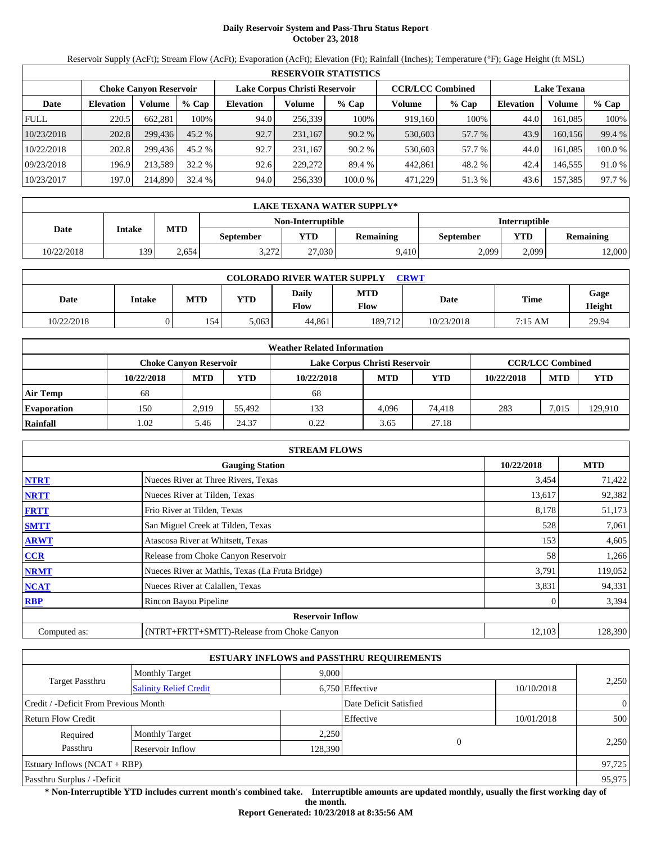# **Daily Reservoir System and Pass-Thru Status Report October 23, 2018**

Reservoir Supply (AcFt); Stream Flow (AcFt); Evaporation (AcFt); Elevation (Ft); Rainfall (Inches); Temperature (°F); Gage Height (ft MSL)

|             | <b>RESERVOIR STATISTICS</b> |                               |          |                  |                                                                                |         |         |         |                  |         |         |  |
|-------------|-----------------------------|-------------------------------|----------|------------------|--------------------------------------------------------------------------------|---------|---------|---------|------------------|---------|---------|--|
|             |                             | <b>Choke Canvon Reservoir</b> |          |                  | Lake Corpus Christi Reservoir<br><b>CCR/LCC Combined</b><br><b>Lake Texana</b> |         |         |         |                  |         |         |  |
| Date        | <b>Elevation</b>            | Volume                        | $%$ Cap  | <b>Elevation</b> | Volume                                                                         | $%$ Cap | Volume  | $%$ Cap | <b>Elevation</b> | Volume  | % Cap   |  |
| <b>FULL</b> | 220.5                       | 662.281                       | 100%     | 94.0             | 256,339                                                                        | 100%    | 919.160 | 100%    | 44.0             | 161.085 | 100%    |  |
| 10/23/2018  | 202.8                       | 299,436                       | $45.2\%$ | 92.7             | 231,167                                                                        | 90.2%   | 530,603 | 57.7 %  | 43.9             | 160.156 | 99.4 %  |  |
| 10/22/2018  | 202.8                       | 299.436                       | 45.2 %   | 92.7             | 231.167                                                                        | 90.2%   | 530,603 | 57.7 %  | 44.0             | 161.085 | 100.0 % |  |
| 09/23/2018  | 196.9                       | 213.589                       | 32.2 %   | 92.6             | 229,272                                                                        | 89.4 %  | 442,861 | 48.2 %  | 42.4             | 146.555 | 91.0 %  |  |
| 10/23/2017  | 197.0                       | 214,890                       | 32.4 %   | 94.0             | 256,339                                                                        | 100.0%  | 471,229 | 51.3%   | 43.6             | 157,385 | 97.7 %  |  |

|            | LAKE TEXANA WATER SUPPLY* |            |                 |                   |                  |           |                      |                  |  |  |  |
|------------|---------------------------|------------|-----------------|-------------------|------------------|-----------|----------------------|------------------|--|--|--|
|            |                           |            |                 | Non-Interruptible |                  |           | <b>Interruptible</b> |                  |  |  |  |
| Date       | Intake                    | <b>MTD</b> | September       | <b>YTD</b>        | <b>Remaining</b> | September | <b>YTD</b>           | <b>Remaining</b> |  |  |  |
| 10/22/2018 | 139                       | 2.654      | 3.272<br>ے رے ۔ | 27.030            | 9.410            | 2,099     | 2.099                | 12,000           |  |  |  |

| <b>COLORADO RIVER WATER SUPPLY</b><br><b>CRWT</b> |        |            |       |               |                           |            |             |                       |  |  |  |
|---------------------------------------------------|--------|------------|-------|---------------|---------------------------|------------|-------------|-----------------------|--|--|--|
| Date                                              | Intake | <b>MTD</b> | YTD   | Daily<br>Flow | <b>MTD</b><br><b>Flow</b> | Date       | <b>Time</b> | Gage<br><b>Height</b> |  |  |  |
| 10/22/2018                                        |        | 154        | 5.063 | 44.861        | 189.712                   | 10/23/2018 | 7:15 AM     | 29.94                 |  |  |  |

|                    |                        |            |        | <b>Weather Related Information</b> |            |            |            |                         |            |
|--------------------|------------------------|------------|--------|------------------------------------|------------|------------|------------|-------------------------|------------|
|                    | Choke Canvon Reservoir |            |        | Lake Corpus Christi Reservoir      |            |            |            | <b>CCR/LCC Combined</b> |            |
|                    | 10/22/2018             | <b>MTD</b> | YTD    | 10/22/2018                         | <b>MTD</b> | <b>YTD</b> | 10/22/2018 | <b>MTD</b>              | <b>YTD</b> |
| <b>Air Temp</b>    | 68                     |            |        | 68                                 |            |            |            |                         |            |
| <b>Evaporation</b> | 150                    | 2.919      | 55.492 | 133                                | 4.096      | 74.418     | 283        | 7,015                   | 129,910    |
| Rainfall           | 1.02                   | 5.46       | 24.37  | 0.22                               | 3.65       | 27.18      |            |                         |            |

|              | <b>STREAM FLOWS</b>                             |            |            |
|--------------|-------------------------------------------------|------------|------------|
|              | <b>Gauging Station</b>                          | 10/22/2018 | <b>MTD</b> |
| <b>NTRT</b>  | Nueces River at Three Rivers, Texas             | 3,454      | 71,422     |
| <b>NRTT</b>  | Nueces River at Tilden, Texas                   | 13,617     | 92,382     |
| <b>FRTT</b>  | Frio River at Tilden, Texas                     | 8,178      | 51,173     |
| <b>SMTT</b>  | San Miguel Creek at Tilden, Texas               | 528        | 7,061      |
| <b>ARWT</b>  | Atascosa River at Whitsett, Texas               | 153        | 4,605      |
| CCR          | Release from Choke Canyon Reservoir             | 58         | 1,266      |
| <b>NRMT</b>  | Nueces River at Mathis, Texas (La Fruta Bridge) | 3,791      | 119,052    |
| <b>NCAT</b>  | Nueces River at Calallen, Texas                 | 3,831      | 94,331     |
| <b>RBP</b>   | Rincon Bayou Pipeline                           |            | 3,394      |
|              | <b>Reservoir Inflow</b>                         |            |            |
| Computed as: | (NTRT+FRTT+SMTT)-Release from Choke Canyon      | 12,103     | 128,390    |

|                                                         |                       |         | <b>ESTUARY INFLOWS and PASSTHRU REQUIREMENTS</b> |            |                |
|---------------------------------------------------------|-----------------------|---------|--------------------------------------------------|------------|----------------|
|                                                         | <b>Monthly Target</b> | 9.000   |                                                  |            |                |
| <b>Target Passthru</b><br><b>Salinity Relief Credit</b> |                       |         | 6,750 Effective                                  | 10/10/2018 | 2,250          |
| Credit / -Deficit From Previous Month                   |                       |         | Date Deficit Satisfied                           |            | $\overline{0}$ |
| <b>Return Flow Credit</b>                               |                       |         | Effective                                        | 10/01/2018 | 500            |
| Required                                                | <b>Monthly Target</b> | 2,250   |                                                  |            |                |
| Passthru                                                | Reservoir Inflow      | 128,390 | $\Omega$                                         |            | 2,250          |
| Estuary Inflows $(NCAT + RBP)$                          |                       |         |                                                  |            | 97,725         |
| Passthru Surplus / -Deficit                             |                       |         |                                                  |            | 95,975         |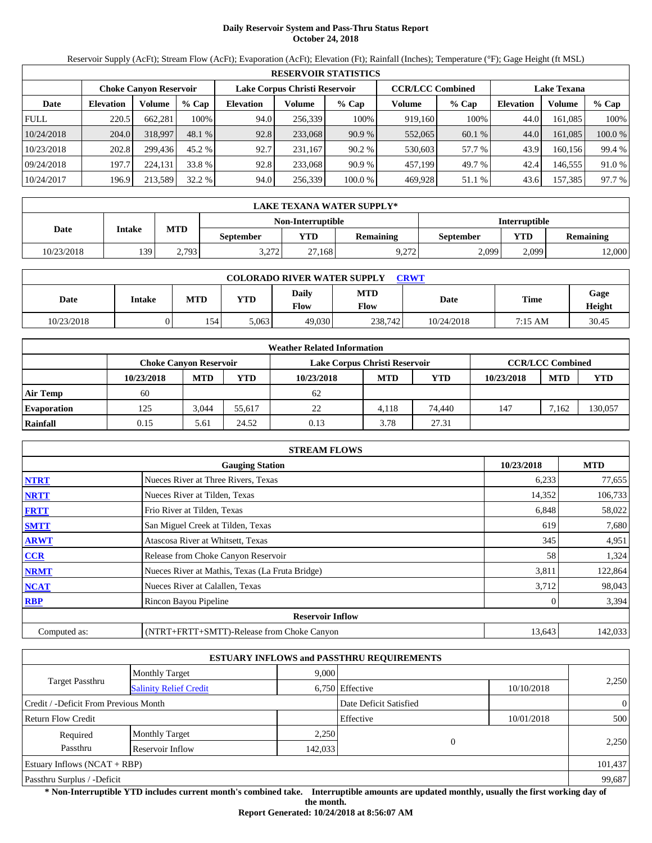# **Daily Reservoir System and Pass-Thru Status Report October 24, 2018**

Reservoir Supply (AcFt); Stream Flow (AcFt); Evaporation (AcFt); Elevation (Ft); Rainfall (Inches); Temperature (°F); Gage Height (ft MSL)

|             | <b>RESERVOIR STATISTICS</b> |                               |                                                          |                  |         |         |                    |         |                  |         |         |  |
|-------------|-----------------------------|-------------------------------|----------------------------------------------------------|------------------|---------|---------|--------------------|---------|------------------|---------|---------|--|
|             |                             | <b>Choke Canvon Reservoir</b> | Lake Corpus Christi Reservoir<br><b>CCR/LCC Combined</b> |                  |         |         | <b>Lake Texana</b> |         |                  |         |         |  |
| Date        | <b>Elevation</b>            | Volume                        | $%$ Cap                                                  | <b>Elevation</b> | Volume  | $%$ Cap | Volume             | $%$ Cap | <b>Elevation</b> | Volume  | $%$ Cap |  |
| <b>FULL</b> | 220.5                       | 662.281                       | 100%                                                     | 94.0             | 256,339 | 100%    | 919,160            | 100%    | 44.0             | 161.085 | 100%    |  |
| 10/24/2018  | 204.0                       | 318,997                       | 48.1 %                                                   | 92.8             | 233,068 | 90.9%   | 552,065            | 60.1%   | 44.0             | 161.085 | 100.0 % |  |
| 10/23/2018  | 202.8                       | 299.436                       | 45.2 %                                                   | 92.7             | 231.167 | 90.2%   | 530,603            | 57.7 %  | 43.9             | 160.156 | 99.4 %  |  |
| 09/24/2018  | 197.7                       | 224.131                       | 33.8 %                                                   | 92.8             | 233,068 | 90.9%   | 457,199            | 49.7 %  | 42.4             | 146.555 | 91.0 %  |  |
| 10/24/2017  | 196.9                       | 213,589                       | 32.2 %                                                   | 94.0             | 256,339 | 100.0%  | 469,928            | 51.1 %  | 43.6             | 157,385 | 97.7 %  |  |

|            | LAKE TEXANA WATER SUPPLY* |            |                  |                   |                  |           |                      |                  |  |  |  |
|------------|---------------------------|------------|------------------|-------------------|------------------|-----------|----------------------|------------------|--|--|--|
|            |                           |            |                  | Non-Interruptible |                  |           | <b>Interruptible</b> |                  |  |  |  |
| Date       | Intake                    | <b>MTD</b> | September        | <b>YTD</b>        | <b>Remaining</b> | September | YTD                  | <b>Remaining</b> |  |  |  |
| 10/23/2018 | 139                       | 2.793      | 3 772<br>J.Z I Z | 27.168            | 0.272<br>. 212   | 2,099     | 2.099                | 12,000           |  |  |  |

| <b>COLORADO RIVER WATER SUPPLY</b><br>CRWT |               |            |       |               |                    |            |             |                |  |  |  |
|--------------------------------------------|---------------|------------|-------|---------------|--------------------|------------|-------------|----------------|--|--|--|
| Date                                       | <b>Intake</b> | <b>MTD</b> | YTD   | Daily<br>Flow | <b>MTD</b><br>Flow | Date       | <b>Time</b> | Gage<br>Height |  |  |  |
| 10/23/2018                                 |               | 154        | 5.063 | 49,030        | 238,742            | 10/24/2018 | 7:15 AM     | 30.45          |  |  |  |

|                    |                        |            |        | <b>Weather Related Information</b> |            |            |            |                         |            |
|--------------------|------------------------|------------|--------|------------------------------------|------------|------------|------------|-------------------------|------------|
|                    | Choke Canvon Reservoir |            |        | Lake Corpus Christi Reservoir      |            |            |            | <b>CCR/LCC Combined</b> |            |
|                    | 10/23/2018             | <b>MTD</b> | YTD    | 10/23/2018                         | <b>MTD</b> | <b>YTD</b> | 10/23/2018 | <b>MTD</b>              | <b>YTD</b> |
| <b>Air Temp</b>    | 60                     |            |        | 62                                 |            |            |            |                         |            |
| <b>Evaporation</b> | 125                    | 3,044      | 55.617 | 22                                 | 4.118      | 74,440     | 147        | 7.162                   | 130,057    |
| Rainfall           | 0.15                   | 5.61       | 24.52  | 0.13                               | 3.78       | 27.31      |            |                         |            |

|              | <b>STREAM FLOWS</b>                             |            |            |
|--------------|-------------------------------------------------|------------|------------|
|              | <b>Gauging Station</b>                          | 10/23/2018 | <b>MTD</b> |
| <b>NTRT</b>  | Nueces River at Three Rivers, Texas             | 6,233      | 77,655     |
| <b>NRTT</b>  | Nueces River at Tilden, Texas                   | 14,352     | 106,733    |
| <b>FRTT</b>  | Frio River at Tilden, Texas                     | 6,848      | 58,022     |
| <b>SMTT</b>  | San Miguel Creek at Tilden, Texas               | 619        | 7,680      |
| <b>ARWT</b>  | Atascosa River at Whitsett, Texas               | 345        | 4,951      |
| <b>CCR</b>   | Release from Choke Canyon Reservoir             | 58         | 1,324      |
| <b>NRMT</b>  | Nueces River at Mathis, Texas (La Fruta Bridge) | 3,811      | 122,864    |
| <b>NCAT</b>  | Nueces River at Calallen, Texas                 | 3,712      | 98,043     |
| <b>RBP</b>   | Rincon Bayou Pipeline                           |            | 3,394      |
|              | <b>Reservoir Inflow</b>                         |            |            |
| Computed as: | (NTRT+FRTT+SMTT)-Release from Choke Canyon      | 13,643     | 142,033    |

|                                       |                               |         | <b>ESTUARY INFLOWS and PASSTHRU REQUIREMENTS</b> |            |                |
|---------------------------------------|-------------------------------|---------|--------------------------------------------------|------------|----------------|
|                                       | <b>Monthly Target</b>         | 9,000   |                                                  |            |                |
| <b>Target Passthru</b>                | <b>Salinity Relief Credit</b> |         | 6,750 Effective                                  | 10/10/2018 | 2,250          |
| Credit / -Deficit From Previous Month |                               |         | Date Deficit Satisfied                           |            | $\overline{0}$ |
| <b>Return Flow Credit</b>             |                               |         | Effective                                        | 10/01/2018 | 500            |
| Required                              | <b>Monthly Target</b>         | 2,250   |                                                  |            |                |
| Passthru                              | Reservoir Inflow              | 142,033 | $\overline{0}$                                   |            | 2,250          |
| Estuary Inflows $(NCAT + RBP)$        |                               |         |                                                  |            | 101,437        |
| Passthru Surplus / -Deficit           |                               |         |                                                  |            | 99,687         |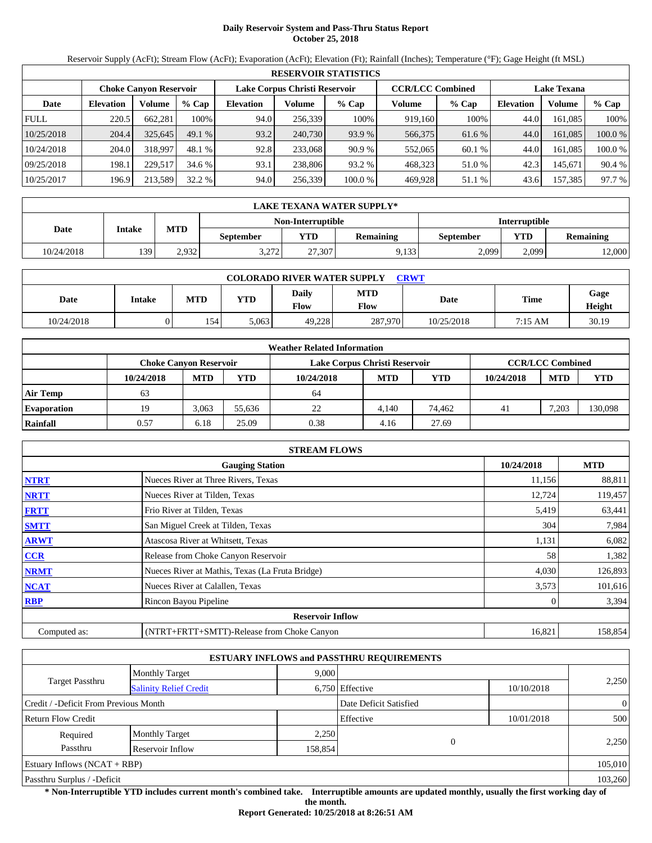# **Daily Reservoir System and Pass-Thru Status Report October 25, 2018**

Reservoir Supply (AcFt); Stream Flow (AcFt); Evaporation (AcFt); Elevation (Ft); Rainfall (Inches); Temperature (°F); Gage Height (ft MSL)

|             | <b>RESERVOIR STATISTICS</b> |                               |         |                  |                               |         |                         |         |                    |         |         |  |  |
|-------------|-----------------------------|-------------------------------|---------|------------------|-------------------------------|---------|-------------------------|---------|--------------------|---------|---------|--|--|
|             |                             | <b>Choke Canvon Reservoir</b> |         |                  | Lake Corpus Christi Reservoir |         | <b>CCR/LCC Combined</b> |         | <b>Lake Texana</b> |         |         |  |  |
| Date        | <b>Elevation</b>            | Volume                        | $%$ Cap | <b>Elevation</b> | Volume                        | $%$ Cap | Volume                  | $%$ Cap | <b>Elevation</b>   | Volume  | $%$ Cap |  |  |
| <b>FULL</b> | 220.5                       | 662.281                       | 100%    | 94.0             | 256,339                       | 100%    | 919,160                 | 100%    | 44.0               | 161.085 | 100%    |  |  |
| 10/25/2018  | 204.4                       | 325,645                       | 49.1%   | 93.2             | 240,730                       | 93.9 %  | 566,375                 | 61.6 %  | 44.0               | 161.085 | 100.0 % |  |  |
| 10/24/2018  | 204.0                       | 318,997                       | 48.1 %  | 92.8             | 233,068                       | 90.9%   | 552,065                 | 60.1 %  | 44.0               | 161.085 | 100.0 % |  |  |
| 09/25/2018  | 198.1                       | 229,517                       | 34.6 %  | 93.1             | 238,806                       | 93.2 %  | 468,323                 | 51.0 %  | 42.3               | 145.671 | 90.4 %  |  |  |
| 10/25/2017  | 196.9                       | 213,589                       | 32.2 %  | 94.0             | 256,339                       | 100.0%  | 469,928                 | 51.1 %  | 43.6               | 157,385 | 97.7 %  |  |  |

|                   | LAKE TEXANA WATER SUPPLY* |            |                  |            |           |           |                      |                  |  |  |  |
|-------------------|---------------------------|------------|------------------|------------|-----------|-----------|----------------------|------------------|--|--|--|
| Non-Interruptible |                           |            |                  |            |           |           | <b>Interruptible</b> |                  |  |  |  |
| Date              | Intake                    | <b>MTD</b> | <b>September</b> | <b>YTD</b> | Remaining | September | YTD                  | <b>Remaining</b> |  |  |  |
| 10/24/2018        | 139                       | 2.932      | 2.272<br>ے رے ۔  | 27.307     | 9.133     | 2,099     | 2,099                | 12,000           |  |  |  |

| <b>COLORADO RIVER WATER SUPPLY</b><br><b>CRWT</b> |               |            |            |               |                    |            |             |                |  |  |  |
|---------------------------------------------------|---------------|------------|------------|---------------|--------------------|------------|-------------|----------------|--|--|--|
| Date                                              | <b>Intake</b> | <b>MTD</b> | <b>YTD</b> | Daily<br>Flow | <b>MTD</b><br>Flow | Date       | <b>Time</b> | Gage<br>Height |  |  |  |
| 10/24/2018                                        | )             | 154        | 5,063      | 49.228        | 287,970            | 10/25/2018 | 7:15 AM     | 30.19          |  |  |  |

|                    |                        |            |        | <b>Weather Related Information</b> |            |            |            |                         |            |
|--------------------|------------------------|------------|--------|------------------------------------|------------|------------|------------|-------------------------|------------|
|                    | Choke Canvon Reservoir |            |        | Lake Corpus Christi Reservoir      |            |            |            | <b>CCR/LCC Combined</b> |            |
|                    | 10/24/2018             | <b>MTD</b> | YTD    | 10/24/2018                         | <b>MTD</b> | <b>YTD</b> | 10/24/2018 | <b>MTD</b>              | <b>YTD</b> |
| <b>Air Temp</b>    | 63                     |            |        | -64                                |            |            |            |                         |            |
| <b>Evaporation</b> | 19                     | 3.063      | 55.636 | 22                                 | 4.140      | 74.462     | 41         | 7.203                   | 130,098    |
| Rainfall           | 0.57                   | 6.18       | 25.09  | 0.38                               | 4.16       | 27.69      |            |                         |            |

|              | <b>STREAM FLOWS</b>                             |            |            |
|--------------|-------------------------------------------------|------------|------------|
|              | <b>Gauging Station</b>                          | 10/24/2018 | <b>MTD</b> |
| <b>NTRT</b>  | Nueces River at Three Rivers, Texas             | 11,156     | 88,811     |
| <b>NRTT</b>  | Nueces River at Tilden, Texas                   | 12,724     | 119,457    |
| <b>FRTT</b>  | Frio River at Tilden, Texas                     | 5,419      | 63,441     |
| <b>SMTT</b>  | San Miguel Creek at Tilden, Texas               | 304        | 7,984      |
| <b>ARWT</b>  | Atascosa River at Whitsett, Texas               | 1,131      | 6,082      |
| <b>CCR</b>   | Release from Choke Canyon Reservoir             | 58         | 1,382      |
| <b>NRMT</b>  | Nueces River at Mathis, Texas (La Fruta Bridge) | 4,030      | 126,893    |
| <b>NCAT</b>  | Nueces River at Calallen, Texas                 | 3,573      | 101,616    |
| <b>RBP</b>   | Rincon Bayou Pipeline                           |            | 3,394      |
|              | <b>Reservoir Inflow</b>                         |            |            |
| Computed as: | (NTRT+FRTT+SMTT)-Release from Choke Canyon      | 16,821     | 158,854    |

|                                       |                               |         | <b>ESTUARY INFLOWS and PASSTHRU REQUIREMENTS</b> |            |                |
|---------------------------------------|-------------------------------|---------|--------------------------------------------------|------------|----------------|
|                                       | <b>Monthly Target</b>         | 9,000   |                                                  |            |                |
| <b>Target Passthru</b>                | <b>Salinity Relief Credit</b> |         | 6,750 Effective                                  | 10/10/2018 | 2,250          |
| Credit / -Deficit From Previous Month |                               |         | Date Deficit Satisfied                           |            | $\overline{0}$ |
| <b>Return Flow Credit</b>             |                               |         | Effective                                        | 10/01/2018 | 500            |
| Required                              | <b>Monthly Target</b>         | 2,250   |                                                  |            |                |
| Passthru                              | Reservoir Inflow              | 158,854 |                                                  |            | 2,250          |
| Estuary Inflows $(NCAT + RBP)$        |                               |         |                                                  |            | 105,010        |
| Passthru Surplus / -Deficit           |                               |         |                                                  |            | 103,260        |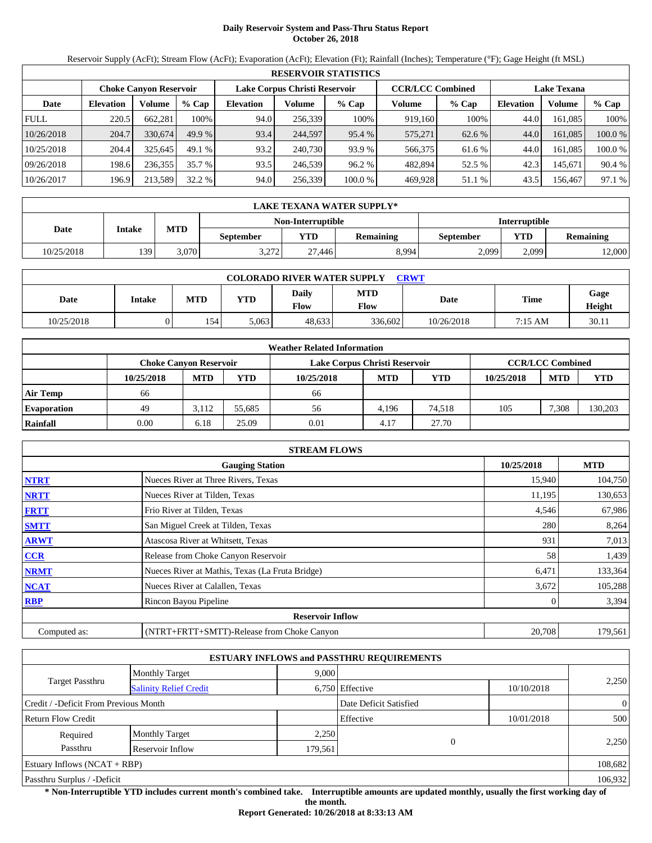# **Daily Reservoir System and Pass-Thru Status Report October 26, 2018**

Reservoir Supply (AcFt); Stream Flow (AcFt); Evaporation (AcFt); Elevation (Ft); Rainfall (Inches); Temperature (°F); Gage Height (ft MSL)

|             | <b>RESERVOIR STATISTICS</b> |                               |         |                  |                               |         |                         |         |                    |         |         |  |
|-------------|-----------------------------|-------------------------------|---------|------------------|-------------------------------|---------|-------------------------|---------|--------------------|---------|---------|--|
|             |                             | <b>Choke Canvon Reservoir</b> |         |                  | Lake Corpus Christi Reservoir |         | <b>CCR/LCC Combined</b> |         | <b>Lake Texana</b> |         |         |  |
| Date        | <b>Elevation</b>            | Volume                        | $%$ Cap | <b>Elevation</b> | Volume                        | $%$ Cap | Volume                  | $%$ Cap | <b>Elevation</b>   | Volume  | % Cap   |  |
| <b>FULL</b> | 220.5                       | 662.281                       | 100%    | 94.0             | 256,339                       | 100%    | 919.160                 | 100%    | 44.0               | 161.085 | 100%    |  |
| 10/26/2018  | 204.7                       | 330,674                       | 49.9%   | 93.4             | 244,597                       | 95.4 %  | 575,271                 | 62.6 %  | 44.0               | 161.085 | 100.0 % |  |
| 10/25/2018  | 204.4                       | 325,645                       | 49.1%   | 93.2             | 240,730                       | 93.9 %  | 566,375                 | 61.6 %  | 44.0               | 161.085 | 100.0 % |  |
| 09/26/2018  | 198.6                       | 236.355                       | 35.7 %  | 93.5             | 246,539                       | 96.2%   | 482,894                 | 52.5 %  | 42.3               | 145.671 | 90.4 %  |  |
| 10/26/2017  | 196.9                       | 213,589                       | 32.2 %  | 94.0             | 256,339                       | 100.0 % | 469.928                 | 51.1 %  | 43.5               | 156,467 | 97.1 %  |  |

|            | LAKE TEXANA WATER SUPPLY* |            |                  |                   |                  |           |                      |                  |  |  |  |
|------------|---------------------------|------------|------------------|-------------------|------------------|-----------|----------------------|------------------|--|--|--|
|            |                           |            |                  | Non-Interruptible |                  |           | <b>Interruptible</b> |                  |  |  |  |
| Date       | Intake                    | <b>MTD</b> | <b>September</b> | <b>YTD</b>        | <b>Remaining</b> | September | <b>YTD</b>           | <b>Remaining</b> |  |  |  |
| 10/25/2018 | 139                       | 3.070      | 3.272<br>ے رے ۔  | 27.446            | 8,994            | 2,099     | 2.099                | 12,000           |  |  |  |

| <b>COLORADO RIVER WATER SUPPLY</b><br><b>CRWT</b> |        |            |       |                      |                           |            |             |                       |  |  |
|---------------------------------------------------|--------|------------|-------|----------------------|---------------------------|------------|-------------|-----------------------|--|--|
| Date                                              | Intake | <b>MTD</b> | YTD   | Daily<br><b>Flow</b> | <b>MTD</b><br><b>Flow</b> | Date       | <b>Time</b> | Gage<br><b>Height</b> |  |  |
| 10/25/2018                                        |        | 154        | 5,063 | 48.633               | 336,602                   | 10/26/2018 | 7:15 AM     | 30.11                 |  |  |

|                    |                               |            |        | <b>Weather Related Information</b> |            |            |            |                         |            |
|--------------------|-------------------------------|------------|--------|------------------------------------|------------|------------|------------|-------------------------|------------|
|                    | <b>Choke Canvon Reservoir</b> |            |        | Lake Corpus Christi Reservoir      |            |            |            | <b>CCR/LCC Combined</b> |            |
|                    | 10/25/2018                    | <b>MTD</b> | YTD    | 10/25/2018                         | <b>MTD</b> | <b>YTD</b> | 10/25/2018 | <b>MTD</b>              | <b>YTD</b> |
| <b>Air Temp</b>    | 66                            |            |        | 66                                 |            |            |            |                         |            |
| <b>Evaporation</b> | 49                            | 3.112      | 55.685 | 56                                 | 4.196      | 74.518     | 105        | 7.308                   | 130,203    |
| Rainfall           | 0.00                          | 6.18       | 25.09  | 0.01                               | 4.17       | 27.70      |            |                         |            |

|              | <b>STREAM FLOWS</b>                             |            |            |
|--------------|-------------------------------------------------|------------|------------|
|              | <b>Gauging Station</b>                          | 10/25/2018 | <b>MTD</b> |
| <b>NTRT</b>  | Nueces River at Three Rivers, Texas             | 15,940     | 104,750    |
| <b>NRTT</b>  | Nueces River at Tilden, Texas                   | 11,195     | 130,653    |
| <b>FRTT</b>  | Frio River at Tilden, Texas                     | 4,546      | 67,986     |
| <b>SMTT</b>  | San Miguel Creek at Tilden, Texas               | 280        | 8,264      |
| <b>ARWT</b>  | Atascosa River at Whitsett, Texas               | 931        | 7,013      |
| CCR          | Release from Choke Canyon Reservoir             | 58         | 1,439      |
| <b>NRMT</b>  | Nueces River at Mathis, Texas (La Fruta Bridge) | 6,471      | 133,364    |
| <b>NCAT</b>  | Nueces River at Calallen, Texas                 | 3,672      | 105,288    |
| <b>RBP</b>   | Rincon Bayou Pipeline                           |            | 3,394      |
|              | <b>Reservoir Inflow</b>                         |            |            |
| Computed as: | (NTRT+FRTT+SMTT)-Release from Choke Canyon      | 20,708     | 179,561    |

|                                       |                               |         | <b>ESTUARY INFLOWS and PASSTHRU REQUIREMENTS</b> |            |                |
|---------------------------------------|-------------------------------|---------|--------------------------------------------------|------------|----------------|
|                                       | <b>Monthly Target</b>         | 9,000   |                                                  |            |                |
| <b>Target Passthru</b>                | <b>Salinity Relief Credit</b> |         | 6,750 Effective                                  | 10/10/2018 | 2,250          |
| Credit / -Deficit From Previous Month |                               |         | Date Deficit Satisfied                           |            | $\overline{0}$ |
| <b>Return Flow Credit</b>             |                               |         | Effective                                        | 10/01/2018 | 500            |
| Required                              | <b>Monthly Target</b>         | 2,250   |                                                  |            |                |
| Passthru                              | Reservoir Inflow              | 179,561 |                                                  |            | 2,250          |
| Estuary Inflows $(NCAT + RBP)$        |                               |         |                                                  |            | 108,682        |
| Passthru Surplus / -Deficit           |                               |         |                                                  |            | 106,932        |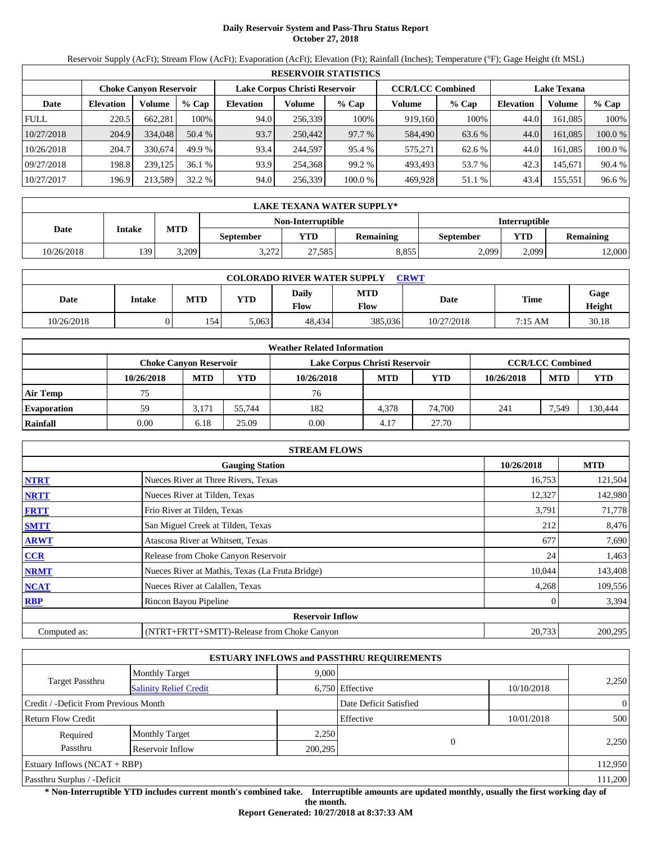# **Daily Reservoir System and Pass-Thru Status Report October 27, 2018**

Reservoir Supply (AcFt); Stream Flow (AcFt); Evaporation (AcFt); Elevation (Ft); Rainfall (Inches); Temperature (°F); Gage Height (ft MSL)

|             | <b>RESERVOIR STATISTICS</b>   |         |         |                               |         |         |                         |         |                    |         |         |  |
|-------------|-------------------------------|---------|---------|-------------------------------|---------|---------|-------------------------|---------|--------------------|---------|---------|--|
|             | <b>Choke Canvon Reservoir</b> |         |         | Lake Corpus Christi Reservoir |         |         | <b>CCR/LCC Combined</b> |         | <b>Lake Texana</b> |         |         |  |
| Date        | <b>Elevation</b>              | Volume  | $%$ Cap | <b>Elevation</b>              | Volume  | $%$ Cap | Volume                  | $%$ Cap | <b>Elevation</b>   | Volume  | % Cap   |  |
| <b>FULL</b> | 220.5                         | 662.281 | 100%    | 94.0                          | 256,339 | 100%    | 919.160                 | 100%    | 44.0               | 161.085 | 100%    |  |
| 10/27/2018  | 204.9                         | 334,048 | 50.4 %  | 93.7                          | 250,442 | 97.7 %  | 584,490                 | 63.6 %  | 44.0               | 161.085 | 100.0 % |  |
| 10/26/2018  | 204.7                         | 330,674 | 49.9 %  | 93.4                          | 244,597 | 95.4 %  | 575.271                 | 62.6 %  | 44.0               | 161.085 | 100.0 % |  |
| 09/27/2018  | 198.8                         | 239,125 | 36.1 %  | 93.9                          | 254,368 | 99.2 %  | 493.493                 | 53.7 %  | 42.3               | 145.671 | 90.4 %  |  |
| 10/27/2017  | 196.9                         | 213,589 | 32.2 %  | 94.0                          | 256,339 | 100.0 % | 469.928                 | 51.1 %  | 43.4               | 155,551 | 96.6 %  |  |

|            | LAKE TEXANA WATER SUPPLY* |            |                  |                   |                  |                      |            |                  |  |  |  |
|------------|---------------------------|------------|------------------|-------------------|------------------|----------------------|------------|------------------|--|--|--|
|            |                           |            |                  | Non-Interruptible |                  | <b>Interruptible</b> |            |                  |  |  |  |
| Date       | Intake                    | <b>MTD</b> | <b>September</b> | VTD-              | <b>Remaining</b> | <b>September</b>     | <b>YTD</b> | <b>Remaining</b> |  |  |  |
| 10/26/2018 | 139                       | 3.209      | 3.272            | 27,585            | 8,855            | 2,099                | 2.099      | 12,000           |  |  |  |

| <b>COLORADO RIVER WATER SUPPLY</b><br><b>CRWT</b> |        |            |       |                             |                           |            |             |                       |  |  |  |
|---------------------------------------------------|--------|------------|-------|-----------------------------|---------------------------|------------|-------------|-----------------------|--|--|--|
| Date                                              | Intake | <b>MTD</b> | YTD   | <b>Daily</b><br><b>Flow</b> | <b>MTD</b><br><b>Flow</b> | Date       | <b>Time</b> | Gage<br><b>Height</b> |  |  |  |
| 10/26/2018                                        |        | 154        | 5,063 | 48.434                      | 385,036                   | 10/27/2018 | 7:15 AM     | 30.18                 |  |  |  |

|                    |                        |            |        | <b>Weather Related Information</b> |            |        |            |                         |            |
|--------------------|------------------------|------------|--------|------------------------------------|------------|--------|------------|-------------------------|------------|
|                    | Choke Canvon Reservoir |            |        | Lake Corpus Christi Reservoir      |            |        |            | <b>CCR/LCC Combined</b> |            |
|                    | 10/26/2018             | <b>MTD</b> | YTD    | 10/26/2018                         | <b>MTD</b> | YTD    | 10/26/2018 | <b>MTD</b>              | <b>YTD</b> |
| <b>Air Temp</b>    | 75                     |            |        | 76                                 |            |        |            |                         |            |
| <b>Evaporation</b> | 59                     | 3.171      | 55.744 | 182                                | 4.378      | 74.700 | 241        | 7,549                   | 130,444    |
| Rainfall           | 0.00                   | 6.18       | 25.09  | 0.00                               | 4.17       | 27.70  |            |                         |            |

|              | <b>STREAM FLOWS</b>                             |            |            |
|--------------|-------------------------------------------------|------------|------------|
|              | <b>Gauging Station</b>                          | 10/26/2018 | <b>MTD</b> |
| <b>NTRT</b>  | Nueces River at Three Rivers, Texas             | 16,753     | 121,504    |
| <b>NRTT</b>  | Nueces River at Tilden, Texas                   | 12,327     | 142,980    |
| <b>FRTT</b>  | Frio River at Tilden, Texas                     | 3,791      | 71,778     |
| <b>SMTT</b>  | San Miguel Creek at Tilden, Texas               | 212        | 8,476      |
| <b>ARWT</b>  | Atascosa River at Whitsett, Texas               | 677        | 7,690      |
| <b>CCR</b>   | Release from Choke Canyon Reservoir             | 24         | 1,463      |
| <b>NRMT</b>  | Nueces River at Mathis, Texas (La Fruta Bridge) | 10,044     | 143,408    |
| <b>NCAT</b>  | Nueces River at Calallen, Texas                 | 4,268      | 109,556    |
| <b>RBP</b>   | Rincon Bayou Pipeline                           |            | 3,394      |
|              | <b>Reservoir Inflow</b>                         |            |            |
| Computed as: | (NTRT+FRTT+SMTT)-Release from Choke Canyon      | 20,733     | 200,295    |

|                                       |                               |         | <b>ESTUARY INFLOWS and PASSTHRU REQUIREMENTS</b> |            |                |
|---------------------------------------|-------------------------------|---------|--------------------------------------------------|------------|----------------|
|                                       | <b>Monthly Target</b>         | 9,000   |                                                  |            |                |
| <b>Target Passthru</b>                | <b>Salinity Relief Credit</b> |         | 6,750 Effective                                  | 10/10/2018 | 2,250          |
| Credit / -Deficit From Previous Month |                               |         | Date Deficit Satisfied                           |            | $\overline{0}$ |
| <b>Return Flow Credit</b>             |                               |         | Effective                                        | 10/01/2018 | 500            |
| Required                              | <b>Monthly Target</b>         | 2,250   |                                                  |            |                |
| Passthru                              | Reservoir Inflow              | 200,295 | $\overline{0}$                                   |            | 2,250          |
| Estuary Inflows $(NCAT + RBP)$        |                               |         |                                                  |            | 112,950        |
| Passthru Surplus / -Deficit           |                               |         |                                                  |            | 111,200        |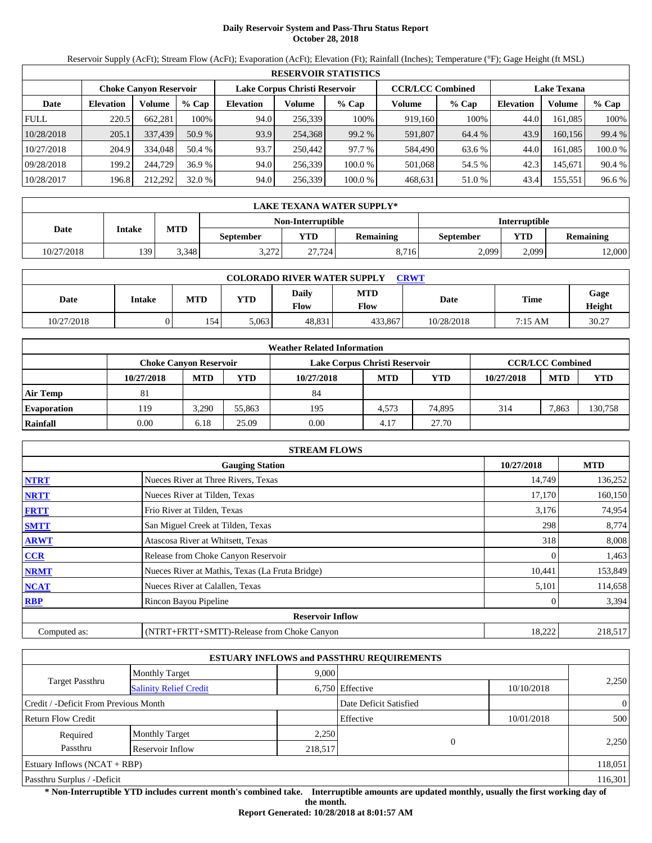# **Daily Reservoir System and Pass-Thru Status Report October 28, 2018**

Reservoir Supply (AcFt); Stream Flow (AcFt); Evaporation (AcFt); Elevation (Ft); Rainfall (Inches); Temperature (°F); Gage Height (ft MSL)

|             | <b>RESERVOIR STATISTICS</b> |                               |         |                  |                               |         |                         |         |                    |         |         |  |
|-------------|-----------------------------|-------------------------------|---------|------------------|-------------------------------|---------|-------------------------|---------|--------------------|---------|---------|--|
|             |                             | <b>Choke Canvon Reservoir</b> |         |                  | Lake Corpus Christi Reservoir |         | <b>CCR/LCC Combined</b> |         | <b>Lake Texana</b> |         |         |  |
| Date        | <b>Elevation</b>            | Volume                        | $%$ Cap | <b>Elevation</b> | Volume                        | $%$ Cap | Volume                  | $%$ Cap | <b>Elevation</b>   | Volume  | % Cap   |  |
| <b>FULL</b> | 220.5                       | 662.281                       | 100%    | 94.0             | 256.339                       | 100%    | 919.160                 | 100%    | 44.0               | 161.085 | 100%    |  |
| 10/28/2018  | 205.1                       | 337,439                       | 50.9 %  | 93.9             | 254,368                       | 99.2 %  | 591,807                 | 64.4 %  | 43.9               | 160.156 | 99.4 %  |  |
| 10/27/2018  | 204.9                       | 334,048                       | 50.4 %  | 93.7             | 250,442                       | 97.7 %  | 584.490                 | 63.6 %  | 44.0               | 161.085 | 100.0 % |  |
| 09/28/2018  | 199.2                       | 244,729                       | 36.9 %  | 94.0             | 256,339                       | 100.0 % | 501,068                 | 54.5 %  | 42.3               | 145.671 | 90.4 %  |  |
| 10/28/2017  | 196.8                       | 212,292                       | 32.0 %  | 94.0             | 256,339                       | 100.0 % | 468,631                 | 51.0 %  | 43.4               | 155,551 | 96.6 %  |  |

|            | LAKE TEXANA WATER SUPPLY* |            |                                                  |        |                  |           |       |                  |  |  |  |
|------------|---------------------------|------------|--------------------------------------------------|--------|------------------|-----------|-------|------------------|--|--|--|
|            |                           |            | <b>Interruptible</b><br><b>Non-Interruptible</b> |        |                  |           |       |                  |  |  |  |
| Date       | Intake                    | <b>MTD</b> | <b>September</b>                                 | VTD    | <b>Remaining</b> | September | YTD   | <b>Remaining</b> |  |  |  |
| 10/27/2018 | 139                       | 3.348      | 3.272                                            | 27.724 | 8,716            | 2,099     | 2.099 | 12,000           |  |  |  |

| <b>COLORADO RIVER WATER SUPPLY</b><br><b>CRWT</b> |               |            |       |                      |                           |            |             |                |  |  |  |
|---------------------------------------------------|---------------|------------|-------|----------------------|---------------------------|------------|-------------|----------------|--|--|--|
| Date                                              | <b>Intake</b> | <b>MTD</b> | YTD   | Daily<br><b>Flow</b> | <b>MTD</b><br><b>Flow</b> | Date       | <b>Time</b> | Gage<br>Height |  |  |  |
| 10/27/2018                                        |               | 154        | 5,063 | 48.831               | 433.867                   | 10/28/2018 | 7:15 AM     | 30.27          |  |  |  |

|                    |                        |            |        | <b>Weather Related Information</b> |            |            |            |                         |            |
|--------------------|------------------------|------------|--------|------------------------------------|------------|------------|------------|-------------------------|------------|
|                    | Choke Canvon Reservoir |            |        | Lake Corpus Christi Reservoir      |            |            |            | <b>CCR/LCC Combined</b> |            |
|                    | 10/27/2018             | <b>MTD</b> | YTD    | 10/27/2018                         | <b>MTD</b> | <b>YTD</b> | 10/27/2018 | <b>MTD</b>              | <b>YTD</b> |
| <b>Air Temp</b>    | 81                     |            |        | 84                                 |            |            |            |                         |            |
| <b>Evaporation</b> | 119                    | 3.290      | 55,863 | 195                                | 4.573      | 74.895     | 314        | 7,863                   | 130,758    |
| Rainfall           | 0.00                   | 6.18       | 25.09  | 0.00                               | 4.17       | 27.70      |            |                         |            |

|              | <b>STREAM FLOWS</b>                             |            |            |
|--------------|-------------------------------------------------|------------|------------|
|              | <b>Gauging Station</b>                          | 10/27/2018 | <b>MTD</b> |
| <b>NTRT</b>  | Nueces River at Three Rivers, Texas             | 14,749     | 136,252    |
| <b>NRTT</b>  | Nueces River at Tilden, Texas                   | 17,170     | 160,150    |
| <b>FRTT</b>  | Frio River at Tilden, Texas                     | 3,176      | 74,954     |
| <b>SMTT</b>  | San Miguel Creek at Tilden, Texas               | 298        | 8,774      |
| <b>ARWT</b>  | Atascosa River at Whitsett, Texas               | 318        | 8,008      |
| <b>CCR</b>   | Release from Choke Canyon Reservoir             |            | 1,463      |
| <b>NRMT</b>  | Nueces River at Mathis, Texas (La Fruta Bridge) | 10,441     | 153,849    |
| <b>NCAT</b>  | Nueces River at Calallen, Texas                 | 5,101      | 114,658    |
| <b>RBP</b>   | Rincon Bayou Pipeline                           |            | 3,394      |
|              | <b>Reservoir Inflow</b>                         |            |            |
| Computed as: | (NTRT+FRTT+SMTT)-Release from Choke Canyon      | 18,222     | 218,517    |

|                                       |                               |         | <b>ESTUARY INFLOWS and PASSTHRU REQUIREMENTS</b> |            |                |
|---------------------------------------|-------------------------------|---------|--------------------------------------------------|------------|----------------|
|                                       | <b>Monthly Target</b>         | 9,000   |                                                  |            |                |
| <b>Target Passthru</b>                | <b>Salinity Relief Credit</b> |         | 6,750 Effective                                  | 10/10/2018 | 2,250          |
| Credit / -Deficit From Previous Month |                               |         | Date Deficit Satisfied                           |            | $\overline{0}$ |
| <b>Return Flow Credit</b>             |                               |         | Effective                                        | 10/01/2018 | 500            |
| Required                              | <b>Monthly Target</b>         | 2,250   |                                                  |            |                |
| Passthru                              | Reservoir Inflow              | 218,517 |                                                  |            | 2,250          |
| Estuary Inflows $(NCAT + RBP)$        |                               |         |                                                  |            | 118,051        |
| Passthru Surplus / -Deficit           |                               |         |                                                  |            | 116,301        |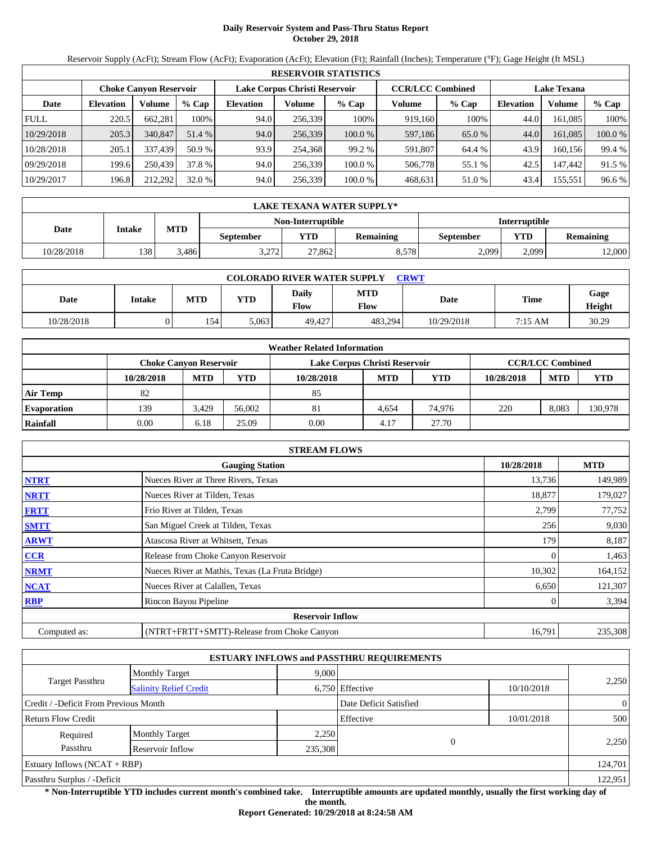# **Daily Reservoir System and Pass-Thru Status Report October 29, 2018**

Reservoir Supply (AcFt); Stream Flow (AcFt); Evaporation (AcFt); Elevation (Ft); Rainfall (Inches); Temperature (°F); Gage Height (ft MSL)

|             | <b>RESERVOIR STATISTICS</b> |                        |         |           |                               |         |                         |         |                    |         |         |  |
|-------------|-----------------------------|------------------------|---------|-----------|-------------------------------|---------|-------------------------|---------|--------------------|---------|---------|--|
|             |                             | Choke Canvon Reservoir |         |           | Lake Corpus Christi Reservoir |         | <b>CCR/LCC Combined</b> |         | <b>Lake Texana</b> |         |         |  |
| Date        | <b>Elevation</b>            | Volume                 | $%$ Cap | Elevation | Volume                        | $%$ Cap | Volume                  | $%$ Cap | <b>Elevation</b>   | Volume  | $%$ Cap |  |
| <b>FULL</b> | 220.5                       | 662.281                | 100%    | 94.0      | 256.339                       | 100%    | 919.160                 | 100%    | 44.0               | 161.085 | 100%    |  |
| 10/29/2018  | 205.3                       | 340,847                | 51.4 %  | 94.0      | 256,339                       | 100.0%  | 597,186                 | 65.0 %  | 44.0               | 161.085 | 100.0 % |  |
| 10/28/2018  | 205.1                       | 337.439                | 50.9 %  | 93.9      | 254.368                       | 99.2 %  | 591.807                 | 64.4 %  | 43.9               | 160.156 | 99.4 %  |  |
| 09/29/2018  | 199.6                       | 250.439                | 37.8 %  | 94.0      | 256,339                       | 100.0 % | 506,778                 | 55.1 %  | 42.5               | 147.442 | 91.5 %  |  |
| 10/29/2017  | 196.8                       | 212,292                | 32.0 %  | 94.0      | 256,339                       | 100.0 % | 468,631                 | 51.0 %  | 43.4               | 155,551 | 96.6 %  |  |

|            | LAKE TEXANA WATER SUPPLY*                |       |       |                   |           |                      |                  |        |  |  |  |  |
|------------|------------------------------------------|-------|-------|-------------------|-----------|----------------------|------------------|--------|--|--|--|--|
|            |                                          |       |       | Non-Interruptible |           | <b>Interruptible</b> |                  |        |  |  |  |  |
| Date       | <b>MTD</b><br>Intake<br><b>September</b> |       | YTD   | <b>Remaining</b>  | September | YTD                  | <b>Remaining</b> |        |  |  |  |  |
| 10/28/2018 | 138                                      | 3.486 | 3.272 | 27.862            | 8,578     | 2,099                | 2,099            | 12,000 |  |  |  |  |

| <b>COLORADO RIVER WATER SUPPLY</b><br>CRWT |               |            |            |                      |             |             |             |                |  |  |
|--------------------------------------------|---------------|------------|------------|----------------------|-------------|-------------|-------------|----------------|--|--|
| Date                                       | <b>Intake</b> | <b>MTD</b> | <b>YTD</b> | Daily<br><b>Flow</b> | MTD<br>Flow | <b>Date</b> | <b>Time</b> | Gage<br>Height |  |  |
| 10/28/2018                                 | 1             | 154        | 5,063      | 49.427               | 483.294     | 10/29/2018  | 7:15 AM     | 30.29          |  |  |

|                    |                        |            |        | <b>Weather Related Information</b> |            |            |            |                         |            |
|--------------------|------------------------|------------|--------|------------------------------------|------------|------------|------------|-------------------------|------------|
|                    | Choke Canvon Reservoir |            |        | Lake Corpus Christi Reservoir      |            |            |            | <b>CCR/LCC Combined</b> |            |
|                    | 10/28/2018             | <b>MTD</b> | YTD    | 10/28/2018                         | <b>MTD</b> | <b>YTD</b> | 10/28/2018 | <b>MTD</b>              | <b>YTD</b> |
| <b>Air Temp</b>    | 82                     |            |        | 85                                 |            |            |            |                         |            |
| <b>Evaporation</b> | 139                    | 3.429      | 56,002 | 81                                 | 4.654      | 74.976     | 220        | 8.083                   | 130,978    |
| Rainfall           | 0.00                   | 6.18       | 25.09  | 0.00                               | 4.17       | 27.70      |            |                         |            |

|              | <b>STREAM FLOWS</b>                             |            |            |
|--------------|-------------------------------------------------|------------|------------|
|              | <b>Gauging Station</b>                          | 10/28/2018 | <b>MTD</b> |
| <b>NTRT</b>  | Nueces River at Three Rivers, Texas             | 13,736     | 149,989    |
| <b>NRTT</b>  | Nueces River at Tilden, Texas                   | 18,877     | 179,027    |
| <b>FRTT</b>  | Frio River at Tilden, Texas                     | 2,799      | 77,752     |
| <b>SMTT</b>  | San Miguel Creek at Tilden, Texas               | 256        | 9,030      |
| <b>ARWT</b>  | Atascosa River at Whitsett, Texas               | 179        | 8,187      |
| <b>CCR</b>   | Release from Choke Canyon Reservoir             |            | 1,463      |
| <b>NRMT</b>  | Nueces River at Mathis, Texas (La Fruta Bridge) | 10,302     | 164,152    |
| <b>NCAT</b>  | Nueces River at Calallen, Texas                 | 6,650      | 121,307    |
| <b>RBP</b>   | Rincon Bayou Pipeline                           |            | 3,394      |
|              | <b>Reservoir Inflow</b>                         |            |            |
| Computed as: | (NTRT+FRTT+SMTT)-Release from Choke Canyon      | 16,791     | 235,308    |

|                                       |                               |         | <b>ESTUARY INFLOWS and PASSTHRU REQUIREMENTS</b> |            |                |
|---------------------------------------|-------------------------------|---------|--------------------------------------------------|------------|----------------|
|                                       | <b>Monthly Target</b>         | 9,000   |                                                  |            |                |
| <b>Target Passthru</b>                | <b>Salinity Relief Credit</b> |         | 6,750 Effective                                  | 10/10/2018 | 2,250          |
| Credit / -Deficit From Previous Month |                               |         | Date Deficit Satisfied                           |            | $\overline{0}$ |
| <b>Return Flow Credit</b>             |                               |         | Effective                                        | 10/01/2018 | 500            |
| Required                              | <b>Monthly Target</b>         | 2,250   |                                                  |            |                |
| Passthru                              | Reservoir Inflow              | 235,308 |                                                  |            | 2,250          |
| Estuary Inflows $(NCAT + RBP)$        |                               |         |                                                  |            | 124,701        |
| Passthru Surplus / -Deficit           |                               |         |                                                  |            | 122,951        |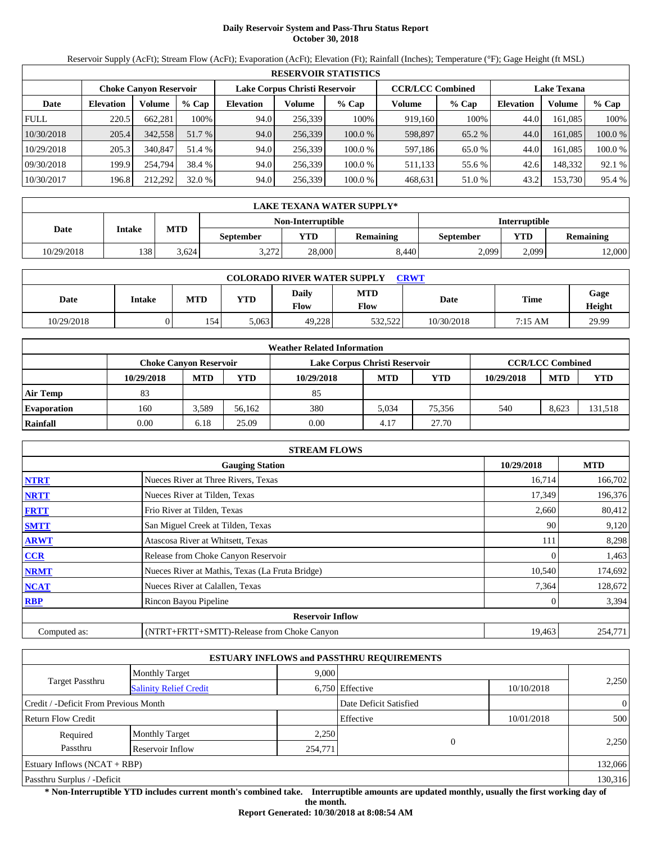# **Daily Reservoir System and Pass-Thru Status Report October 30, 2018**

Reservoir Supply (AcFt); Stream Flow (AcFt); Evaporation (AcFt); Elevation (Ft); Rainfall (Inches); Temperature (°F); Gage Height (ft MSL)

|             | <b>RESERVOIR STATISTICS</b> |                               |         |                  |                               |         |                         |         |                    |         |         |  |
|-------------|-----------------------------|-------------------------------|---------|------------------|-------------------------------|---------|-------------------------|---------|--------------------|---------|---------|--|
|             |                             | <b>Choke Canvon Reservoir</b> |         |                  | Lake Corpus Christi Reservoir |         | <b>CCR/LCC Combined</b> |         | <b>Lake Texana</b> |         |         |  |
| Date        | <b>Elevation</b>            | Volume                        | $%$ Cap | <b>Elevation</b> | Volume                        | $%$ Cap | Volume                  | $%$ Cap | <b>Elevation</b>   | Volume  | % Cap   |  |
| <b>FULL</b> | 220.5                       | 662.281                       | 100%    | 94.0             | 256.339                       | 100%    | 919.160                 | 100%    | 44.0               | 161.085 | 100%    |  |
| 10/30/2018  | 205.4                       | 342,558                       | 51.7 %  | 94.0             | 256,339                       | 100.0%  | 598,897                 | 65.2 %  | 44.0               | 161.085 | 100.0 % |  |
| 10/29/2018  | 205.3                       | 340,847                       | 51.4 %  | 94.0             | 256.339                       | 100.0 % | 597.186                 | 65.0 %  | 44.0               | 161.085 | 100.0 % |  |
| 09/30/2018  | 199.9                       | 254.794                       | 38.4 %  | 94.0             | 256,339                       | 100.0 % | 511,133                 | 55.6 %  | 42.6               | 148.332 | 92.1 %  |  |
| 10/30/2017  | 196.8                       | 212,292                       | 32.0 %  | 94.0             | 256,339                       | 100.0 % | 468,631                 | 51.0 %  | 43.2               | 153,730 | 95.4 %  |  |

|            | LAKE TEXANA WATER SUPPLY* |                                           |                  |        |                  |                  |            |                  |  |  |  |
|------------|---------------------------|-------------------------------------------|------------------|--------|------------------|------------------|------------|------------------|--|--|--|
|            |                           | <b>Interruptible</b><br>Non-Interruptible |                  |        |                  |                  |            |                  |  |  |  |
| Date       | Intake                    | <b>MTD</b>                                | <b>September</b> | VTD-   | <b>Remaining</b> | <b>September</b> | <b>YTD</b> | <b>Remaining</b> |  |  |  |
| 10/29/2018 | 138                       | 3.624                                     | 3.272            | 28,000 | 8,440            | 2,099            | 2.099      | 12,000           |  |  |  |

| <b>COLORADO RIVER WATER SUPPLY</b><br><b>CRWT</b> |        |            |       |                      |                           |            |             |                |  |  |
|---------------------------------------------------|--------|------------|-------|----------------------|---------------------------|------------|-------------|----------------|--|--|
| Date                                              | Intake | <b>MTD</b> | YTD   | <b>Daily</b><br>Flow | <b>MTD</b><br><b>Flow</b> | Date       | <b>Time</b> | Gage<br>Height |  |  |
| 10/29/2018                                        |        | 154        | 5,063 | 49.228               | 532.522                   | 10/30/2018 | 7:15 AM     | 29.99          |  |  |

|                    |                               |            |        | <b>Weather Related Information</b> |            |        |            |                         |            |
|--------------------|-------------------------------|------------|--------|------------------------------------|------------|--------|------------|-------------------------|------------|
|                    | <b>Choke Canvon Reservoir</b> |            |        | Lake Corpus Christi Reservoir      |            |        |            | <b>CCR/LCC Combined</b> |            |
|                    | 10/29/2018                    | <b>MTD</b> | YTD    | 10/29/2018                         | <b>MTD</b> | YTD    | 10/29/2018 | <b>MTD</b>              | <b>YTD</b> |
| <b>Air Temp</b>    | 83                            |            |        | 85                                 |            |        |            |                         |            |
| <b>Evaporation</b> | 160                           | 3.589      | 56.162 | 380                                | 5.034      | 75.356 | 540        | 8,623                   | 131,518    |
| Rainfall           | 0.00                          | 6.18       | 25.09  | 0.00                               | 4.17       | 27.70  |            |                         |            |

|              | <b>STREAM FLOWS</b>                             |            |            |
|--------------|-------------------------------------------------|------------|------------|
|              | <b>Gauging Station</b>                          | 10/29/2018 | <b>MTD</b> |
| <b>NTRT</b>  | Nueces River at Three Rivers, Texas             | 16,714     | 166,702    |
| <b>NRTT</b>  | Nueces River at Tilden, Texas                   | 17,349     | 196,376    |
| <b>FRTT</b>  | Frio River at Tilden, Texas                     | 2,660      | 80,412     |
| <b>SMTT</b>  | San Miguel Creek at Tilden, Texas               | 90         | 9,120      |
| <b>ARWT</b>  | Atascosa River at Whitsett, Texas               | 111        | 8,298      |
| CCR          | Release from Choke Canyon Reservoir             |            | 1,463      |
| <b>NRMT</b>  | Nueces River at Mathis, Texas (La Fruta Bridge) | 10,540     | 174,692    |
| <b>NCAT</b>  | Nueces River at Calallen, Texas                 | 7,364      | 128,672    |
| <b>RBP</b>   | Rincon Bayou Pipeline                           |            | 3,394      |
|              | <b>Reservoir Inflow</b>                         |            |            |
| Computed as: | (NTRT+FRTT+SMTT)-Release from Choke Canyon      | 19,463     | 254,771    |

|                                       |                               |         | <b>ESTUARY INFLOWS and PASSTHRU REQUIREMENTS</b> |            |                |
|---------------------------------------|-------------------------------|---------|--------------------------------------------------|------------|----------------|
|                                       | <b>Monthly Target</b>         | 9,000   |                                                  |            |                |
| <b>Target Passthru</b>                | <b>Salinity Relief Credit</b> |         | 6,750 Effective                                  | 10/10/2018 | 2,250          |
| Credit / -Deficit From Previous Month |                               |         | Date Deficit Satisfied                           |            | $\overline{0}$ |
| <b>Return Flow Credit</b>             |                               |         | Effective                                        | 10/01/2018 | 500            |
| Required                              | <b>Monthly Target</b>         | 2,250   |                                                  |            |                |
| Passthru                              | Reservoir Inflow              | 254,771 |                                                  |            | 2,250          |
| Estuary Inflows $(NCAT + RBP)$        |                               |         |                                                  |            | 132,066        |
| Passthru Surplus / -Deficit           |                               |         |                                                  |            | 130,316        |